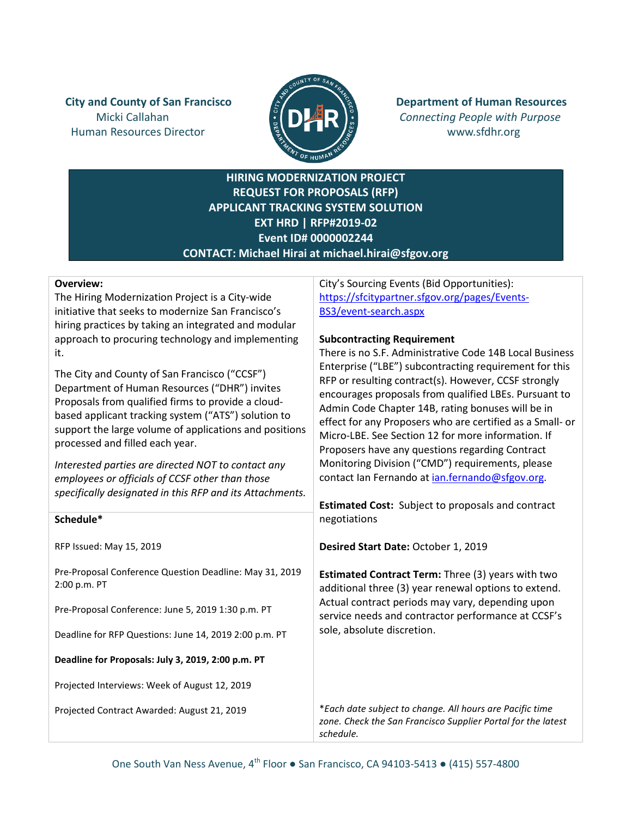Human Resources Director **WALLET AND SERVICES** WWW.sfdhr.org



**City and County of San Francisco**  $\mathbb{E}$   $\mathbb{E}$   $\mathbb{E}$  **Department of Human Resources** Micki Callahan *Connecting People with Purpose*

> **HIRING MODERNIZATION PROJECT REQUEST FOR PROPOSALS (RFP) APPLICANT TRACKING SYSTEM SOLUTION EXT HRD | RFP#2019-02 Event ID# 0000002244 CONTACT: Michael Hirai at michael.hirai@sfgov.org**

### **Overview:**

**Schedule\***

2:00 p.m. PT

RFP Issued: May 15, 2019

The Hiring Modernization Project is a City-wide initiative that seeks to modernize San Francisco's hiring practices by taking an integrated and modular approach to procuring technology and implementing it.

The City and County of San Francisco ("CCSF") Department of Human Resources ("DHR") invites Proposals from qualified firms to provide a cloudbased applicant tracking system ("ATS") solution to support the large volume of applications and positions processed and filled each year.

*Interested parties are directed NOT to contact any employees or officials of CCSF other than those specifically designated in this RFP and its Attachments.*

Pre-Proposal Conference Question Deadline: May 31, 2019

Pre-Proposal Conference: June 5, 2019 1:30 p.m. PT

**Deadline for Proposals: July 3, 2019, 2:00 p.m. PT**

Projected Interviews: Week of August 12, 2019

Projected Contract Awarded: August 21, 2019

Deadline for RFP Questions: June 14, 2019 2:00 p.m. PT

City's Sourcing Events (Bid Opportunities): [https://sfcitypartner.sfgov.org/pages/Events](https://sfcitypartner.sfgov.org/pages/Events-BS3/event-search.aspx)-BS3/event[-search.aspx](https://sfcitypartner.sfgov.org/pages/Events-BS3/event-search.aspx)

### **Subcontracting Requirement**

There is no S.F. Administrative Code 14B Local Business Enterprise ("LBE") subcontracting requirement for this RFP or resulting contract(s). However, CCSF strongly encourages proposals from qualified LBEs. Pursuant to Admin Code Chapter 14B, rating bonuses will be in effect for any Proposers who are certified as a Small- or Micro-LBE. See Section 12 for more information. If Proposers have any questions regarding Contract Monitoring Division ("CMD") requirements, please contact Ian Fernando a[t ian.fernando@sfgov.org.](mailto:ian.fernando@sfgov.org)

**Estimated Cost:** Subject to proposals and contract negotiations

**Desired Start Date:** October 1, 2019

**Estimated Contract Term:** Three (3) years with two additional three (3) year renewal options to extend. Actual contract periods may vary, depending upon service needs and contractor performance at CCSF's sole, absolute discretion.

\**Each date subject to change. All hours are Pacific time zone. Check the San Francisco Supplier Portal for the latest schedule.*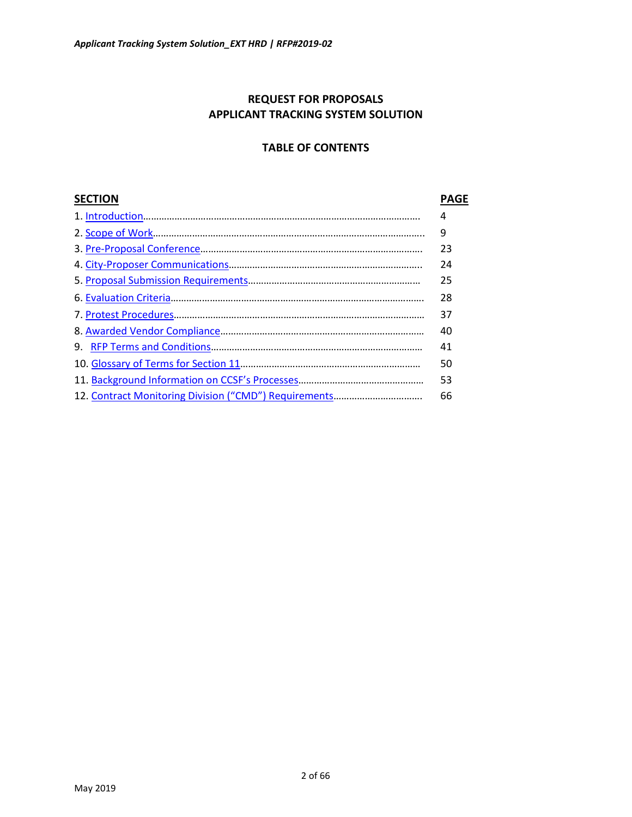## **REQUEST FOR PROPOSALS APPLICANT TRACKING SYSTEM SOLUTION**

### **TABLE OF CONTENTS**

## **SECTION PAGE**

|    | 4  |
|----|----|
|    | 9  |
|    | 23 |
|    | 24 |
|    | 25 |
|    | 28 |
|    | 37 |
|    | 40 |
| 9. | 41 |
|    | 50 |
|    | 53 |
|    | 66 |
|    |    |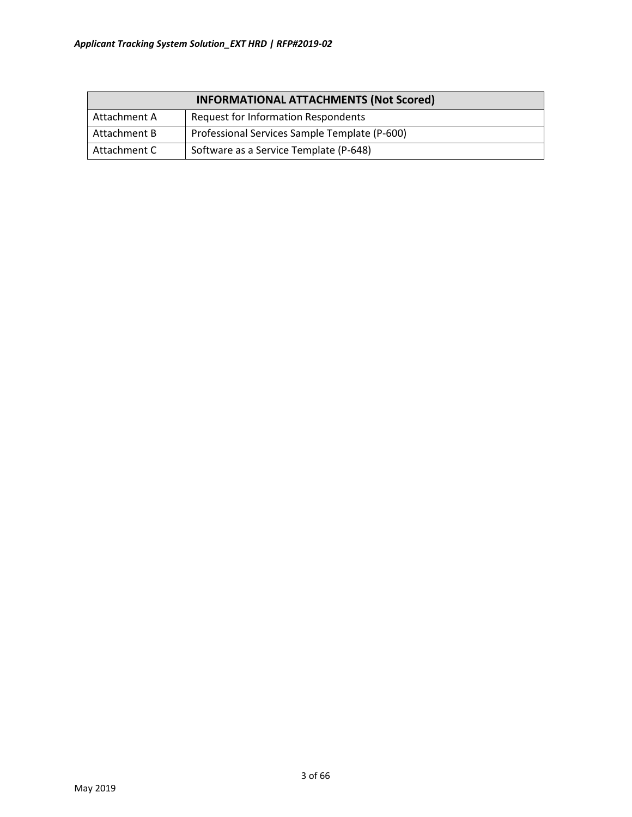| <b>INFORMATIONAL ATTACHMENTS (Not Scored)</b>                 |                                            |  |  |
|---------------------------------------------------------------|--------------------------------------------|--|--|
| Attachment A                                                  | <b>Request for Information Respondents</b> |  |  |
| Professional Services Sample Template (P-600)<br>Attachment B |                                            |  |  |
| Attachment C                                                  | Software as a Service Template (P-648)     |  |  |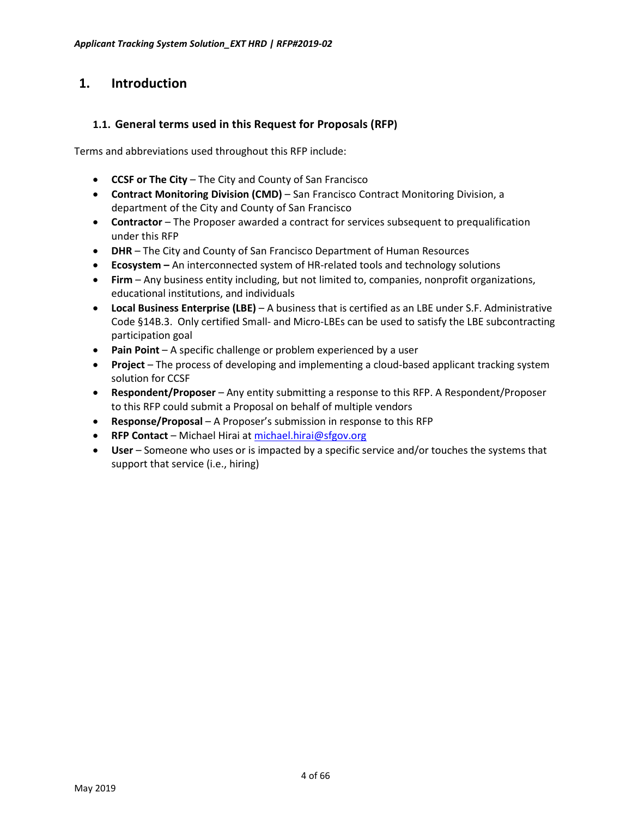# <span id="page-3-0"></span>**1. Introduction**

### **1.1. General terms used in this Request for Proposals (RFP)**

Terms and abbreviations used throughout this RFP include:

- **CCSF or The City** The City and County of San Francisco
- **Contract Monitoring Division (CMD)** San Francisco Contract Monitoring Division, a department of the City and County of San Francisco
- **Contractor** The Proposer awarded a contract for services subsequent to prequalification under this RFP
- **DHR** The City and County of San Francisco Department of Human Resources
- **Ecosystem –** An interconnected system of HR-related tools and technology solutions
- **Firm** Any business entity including, but not limited to, companies, nonprofit organizations, educational institutions, and individuals
- **Local Business Enterprise (LBE)** A business that is certified as an LBE under S.F. Administrative Code §14B.3. Only certified Small- and Micro-LBEs can be used to satisfy the LBE subcontracting participation goal
- **Pain Point** A specific challenge or problem experienced by a user
- **Project** The process of developing and implementing a cloud-based applicant tracking system solution for CCSF
- **Respondent/Proposer** Any entity submitting a response to this RFP. A Respondent/Proposer to this RFP could submit a Proposal on behalf of multiple vendors
- **Response/Proposal** A Proposer's submission in response to this RFP
- **RFP Contact** Michael Hirai at [michael.hirai@sfgov.org](mailto:michael.hirai@sfgov.org)
- **User** Someone who uses or is impacted by a specific service and/or touches the systems that support that service (i.e., hiring)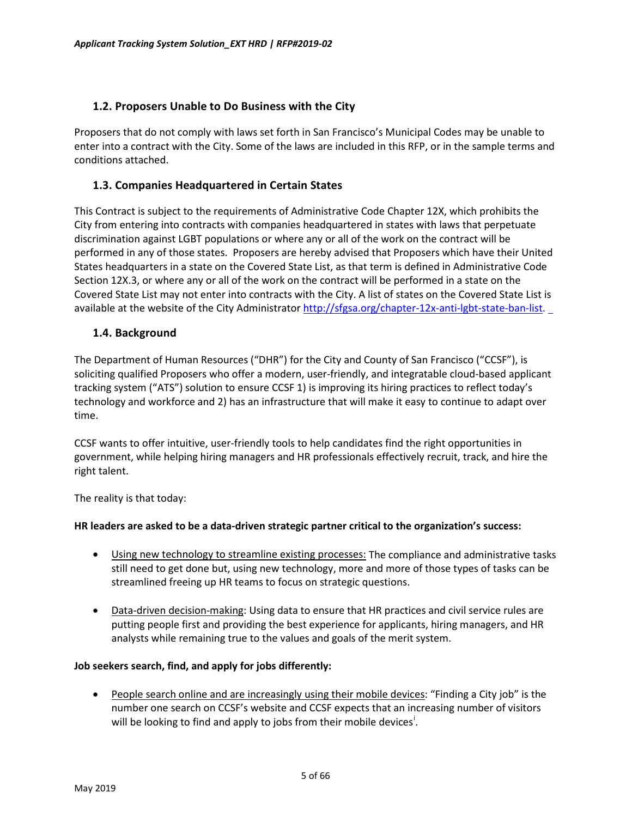### **1.2. Proposers Unable to Do Business with the City**

Proposers that do not comply with laws set forth in San Francisco's Municipal Codes may be unable to enter into a contract with the City. Some of the laws are included in this RFP, or in the sample terms and conditions attached.

### **1.3. Companies Headquartered in Certain States**

This Contract is subject to the requirements of Administrative Code Chapter 12X, which prohibits the City from entering into contracts with companies headquartered in states with laws that perpetuate discrimination against LGBT populations or where any or all of the work on the contract will be performed in any of those states. Proposers are hereby advised that Proposers which have their United States headquarters in a state on the Covered State List, as that term is defined in Administrative Code Section 12X.3, or where any or all of the work on the contract will be performed in a state on the Covered State List may not enter into contracts with the City. A list of states on the Covered State List is available at the website of the City Administrator http://sfgsa.org/chapter[-12x-anti-lgbt-state-ban-list.](http://sfgsa.org/chapter-12x-anti-lgbt-state-ban-list)

### **1.4. Background**

The Department of Human Resources ("DHR") for the City and County of San Francisco ("CCSF"), is soliciting qualified Proposers who offer a modern, user-friendly, and integratable cloud-based applicant tracking system ("ATS") solution to ensure CCSF 1) is improving its hiring practices to reflect today's technology and workforce and 2) has an infrastructure that will make it easy to continue to adapt over time.

CCSF wants to offer intuitive, user-friendly tools to help candidates find the right opportunities in government, while helping hiring managers and HR professionals effectively recruit, track, and hire the right talent.

The reality is that today:

### **HR leaders are asked to be a data-driven strategic partner critical to the organization's success:**

- Using new technology to streamline existing processes: The compliance and administrative tasks still need to get done but, using new technology, more and more of those types of tasks can be streamlined freeing up HR teams to focus on strategic questions.
- Data-driven decision-making: Using data to ensure that HR practices and civil service rules are putting people first and providing the best experience for applicants, hiring managers, and HR analysts while remaining true to the values and goals of the merit system.

### **Job seekers search, find, and apply for jobs differently:**

• People search online and are increasingly using their mobile devices: "Finding a City job" is the number one search on CCSF's website and CCSF expects that an increasing number of visitors w[i](#page-65-0)ll be looking to find and apply to jobs from their mobile devices<sup>1</sup>.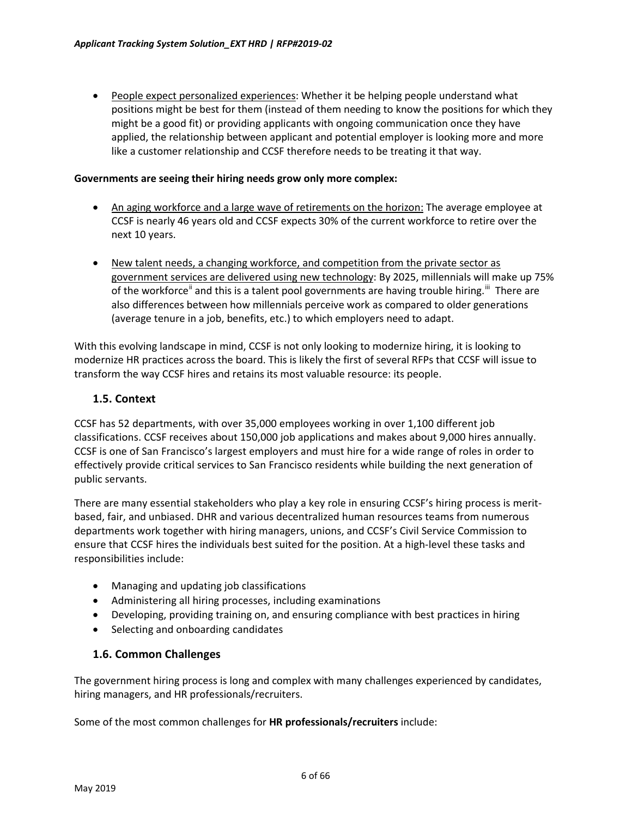• People expect personalized experiences: Whether it be helping people understand what positions might be best for them (instead of them needing to know the positions for which they might be a good fit) or providing applicants with ongoing communication once they have applied, the relationship between applicant and potential employer is looking more and more like a customer relationship and CCSF therefore needs to be treating it that way.

#### **Governments are seeing their hiring needs grow only more complex:**

- An aging workforce and a large wave of retirements on the horizon: The average employee at CCSF is nearly 46 years old and CCSF expects 30% of the current workforce to retire over the next 10 years.
- New talent needs, a changing workforce, and competition from the private sector as government services are delivered using new technology: By 2025, millennials will make up 75% of the workforce<sup>"</sup> and this is a talent pool governments are having trouble hiring.<sup>""</sup> There are also differences between how millennials perceive work as compared to older generations (average tenure in a job, benefits, etc.) to which employers need to adapt.

With this evolving landscape in mind, CCSF is not only looking to modernize hiring, it is looking to modernize HR practices across the board. This is likely the first of several RFPs that CCSF will issue to transform the way CCSF hires and retains its most valuable resource: its people.

### **1.5. Context**

CCSF has 52 departments, with over 35,000 employees working in over 1,100 different job classifications. CCSF receives about 150,000 job applications and makes about 9,000 hires annually. CCSF is one of San Francisco's largest employers and must hire for a wide range of roles in order to effectively provide critical services to San Francisco residents while building the next generation of public servants.

There are many essential stakeholders who play a key role in ensuring CCSF's hiring process is meritbased, fair, and unbiased. DHR and various decentralized human resources teams from numerous departments work together with hiring managers, unions, and CCSF's Civil Service Commission to ensure that CCSF hires the individuals best suited for the position. At a high-level these tasks and responsibilities include:

- Managing and updating job classifications
- Administering all hiring processes, including examinations
- Developing, providing training on, and ensuring compliance with best practices in hiring
- Selecting and onboarding candidates

### **1.6. Common Challenges**

The government hiring process is long and complex with many challenges experienced by candidates, hiring managers, and HR professionals/recruiters.

Some of the most common challenges for **HR professionals/recruiters** include: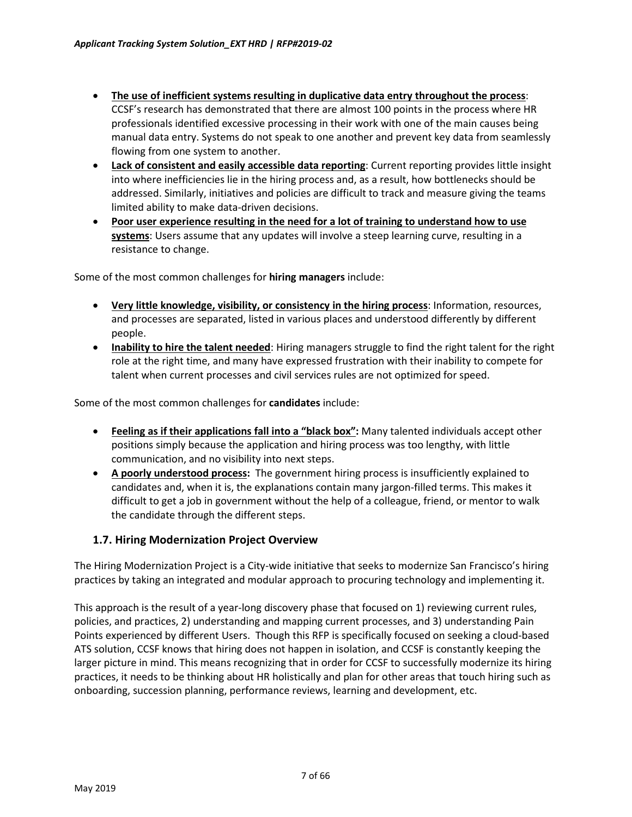- **The use of inefficient systems resulting in duplicative data entry throughout the process**: CCSF's research has demonstrated that there are almost 100 points in the process where HR professionals identified excessive processing in their work with one of the main causes being manual data entry. Systems do not speak to one another and prevent key data from seamlessly flowing from one system to another.
- **Lack of consistent and easily accessible data reporting**: Current reporting provides little insight into where inefficiencies lie in the hiring process and, as a result, how bottlenecks should be addressed. Similarly, initiatives and policies are difficult to track and measure giving the teams limited ability to make data-driven decisions.
- **Poor user experience resulting in the need for a lot of training to understand how to use systems**: Users assume that any updates will involve a steep learning curve, resulting in a resistance to change.

Some of the most common challenges for **hiring managers** include:

- **Very little knowledge, visibility, or consistency in the hiring process**: Information, resources, and processes are separated, listed in various places and understood differently by different people.
- **Inability to hire the talent needed**: Hiring managers struggle to find the right talent for the right role at the right time, and many have expressed frustration with their inability to compete for talent when current processes and civil services rules are not optimized for speed.

Some of the most common challenges for **candidates** include:

- **Feeling as if their applications fall into a "black box":** Many talented individuals accept other positions simply because the application and hiring process was too lengthy, with little communication, and no visibility into next steps.
- **A poorly understood process:** The government hiring process is insufficiently explained to candidates and, when it is, the explanations contain many jargon-filled terms. This makes it difficult to get a job in government without the help of a colleague, friend, or mentor to walk the candidate through the different steps.

### **1.7. Hiring Modernization Project Overview**

The Hiring Modernization Project is a City-wide initiative that seeks to modernize San Francisco's hiring practices by taking an integrated and modular approach to procuring technology and implementing it.

This approach is the result of a year-long discovery phase that focused on 1) reviewing current rules, policies, and practices, 2) understanding and mapping current processes, and 3) understanding Pain Points experienced by different Users. Though this RFP is specifically focused on seeking a cloud-based ATS solution, CCSF knows that hiring does not happen in isolation, and CCSF is constantly keeping the larger picture in mind. This means recognizing that in order for CCSF to successfully modernize its hiring practices, it needs to be thinking about HR holistically and plan for other areas that touch hiring such as onboarding, succession planning, performance reviews, learning and development, etc.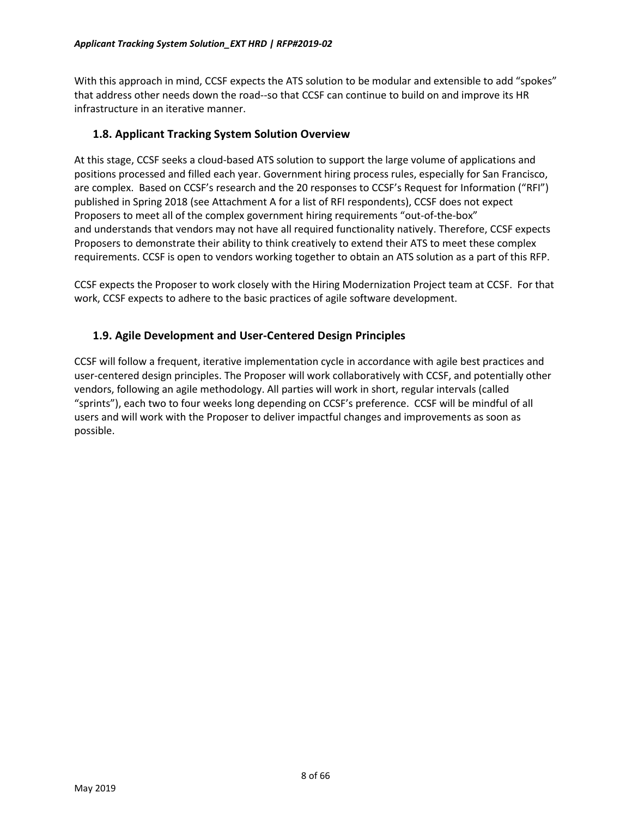With this approach in mind, CCSF expects the ATS solution to be modular and extensible to add "spokes" that address other needs down the road--so that CCSF can continue to build on and improve its HR infrastructure in an iterative manner.

### **1.8. Applicant Tracking System Solution Overview**

At this stage, CCSF seeks a cloud-based ATS solution to support the large volume of applications and positions processed and filled each year. Government hiring process rules, especially for San Francisco, are complex. Based on CCSF's research and the 20 responses to CCSF's Request for Information ("RFI") published in Spring 2018 (see Attachment A for a list of RFI respondents), CCSF does not expect Proposers to meet all of the complex government hiring requirements "out-of-the-box" and understands that vendors may not have all required functionality natively. Therefore, CCSF expects Proposers to demonstrate their ability to think creatively to extend their ATS to meet these complex requirements. CCSF is open to vendors working together to obtain an ATS solution as a part of this RFP.

CCSF expects the Proposer to work closely with the Hiring Modernization Project team at CCSF. For that work, CCSF expects to adhere to the basic practices of agile software development.

### **1.9. Agile Development and User-Centered Design Principles**

CCSF will follow a frequent, iterative implementation cycle in accordance with agile best practices and user-centered design principles. The Proposer will work collaboratively with CCSF, and potentially other vendors, following an agile methodology. All parties will work in short, regular intervals (called "sprints"), each two to four weeks long depending on CCSF's preference. CCSF will be mindful of all users and will work with the Proposer to deliver impactful changes and improvements as soon as possible.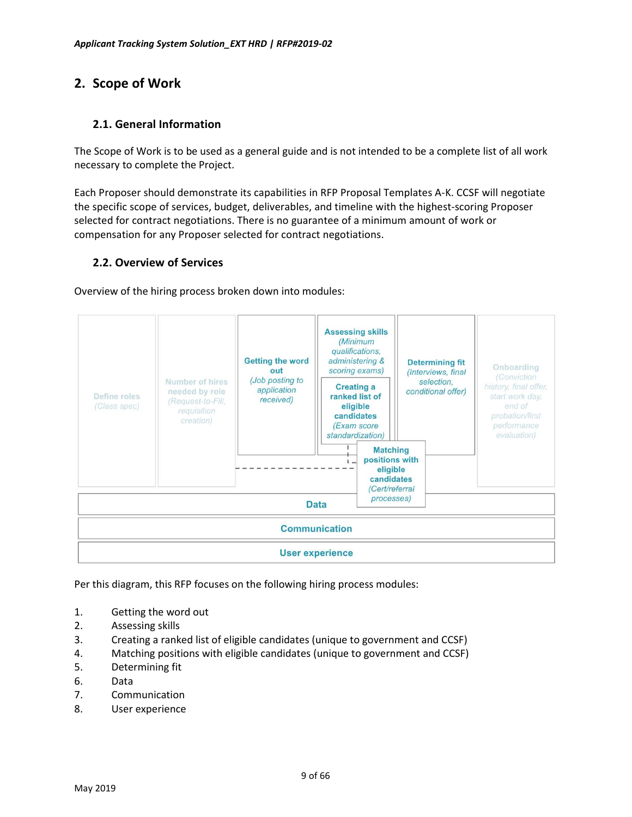# <span id="page-8-0"></span>**2. Scope of Work**

### **2.1. General Information**

The Scope of Work is to be used as a general guide and is not intended to be a complete list of all work necessary to complete the Project.

Each Proposer should demonstrate its capabilities in RFP Proposal Templates A-K. CCSF will negotiate the specific scope of services, budget, deliverables, and timeline with the highest-scoring Proposer selected for contract negotiations. There is no guarantee of a minimum amount of work or compensation for any Proposer selected for contract negotiations.

### **2.2. Overview of Services**

Overview of the hiring process broken down into modules:



Per this diagram, this RFP focuses on the following hiring process modules:

- 1. Getting the word out
- 2. Assessing skills
- 3. Creating a ranked list of eligible candidates (unique to government and CCSF)
- 4. Matching positions with eligible candidates (unique to government and CCSF)
- 5. Determining fit
- 6. Data
- 7. Communication
- 8. User experience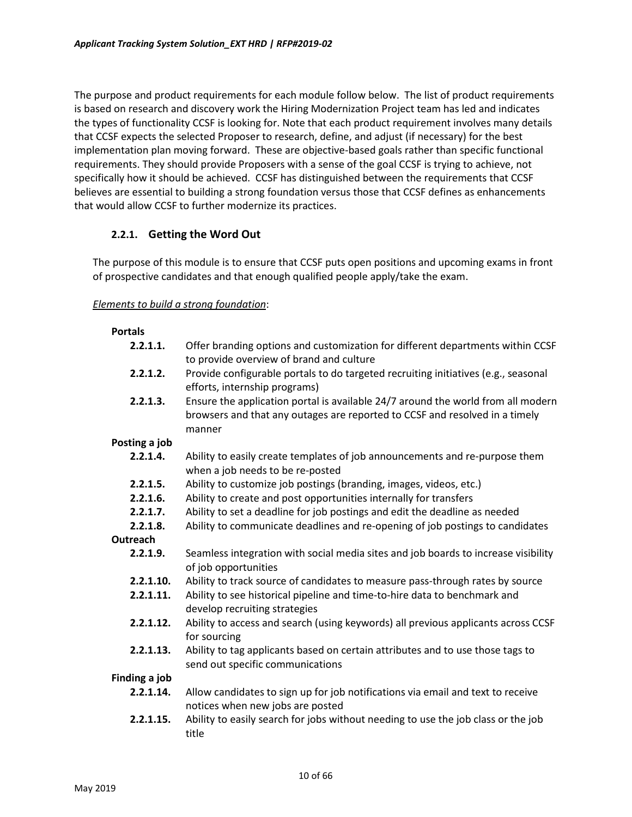The purpose and product requirements for each module follow below. The list of product requirements is based on research and discovery work the Hiring Modernization Project team has led and indicates the types of functionality CCSF is looking for. Note that each product requirement involves many details that CCSF expects the selected Proposer to research, define, and adjust (if necessary) for the best implementation plan moving forward. These are objective-based goals rather than specific functional requirements. They should provide Proposers with a sense of the goal CCSF is trying to achieve, not specifically how it should be achieved. CCSF has distinguished between the requirements that CCSF believes are essential to building a strong foundation versus those that CCSF defines as enhancements that would allow CCSF to further modernize its practices.

### **2.2.1. Getting the Word Out**

The purpose of this module is to ensure that CCSF puts open positions and upcoming exams in front of prospective candidates and that enough qualified people apply/take the exam.

#### *Elements to build a strong foundation*:

#### **Portals**

| 2.2.1.1.      | Offer branding options and customization for different departments within CCSF<br>to provide overview of brand and culture                                                |
|---------------|---------------------------------------------------------------------------------------------------------------------------------------------------------------------------|
| 2.2.1.2.      | Provide configurable portals to do targeted recruiting initiatives (e.g., seasonal<br>efforts, internship programs)                                                       |
| 2.2.1.3.      | Ensure the application portal is available 24/7 around the world from all modern<br>browsers and that any outages are reported to CCSF and resolved in a timely<br>manner |
| Posting a job |                                                                                                                                                                           |
| 2.2.1.4.      | Ability to easily create templates of job announcements and re-purpose them<br>when a job needs to be re-posted                                                           |
| 2.2.1.5.      | Ability to customize job postings (branding, images, videos, etc.)                                                                                                        |
| 2.2.1.6.      | Ability to create and post opportunities internally for transfers                                                                                                         |
| 2.2.1.7.      | Ability to set a deadline for job postings and edit the deadline as needed                                                                                                |
| 2.2.1.8.      | Ability to communicate deadlines and re-opening of job postings to candidates                                                                                             |
| Outreach      |                                                                                                                                                                           |
| 2.2.1.9.      | Seamless integration with social media sites and job boards to increase visibility<br>of job opportunities                                                                |
| 2.2.1.10.     | Ability to track source of candidates to measure pass-through rates by source                                                                                             |
| 2.2.1.11.     | Ability to see historical pipeline and time-to-hire data to benchmark and<br>develop recruiting strategies                                                                |
| 2.2.1.12.     | Ability to access and search (using keywords) all previous applicants across CCSF<br>for sourcing                                                                         |
| 2.2.1.13.     | Ability to tag applicants based on certain attributes and to use those tags to<br>send out specific communications                                                        |
| Finding a job |                                                                                                                                                                           |
| 2.2.1.14.     | Allow candidates to sign up for job notifications via email and text to receive<br>notices when new jobs are posted                                                       |
| 2.2.1.15.     | Ability to easily search for jobs without needing to use the job class or the job<br>title                                                                                |
|               |                                                                                                                                                                           |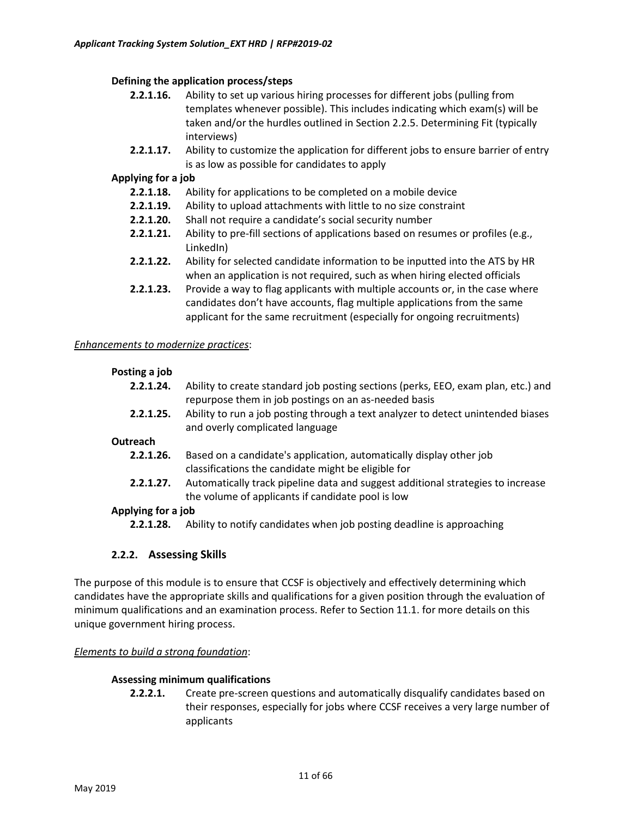### **Defining the application process/steps**

- **2.2.1.16.** Ability to set up various hiring processes for different jobs (pulling from templates whenever possible). This includes indicating which exam(s) will be taken and/or the hurdles outlined in Section 2.2.5. Determining Fit (typically interviews)
- **2.2.1.17.** Ability to customize the application for different jobs to ensure barrier of entry is as low as possible for candidates to apply

#### **Applying for a job**

- **2.2.1.18.** Ability for applications to be completed on a mobile device
- **2.2.1.19.** Ability to upload attachments with little to no size constraint
- **2.2.1.20.** Shall not require a candidate's social security number
- **2.2.1.21.** Ability to pre-fill sections of applications based on resumes or profiles (e.g., LinkedIn)
- **2.2.1.22.** Ability for selected candidate information to be inputted into the ATS by HR when an application is not required, such as when hiring elected officials
- **2.2.1.23.** Provide a way to flag applicants with multiple accounts or, in the case where candidates don't have accounts, flag multiple applications from the same applicant for the same recruitment (especially for ongoing recruitments)

#### *Enhancements to modernize practices*:

#### **Posting a job**

- **2.2.1.24.** Ability to create standard job posting sections (perks, EEO, exam plan, etc.) and repurpose them in job postings on an as-needed basis
- **2.2.1.25.** Ability to run a job posting through a text analyzer to detect unintended biases and overly complicated language

#### **Outreach**

- **2.2.1.26.** Based on a candidate's application, automatically display other job classifications the candidate might be eligible for
- **2.2.1.27.** Automatically track pipeline data and suggest additional strategies to increase the volume of applicants if candidate pool is low

### **Applying for a job**

**2.2.1.28.** Ability to notify candidates when job posting deadline is approaching

### **2.2.2. Assessing Skills**

The purpose of this module is to ensure that CCSF is objectively and effectively determining which candidates have the appropriate skills and qualifications for a given position through the evaluation of minimum qualifications and an examination process. Refer to Section 11.1. for more details on this unique government hiring process.

#### *Elements to build a strong foundation*:

#### **Assessing minimum qualifications**

**2.2.2.1.** Create pre-screen questions and automatically disqualify candidates based on their responses, especially for jobs where CCSF receives a very large number of applicants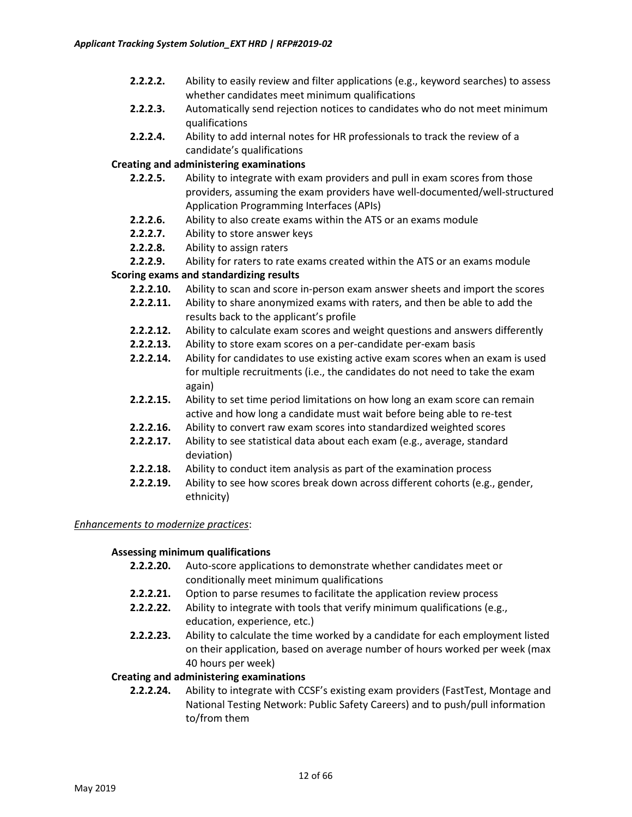- **2.2.2.2.** Ability to easily review and filter applications (e.g., keyword searches) to assess whether candidates meet minimum qualifications
- **2.2.2.3.** Automatically send rejection notices to candidates who do not meet minimum qualifications
- **2.2.2.4.** Ability to add internal notes for HR professionals to track the review of a candidate's qualifications

### **Creating and administering examinations**

- **2.2.2.5.** Ability to integrate with exam providers and pull in exam scores from those providers, assuming the exam providers have well-documented/well-structured Application Programming Interfaces (APIs)
- **2.2.2.6.** Ability to also create exams within the ATS or an exams module
- **2.2.2.7.** Ability to store answer keys
- **2.2.2.8.** Ability to assign raters
- **2.2.2.9.** Ability for raters to rate exams created within the ATS or an exams module

### **Scoring exams and standardizing results**

- **2.2.2.10.** Ability to scan and score in-person exam answer sheets and import the scores
- **2.2.2.11.** Ability to share anonymized exams with raters, and then be able to add the results back to the applicant's profile
- **2.2.2.12.** Ability to calculate exam scores and weight questions and answers differently
- **2.2.2.13.** Ability to store exam scores on a per-candidate per-exam basis
- **2.2.2.14.** Ability for candidates to use existing active exam scores when an exam is used for multiple recruitments (i.e., the candidates do not need to take the exam again)
- **2.2.2.15.** Ability to set time period limitations on how long an exam score can remain active and how long a candidate must wait before being able to re-test
- **2.2.2.16.** Ability to convert raw exam scores into standardized weighted scores
- **2.2.2.17.** Ability to see statistical data about each exam (e.g., average, standard deviation)
- **2.2.2.18.** Ability to conduct item analysis as part of the examination process
- **2.2.2.19.** Ability to see how scores break down across different cohorts (e.g., gender, ethnicity)

#### *Enhancements to modernize practices*:

### **Assessing minimum qualifications**

- **2.2.2.20.** Auto-score applications to demonstrate whether candidates meet or conditionally meet minimum qualifications
- **2.2.2.21.** Option to parse resumes to facilitate the application review process
- **2.2.2.22.** Ability to integrate with tools that verify minimum qualifications (e.g., education, experience, etc.)
- **2.2.2.23.** Ability to calculate the time worked by a candidate for each employment listed on their application, based on average number of hours worked per week (max 40 hours per week)

### **Creating and administering examinations**

**2.2.2.24.** Ability to integrate with CCSF's existing exam providers (FastTest, Montage and National Testing Network: Public Safety Careers) and to push/pull information to/from them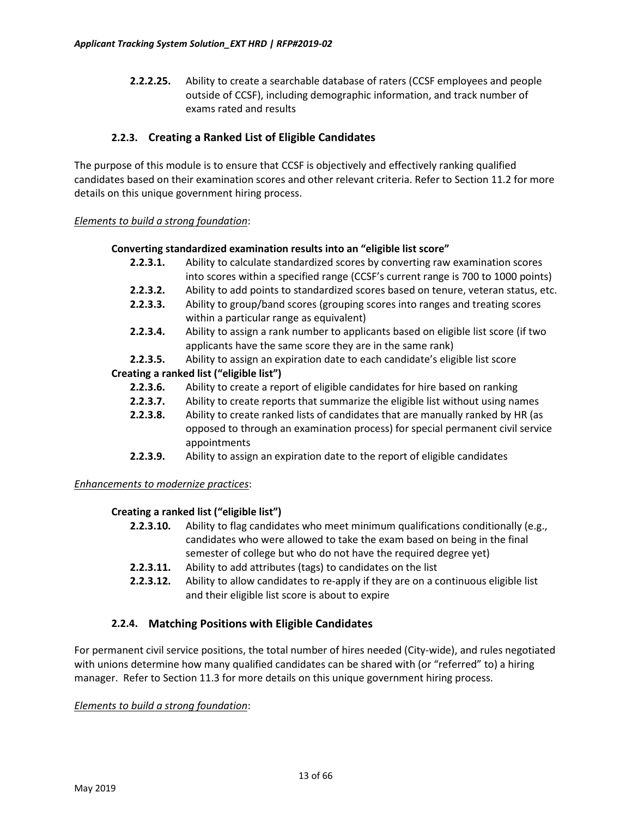**2.2.2.25.** Ability to create a searchable database of raters (CCSF employees and people outside of CCSF), including demographic information, and track number of exams rated and results

### **2.2.3. Creating a Ranked List of Eligible Candidates**

The purpose of this module is to ensure that CCSF is objectively and effectively ranking qualified candidates based on their examination scores and other relevant criteria. Refer to Section 11.2 for more details on this unique government hiring process.

#### *Elements to build a strong foundation*:

#### **Converting standardized examination results into an "eligible list score"**

- **2.2.3.1.** Ability to calculate standardized scores by converting raw examination scores into scores within a specified range (CCSF's current range is 700 to 1000 points)
- **2.2.3.2.** Ability to add points to standardized scores based on tenure, veteran status, etc.
- **2.2.3.3.** Ability to group/band scores (grouping scores into ranges and treating scores within a particular range as equivalent)
- **2.2.3.4.** Ability to assign a rank number to applicants based on eligible list score (if two applicants have the same score they are in the same rank)
- **2.2.3.5.** Ability to assign an expiration date to each candidate's eligible list score

### **Creating a ranked list ("eligible list")**

- **2.2.3.6.** Ability to create a report of eligible candidates for hire based on ranking
- **2.2.3.7.** Ability to create reports that summarize the eligible list without using names
- **2.2.3.8.** Ability to create ranked lists of candidates that are manually ranked by HR (as opposed to through an examination process) for special permanent civil service appointments
- **2.2.3.9.** Ability to assign an expiration date to the report of eligible candidates

### *Enhancements to modernize practices*:

### **Creating a ranked list ("eligible list")**

- **2.2.3.10.** Ability to flag candidates who meet minimum qualifications conditionally (e.g., candidates who were allowed to take the exam based on being in the final semester of college but who do not have the required degree yet)
- **2.2.3.11.** Ability to add attributes (tags) to candidates on the list
- **2.2.3.12.** Ability to allow candidates to re-apply if they are on a continuous eligible list and their eligible list score is about to expire

### **2.2.4. Matching Positions with Eligible Candidates**

For permanent civil service positions, the total number of hires needed (City-wide), and rules negotiated with unions determine how many qualified candidates can be shared with (or "referred" to) a hiring manager. Refer to Section 11.3 for more details on this unique government hiring process.

#### *Elements to build a strong foundation*: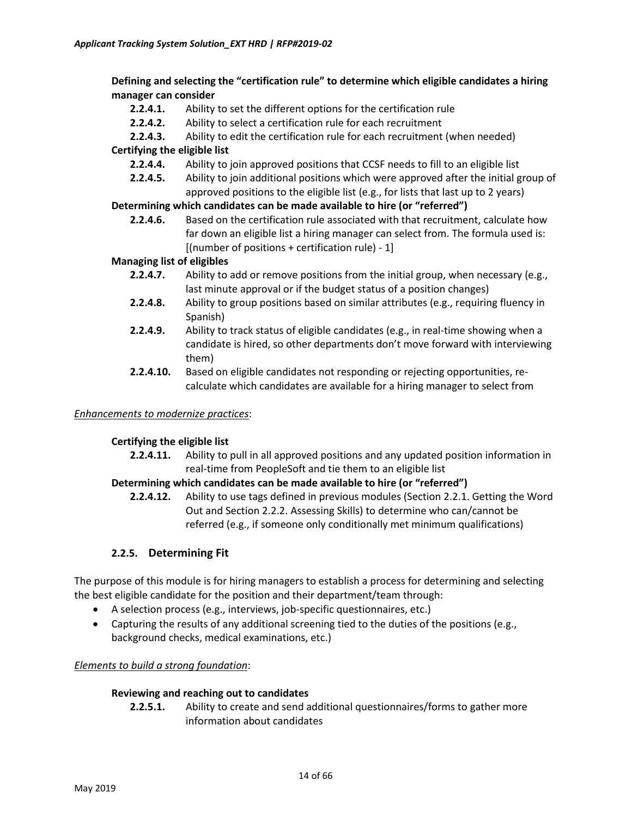**Defining and selecting the "certification rule" to determine which eligible candidates a hiring manager can consider**

- **2.2.4.1.** Ability to set the different options for the certification rule
- **2.2.4.2.** Ability to select a certification rule for each recruitment
- **2.2.4.3.** Ability to edit the certification rule for each recruitment (when needed)

#### **Certifying the eligible list**

- **2.2.4.4.** Ability to join approved positions that CCSF needs to fill to an eligible list
- **2.2.4.5.** Ability to join additional positions which were approved after the initial group of approved positions to the eligible list (e.g., for lists that last up to 2 years)

#### **Determining which candidates can be made available to hire (or "referred")**

**2.2.4.6.** Based on the certification rule associated with that recruitment, calculate how far down an eligible list a hiring manager can select from. The formula used is: [(number of positions + certification rule) - 1]

#### **Managing list of eligibles**

- **2.2.4.7.** Ability to add or remove positions from the initial group, when necessary (e.g., last minute approval or if the budget status of a position changes)
- **2.2.4.8.** Ability to group positions based on similar attributes (e.g., requiring fluency in Spanish)
- **2.2.4.9.** Ability to track status of eligible candidates (e.g., in real-time showing when a candidate is hired, so other departments don't move forward with interviewing them)
- **2.2.4.10.** Based on eligible candidates not responding or rejecting opportunities, recalculate which candidates are available for a hiring manager to select from

#### *Enhancements to modernize practices*:

#### **Certifying the eligible list**

**2.2.4.11.** Ability to pull in all approved positions and any updated position information in real-time from PeopleSoft and tie them to an eligible list

### **Determining which candidates can be made available to hire (or "referred")**

**2.2.4.12.** Ability to use tags defined in previous modules (Section 2.2.1. Getting the Word Out and Section 2.2.2. Assessing Skills) to determine who can/cannot be referred (e.g., if someone only conditionally met minimum qualifications)

### **2.2.5. Determining Fit**

The purpose of this module is for hiring managers to establish a process for determining and selecting the best eligible candidate for the position and their department/team through:

- A selection process (e.g., interviews, job-specific questionnaires, etc.)
- Capturing the results of any additional screening tied to the duties of the positions (e.g., background checks, medical examinations, etc.)

#### *Elements to build a strong foundation*:

#### **Reviewing and reaching out to candidates**

**2.2.5.1.** Ability to create and send additional questionnaires/forms to gather more information about candidates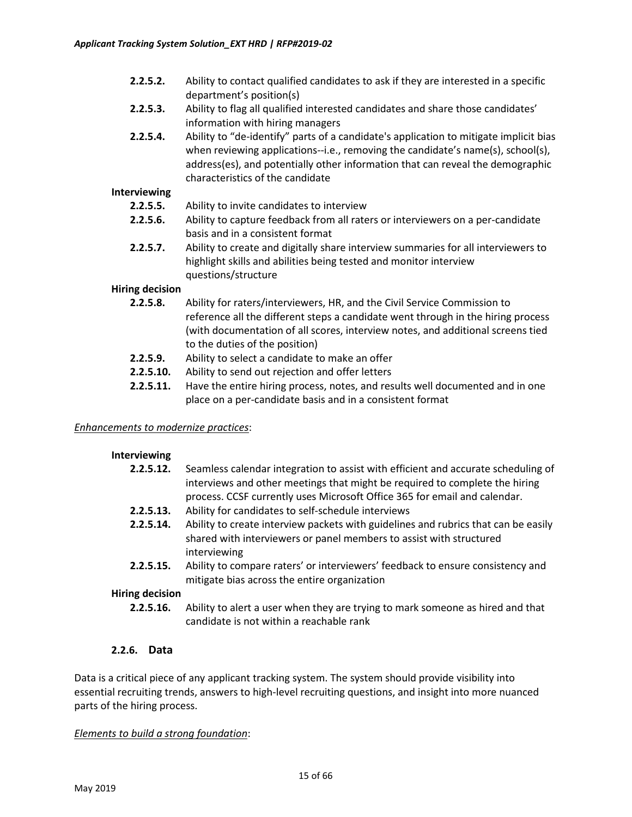- **2.2.5.2.** Ability to contact qualified candidates to ask if they are interested in a specific department's position(s)
- **2.2.5.3.** Ability to flag all qualified interested candidates and share those candidates' information with hiring managers
- **2.2.5.4.** Ability to "de-identify" parts of a candidate's application to mitigate implicit bias when reviewing applications--i.e., removing the candidate's name(s), school(s), address(es), and potentially other information that can reveal the demographic characteristics of the candidate

#### **Interviewing**

- **2.2.5.5.** Ability to invite candidates to interview
- **2.2.5.6.** Ability to capture feedback from all raters or interviewers on a per-candidate basis and in a consistent format
- **2.2.5.7.** Ability to create and digitally share interview summaries for all interviewers to highlight skills and abilities being tested and monitor interview questions/structure

#### **Hiring decision**

- **2.2.5.8.** Ability for raters/interviewers, HR, and the Civil Service Commission to reference all the different steps a candidate went through in the hiring process (with documentation of all scores, interview notes, and additional screens tied to the duties of the position)
- **2.2.5.9.** Ability to select a candidate to make an offer
- **2.2.5.10.** Ability to send out rejection and offer letters
- **2.2.5.11.** Have the entire hiring process, notes, and results well documented and in one place on a per-candidate basis and in a consistent format

#### *Enhancements to modernize practices*:

#### **Interviewing**

- **2.2.5.12.** Seamless calendar integration to assist with efficient and accurate scheduling of interviews and other meetings that might be required to complete the hiring process. CCSF currently uses Microsoft Office 365 for email and calendar.
- **2.2.5.13.** Ability for candidates to self-schedule interviews
- **2.2.5.14.** Ability to create interview packets with guidelines and rubrics that can be easily shared with interviewers or panel members to assist with structured interviewing
- **2.2.5.15.** Ability to compare raters' or interviewers' feedback to ensure consistency and mitigate bias across the entire organization

#### **Hiring decision**

**2.2.5.16.** Ability to alert a user when they are trying to mark someone as hired and that candidate is not within a reachable rank

### **2.2.6. Data**

Data is a critical piece of any applicant tracking system. The system should provide visibility into essential recruiting trends, answers to high-level recruiting questions, and insight into more nuanced parts of the hiring process.

#### *Elements to build a strong foundation*: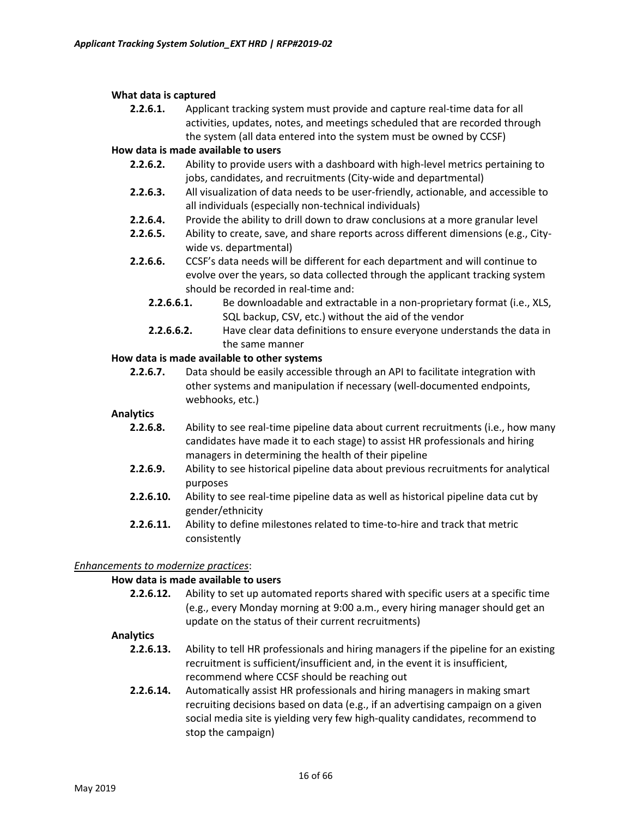#### **What data is captured**

**2.2.6.1.** Applicant tracking system must provide and capture real-time data for all activities, updates, notes, and meetings scheduled that are recorded through the system (all data entered into the system must be owned by CCSF)

### **How data is made available to users**

- **2.2.6.2.** Ability to provide users with a dashboard with high-level metrics pertaining to jobs, candidates, and recruitments (City-wide and departmental)
- **2.2.6.3.** All visualization of data needs to be user-friendly, actionable, and accessible to all individuals (especially non-technical individuals)
- **2.2.6.4.** Provide the ability to drill down to draw conclusions at a more granular level
- **2.2.6.5.** Ability to create, save, and share reports across different dimensions (e.g., Citywide vs. departmental)
- **2.2.6.6.** CCSF's data needs will be different for each department and will continue to evolve over the years, so data collected through the applicant tracking system should be recorded in real-time and:
	- **2.2.6.6.1.** Be downloadable and extractable in a non-proprietary format (i.e., XLS, SQL backup, CSV, etc.) without the aid of the vendor
	- **2.2.6.6.2.** Have clear data definitions to ensure everyone understands the data in the same manner

### **How data is made available to other systems**

**2.2.6.7.** Data should be easily accessible through an API to facilitate integration with other systems and manipulation if necessary (well-documented endpoints, webhooks, etc.)

#### **Analytics**

- **2.2.6.8.** Ability to see real-time pipeline data about current recruitments (i.e., how many candidates have made it to each stage) to assist HR professionals and hiring managers in determining the health of their pipeline
- **2.2.6.9.** Ability to see historical pipeline data about previous recruitments for analytical purposes
- **2.2.6.10.** Ability to see real-time pipeline data as well as historical pipeline data cut by gender/ethnicity
- **2.2.6.11.** Ability to define milestones related to time-to-hire and track that metric consistently

### *Enhancements to modernize practices*:

### **How data is made available to users**

**2.2.6.12.** Ability to set up automated reports shared with specific users at a specific time (e.g., every Monday morning at 9:00 a.m., every hiring manager should get an update on the status of their current recruitments)

#### **Analytics**

- **2.2.6.13.** Ability to tell HR professionals and hiring managers if the pipeline for an existing recruitment is sufficient/insufficient and, in the event it is insufficient, recommend where CCSF should be reaching out
- **2.2.6.14.** Automatically assist HR professionals and hiring managers in making smart recruiting decisions based on data (e.g., if an advertising campaign on a given social media site is yielding very few high-quality candidates, recommend to stop the campaign)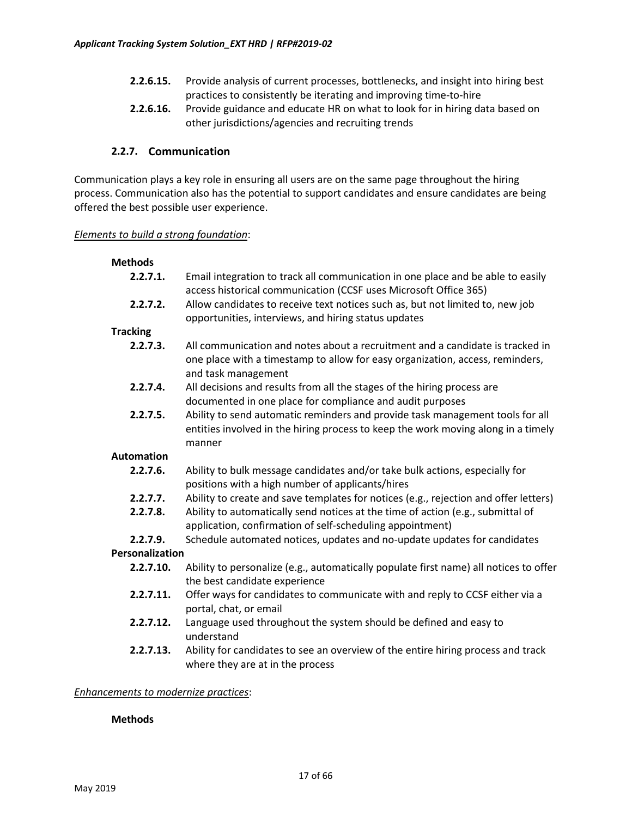- **2.2.6.15.** Provide analysis of current processes, bottlenecks, and insight into hiring best practices to consistently be iterating and improving time-to-hire
- **2.2.6.16.** Provide guidance and educate HR on what to look for in hiring data based on other jurisdictions/agencies and recruiting trends

### **2.2.7. Communication**

Communication plays a key role in ensuring all users are on the same page throughout the hiring process. Communication also has the potential to support candidates and ensure candidates are being offered the best possible user experience.

#### *Elements to build a strong foundation*:

# **Methods**

- **2.2.7.1.** Email integration to track all communication in one place and be able to easily access historical communication (CCSF uses Microsoft Office 365)
- **2.2.7.2.** Allow candidates to receive text notices such as, but not limited to, new job opportunities, interviews, and hiring status updates

### **Tracking**

- **2.2.7.3.** All communication and notes about a recruitment and a candidate is tracked in one place with a timestamp to allow for easy organization, access, reminders, and task management
- **2.2.7.4.** All decisions and results from all the stages of the hiring process are documented in one place for compliance and audit purposes
- **2.2.7.5.** Ability to send automatic reminders and provide task management tools for all entities involved in the hiring process to keep the work moving along in a timely manner

### **Automation**

- **2.2.7.6.** Ability to bulk message candidates and/or take bulk actions, especially for positions with a high number of applicants/hires
- **2.2.7.7.** Ability to create and save templates for notices (e.g., rejection and offer letters)
- **2.2.7.8.** Ability to automatically send notices at the time of action (e.g., submittal of application, confirmation of self-scheduling appointment)
- **2.2.7.9.** Schedule automated notices, updates and no-update updates for candidates

### **Personalization**

- **2.2.7.10.** Ability to personalize (e.g., automatically populate first name) all notices to offer the best candidate experience
- **2.2.7.11.** Offer ways for candidates to communicate with and reply to CCSF either via a portal, chat, or email
- **2.2.7.12.** Language used throughout the system should be defined and easy to understand
- **2.2.7.13.** Ability for candidates to see an overview of the entire hiring process and track where they are at in the process

### *Enhancements to modernize practices*:

### **Methods**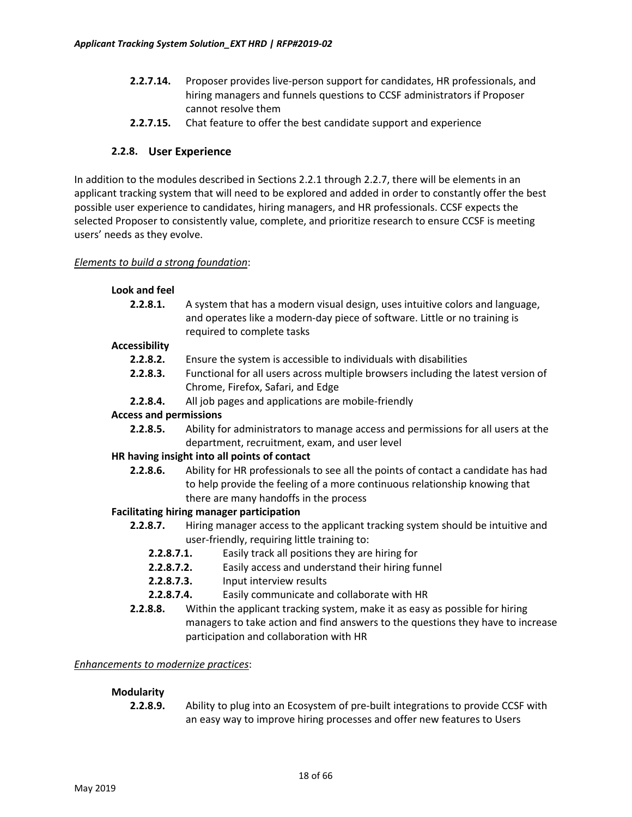- **2.2.7.14.** Proposer provides live-person support for candidates, HR professionals, and hiring managers and funnels questions to CCSF administrators if Proposer cannot resolve them
- **2.2.7.15.** Chat feature to offer the best candidate support and experience

### **2.2.8. User Experience**

In addition to the modules described in Sections 2.2.1 through 2.2.7, there will be elements in an applicant tracking system that will need to be explored and added in order to constantly offer the best possible user experience to candidates, hiring managers, and HR professionals. CCSF expects the selected Proposer to consistently value, complete, and prioritize research to ensure CCSF is meeting users' needs as they evolve.

#### *Elements to build a strong foundation*:

| Look and feel                 |                                                                                                                                                                                                           |
|-------------------------------|-----------------------------------------------------------------------------------------------------------------------------------------------------------------------------------------------------------|
| 2.2.8.1.                      | A system that has a modern visual design, uses intuitive colors and language,<br>and operates like a modern-day piece of software. Little or no training is<br>required to complete tasks                 |
| <b>Accessibility</b>          |                                                                                                                                                                                                           |
| 2.2.8.2.                      | Ensure the system is accessible to individuals with disabilities                                                                                                                                          |
| 2.2.8.3.                      | Functional for all users across multiple browsers including the latest version of<br>Chrome, Firefox, Safari, and Edge                                                                                    |
| 2.2.8.4.                      | All job pages and applications are mobile-friendly                                                                                                                                                        |
| <b>Access and permissions</b> |                                                                                                                                                                                                           |
| 2.2.8.5.                      | Ability for administrators to manage access and permissions for all users at the<br>department, recruitment, exam, and user level                                                                         |
|                               | HR having insight into all points of contact                                                                                                                                                              |
| 2.2.8.6.                      | Ability for HR professionals to see all the points of contact a candidate has had<br>to help provide the feeling of a more continuous relationship knowing that<br>there are many handoffs in the process |
|                               | <b>Facilitating hiring manager participation</b>                                                                                                                                                          |
| 2.2.8.7.                      | Hiring manager access to the applicant tracking system should be intuitive and<br>user-friendly, requiring little training to:                                                                            |
| 2.2.8.7.1.                    | Easily track all positions they are hiring for                                                                                                                                                            |
| 2.2.8.7.2.                    | Easily access and understand their hiring funnel                                                                                                                                                          |
| 2.2.8.7.3.                    | Input interview results                                                                                                                                                                                   |
| 2.2.8.7.4.                    | Easily communicate and collaborate with HR                                                                                                                                                                |
| 2.2.8.8.                      | Within the applicant tracking system, make it as easy as possible for hiring                                                                                                                              |
|                               | managers to take action and find answers to the questions they have to increase                                                                                                                           |

participation and collaboration with HR

### *Enhancements to modernize practices*:

### **Modularity**

**2.2.8.9.** Ability to plug into an Ecosystem of pre-built integrations to provide CCSF with an easy way to improve hiring processes and offer new features to Users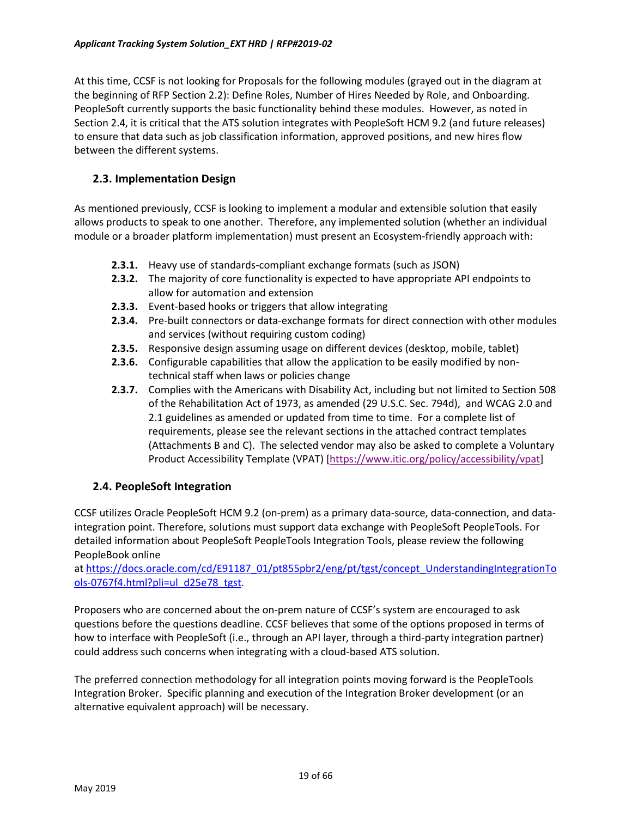At this time, CCSF is not looking for Proposals for the following modules (grayed out in the diagram at the beginning of RFP Section 2.2): Define Roles, Number of Hires Needed by Role, and Onboarding. PeopleSoft currently supports the basic functionality behind these modules. However, as noted in Section 2.4, it is critical that the ATS solution integrates with PeopleSoft HCM 9.2 (and future releases) to ensure that data such as job classification information, approved positions, and new hires flow between the different systems.

### **2.3. Implementation Design**

As mentioned previously, CCSF is looking to implement a modular and extensible solution that easily allows products to speak to one another. Therefore, any implemented solution (whether an individual module or a broader platform implementation) must present an Ecosystem-friendly approach with:

- **2.3.1.** Heavy use of standards-compliant exchange formats (such as JSON)
- **2.3.2.** The majority of core functionality is expected to have appropriate API endpoints to allow for automation and extension
- **2.3.3.** Event-based hooks or triggers that allow integrating
- **2.3.4.** Pre-built connectors or data-exchange formats for direct connection with other modules and services (without requiring custom coding)
- **2.3.5.** Responsive design assuming usage on different devices (desktop, mobile, tablet)
- **2.3.6.** Configurable capabilities that allow the application to be easily modified by nontechnical staff when laws or policies change
- **2.3.7.** Complies with the Americans with Disability Act, including but not limited to Section 508 of the Rehabilitation Act of 1973, as amended (29 U.S.C. Sec. 794d), and WCAG 2.0 and 2.1 guidelines as amended or updated from time to time. For a complete list of requirements, please see the relevant sections in the attached contract templates (Attachments B and C). The selected vendor may also be asked to complete a Voluntary Product Accessibility Template (VPAT) [<https://www.itic.org/policy/accessibility/vpat>]

### **2.4. PeopleSoft Integration**

CCSF utilizes Oracle PeopleSoft HCM 9.2 (on-prem) as a primary data-source, data-connection, and dataintegration point. Therefore, solutions must support data exchange with PeopleSoft PeopleTools. For detailed information about PeopleSoft PeopleTools Integration Tools, please review the following PeopleBook online

at [https://docs.oracle.com/cd/E91187\\_01/pt855pbr2/eng/pt/tgst/concept\\_UnderstandingIntegrationTo](https://docs.oracle.com/cd/E91187_01/pt855pbr2/eng/pt/tgst/concept_UnderstandingIntegrationTools-0767f4.html?pli=ul_d25e78_tgst) ols-[0767f4.html?pli=ul\\_d25e78\\_tgst](https://docs.oracle.com/cd/E91187_01/pt855pbr2/eng/pt/tgst/concept_UnderstandingIntegrationTools-0767f4.html?pli=ul_d25e78_tgst).

Proposers who are concerned about the on-prem nature of CCSF's system are encouraged to ask questions before the questions deadline. CCSF believes that some of the options proposed in terms of how to interface with PeopleSoft (i.e., through an API layer, through a third-party integration partner) could address such concerns when integrating with a cloud-based ATS solution.

The preferred connection methodology for all integration points moving forward is the PeopleTools Integration Broker. Specific planning and execution of the Integration Broker development (or an alternative equivalent approach) will be necessary.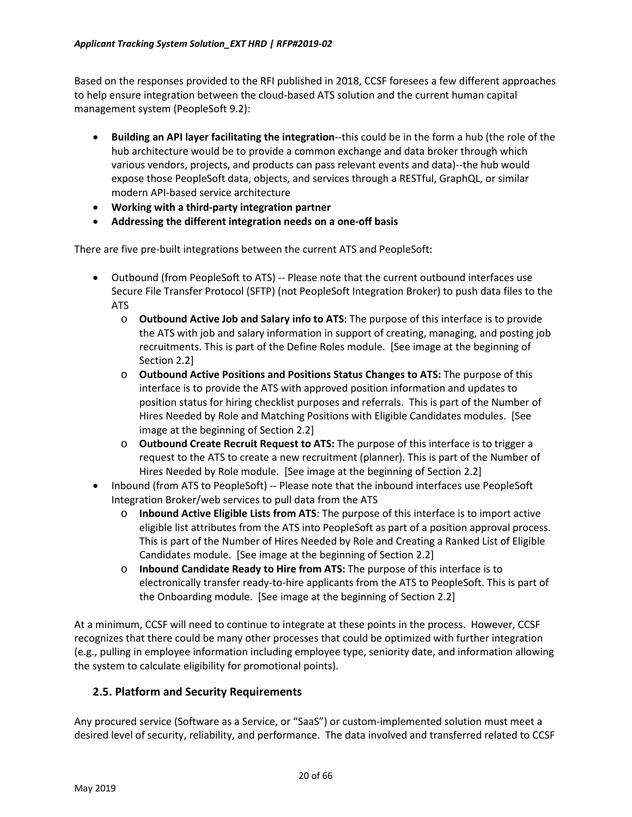Based on the responses provided to the RFI published in 2018, CCSF foresees a few different approaches to help ensure integration between the cloud-based ATS solution and the current human capital management system (PeopleSoft 9.2):

- **Building an API layer facilitating the integration**--this could be in the form a hub (the role of the hub architecture would be to provide a common exchange and data broker through which various vendors, projects, and products can pass relevant events and data)--the hub would expose those PeopleSoft data, objects, and services through a RESTful, GraphQL, or similar modern API-based service architecture
- **Working with a third-party integration partner**
- **Addressing the different integration needs on a one-off basis**

There are five pre-built integrations between the current ATS and PeopleSoft:

- Outbound (from PeopleSoft to ATS) -- Please note that the current outbound interfaces use Secure File Transfer Protocol (SFTP) (not PeopleSoft Integration Broker) to push data files to the ATS
	- o **Outbound Active Job and Salary info to ATS**: The purpose of this interface is to provide the ATS with job and salary information in support of creating, managing, and posting job recruitments. This is part of the Define Roles module. [See image at the beginning of Section 2.2]
	- o **Outbound Active Positions and Positions Status Changes to ATS:** The purpose of this interface is to provide the ATS with approved position information and updates to position status for hiring checklist purposes and referrals. This is part of the Number of Hires Needed by Role and Matching Positions with Eligible Candidates modules. [See image at the beginning of Section 2.2]
	- o **Outbound Create Recruit Request to ATS:** The purpose of this interface is to trigger a request to the ATS to create a new recruitment (planner). This is part of the Number of Hires Needed by Role module. [See image at the beginning of Section 2.2]
- Inbound (from ATS to PeopleSoft) -- Please note that the inbound interfaces use PeopleSoft Integration Broker/web services to pull data from the ATS
	- o **Inbound Active Eligible Lists from ATS**: The purpose of this interface is to import active eligible list attributes from the ATS into PeopleSoft as part of a position approval process. This is part of the Number of Hires Needed by Role and Creating a Ranked List of Eligible Candidates module. [See image at the beginning of Section 2.2]
	- o **Inbound Candidate Ready to Hire from ATS:** The purpose of this interface is to electronically transfer ready-to-hire applicants from the ATS to PeopleSoft. This is part of the Onboarding module. [See image at the beginning of Section 2.2]

At a minimum, CCSF will need to continue to integrate at these points in the process. However, CCSF recognizes that there could be many other processes that could be optimized with further integration (e.g., pulling in employee information including employee type, seniority date, and information allowing the system to calculate eligibility for promotional points).

### **2.5. Platform and Security Requirements**

Any procured service (Software as a Service, or "SaaS") or custom-implemented solution must meet a desired level of security, reliability, and performance. The data involved and transferred related to CCSF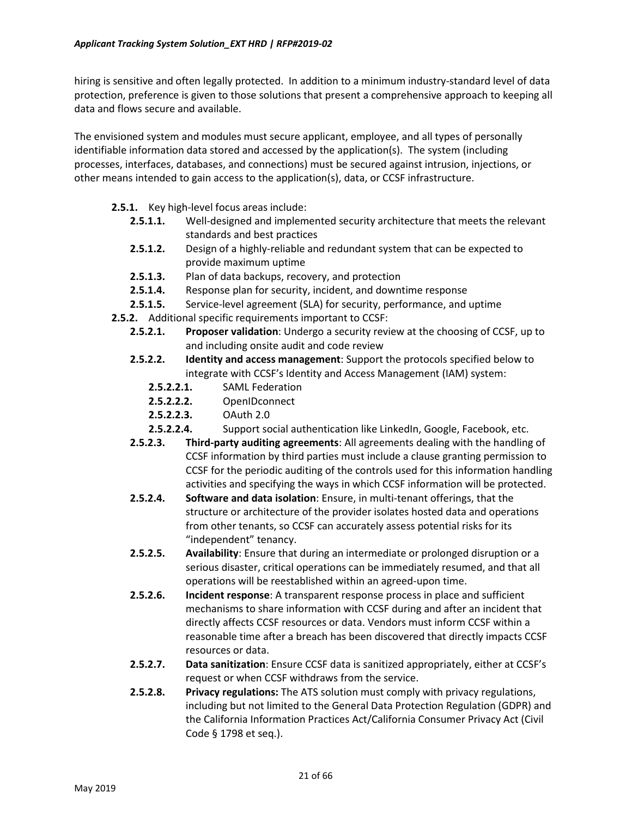hiring is sensitive and often legally protected. In addition to a minimum industry-standard level of data protection, preference is given to those solutions that present a comprehensive approach to keeping all data and flows secure and available.

The envisioned system and modules must secure applicant, employee, and all types of personally identifiable information data stored and accessed by the application(s). The system (including processes, interfaces, databases, and connections) must be secured against intrusion, injections, or other means intended to gain access to the application(s), data, or CCSF infrastructure.

- **2.5.1.** Key high-level focus areas include:
	- **2.5.1.1.** Well-designed and implemented security architecture that meets the relevant standards and best practices
	- **2.5.1.2.** Design of a highly-reliable and redundant system that can be expected to provide maximum uptime
	- **2.5.1.3.** Plan of data backups, recovery, and protection
	- **2.5.1.4.** Response plan for security, incident, and downtime response
	- **2.5.1.5.** Service-level agreement (SLA) for security, performance, and uptime
- **2.5.2.** Additional specific requirements important to CCSF:
	- **2.5.2.1. Proposer validation**: Undergo a security review at the choosing of CCSF, up to and including onsite audit and code review
	- **2.5.2.2. Identity and access management**: Support the protocols specified below to integrate with CCSF's Identity and Access Management (IAM) system:
		- **2.5.2.2.1.** SAML Federation
		- **2.5.2.2.2.** OpenIDconnect
		- **2.5.2.2.3.** OAuth 2.0
		- 2.5.2.2.4. Support social authentication like LinkedIn, Google, Facebook, etc.
	- **2.5.2.3. Third-party auditing agreements**: All agreements dealing with the handling of CCSF information by third parties must include a clause granting permission to CCSF for the periodic auditing of the controls used for this information handling activities and specifying the ways in which CCSF information will be protected.
	- **2.5.2.4. Software and data isolation**: Ensure, in multi-tenant offerings, that the structure or architecture of the provider isolates hosted data and operations from other tenants, so CCSF can accurately assess potential risks for its "independent" tenancy.
	- **2.5.2.5. Availability**: Ensure that during an intermediate or prolonged disruption or a serious disaster, critical operations can be immediately resumed, and that all operations will be reestablished within an agreed-upon time.
	- **2.5.2.6. Incident response**: A transparent response process in place and sufficient mechanisms to share information with CCSF during and after an incident that directly affects CCSF resources or data. Vendors must inform CCSF within a reasonable time after a breach has been discovered that directly impacts CCSF resources or data.
	- **2.5.2.7. Data sanitization**: Ensure CCSF data is sanitized appropriately, either at CCSF's request or when CCSF withdraws from the service.
	- **2.5.2.8. Privacy regulations:** The ATS solution must comply with privacy regulations, including but not limited to the General Data Protection Regulation (GDPR) and the California Information Practices Act/California Consumer Privacy Act (Civil Code § 1798 et seq.).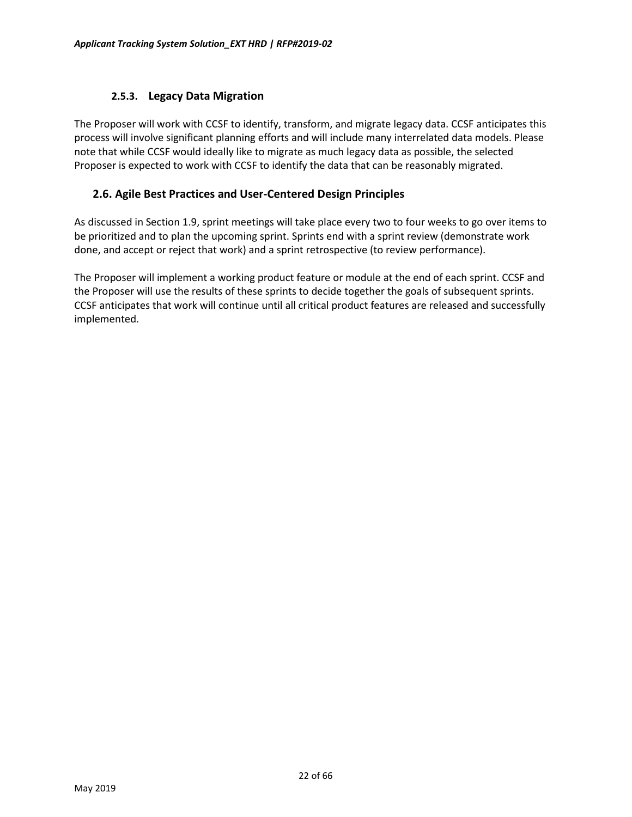### **2.5.3. Legacy Data Migration**

The Proposer will work with CCSF to identify, transform, and migrate legacy data. CCSF anticipates this process will involve significant planning efforts and will include many interrelated data models. Please note that while CCSF would ideally like to migrate as much legacy data as possible, the selected Proposer is expected to work with CCSF to identify the data that can be reasonably migrated.

### **2.6. Agile Best Practices and User-Centered Design Principles**

As discussed in Section 1.9, sprint meetings will take place every two to four weeks to go over items to be prioritized and to plan the upcoming sprint. Sprints end with a sprint review (demonstrate work done, and accept or reject that work) and a sprint retrospective (to review performance).

The Proposer will implement a working product feature or module at the end of each sprint. CCSF and the Proposer will use the results of these sprints to decide together the goals of subsequent sprints. CCSF anticipates that work will continue until all critical product features are released and successfully implemented.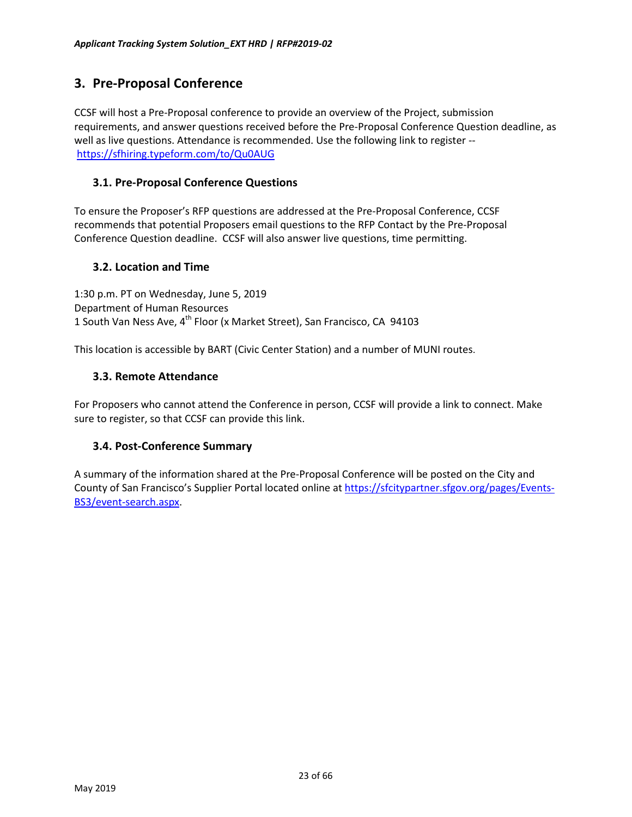# <span id="page-22-0"></span>**3. Pre-Proposal Conference**

CCSF will host a Pre-Proposal conference to provide an overview of the Project, submission requirements, and answer questions received before the Pre-Proposal Conference Question deadline, as well as live questions. Attendance is recommended. Use the following link to register - <https://sfhiring.typeform.com/to/Qu0AUG>

### **3.1. Pre-Proposal Conference Questions**

To ensure the Proposer's RFP questions are addressed at the Pre-Proposal Conference, CCSF recommends that potential Proposers email questions to the RFP Contact by the Pre-Proposal Conference Question deadline. CCSF will also answer live questions, time permitting.

### **3.2. Location and Time**

1:30 p.m. PT on Wednesday, June 5, 2019 Department of Human Resources 1 South Van Ness Ave, 4<sup>th</sup> Floor (x Market Street), San Francisco, CA 94103

This location is accessible by BART (Civic Center Station) and a number of MUNI routes.

### **3.3. Remote Attendance**

For Proposers who cannot attend the Conference in person, CCSF will provide a link to connect. Make sure to register, so that CCSF can provide this link.

### **3.4. Post-Conference Summary**

A summary of the information shared at the Pre-Proposal Conference will be posted on the City and County of San Francisco's Supplier Portal located online at [https://sfcitypartner.sfgov.org/pages/Events](https://sfcitypartner.sfgov.org/pages/Events-BS3/event-search.aspx)-BS3/event[-search.aspx.](https://sfcitypartner.sfgov.org/pages/Events-BS3/event-search.aspx)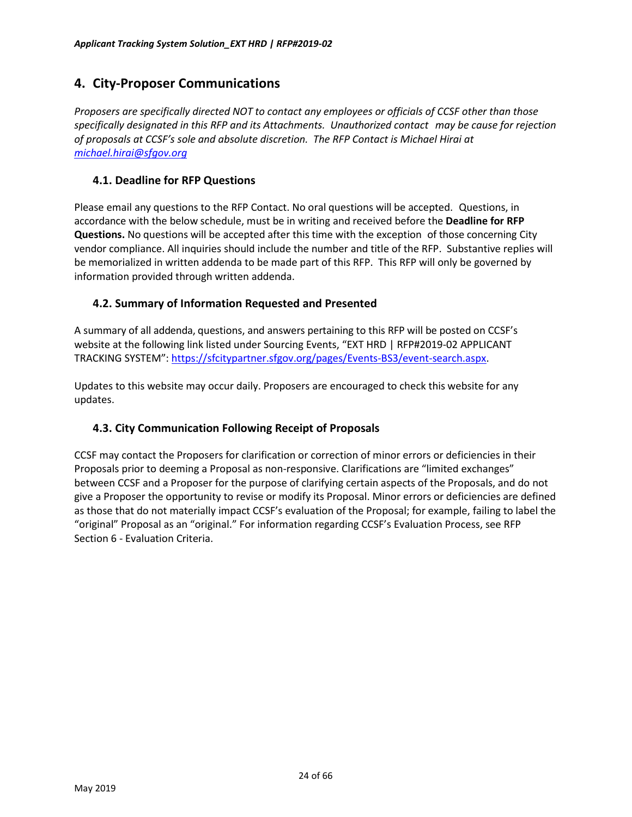# <span id="page-23-0"></span>**4. City-Proposer Communications**

*Proposers are specifically directed NOT to contact any employees or officials of CCSF other than those specifically designated in this RFP and its Attachments. Unauthorized contact may be cause for rejection of proposals at CCSF's sole and absolute discretion. The RFP Contact is Michael Hirai at [michael.hirai@sfgov.org](mailto:michael.hirai@sfgov.org)*

### **4.1. Deadline for RFP Questions**

Please email any questions to the RFP Contact. No oral questions will be accepted. Questions, in accordance with the below schedule, must be in writing and received before the **Deadline for RFP Questions.** No questions will be accepted after this time with the exception of those concerning City vendor compliance. All inquiries should include the number and title of the RFP. Substantive replies will be memorialized in written addenda to be made part of this RFP. This RFP will only be governed by information provided through written addenda.

### **4.2. Summary of Information Requested and Presented**

A summary of all addenda, questions, and answers pertaining to this RFP will be posted on CCSF's website at the following link listed under Sourcing Events, "EXT HRD | RFP#2019-02 APPLICANT TRACKING SYSTEM": [https://sfcitypartner.sfgov.org/pages/Events](https://sfcitypartner.sfgov.org/pages/Events-BS3/event-search.aspx)-BS3/event-search.aspx.

Updates to this website may occur daily. Proposers are encouraged to check this website for any updates.

### **4.3. City Communication Following Receipt of Proposals**

CCSF may contact the Proposers for clarification or correction of minor errors or deficiencies in their Proposals prior to deeming a Proposal as non-responsive. Clarifications are "limited exchanges" between CCSF and a Proposer for the purpose of clarifying certain aspects of the Proposals, and do not give a Proposer the opportunity to revise or modify its Proposal. Minor errors or deficiencies are defined as those that do not materially impact CCSF's evaluation of the Proposal; for example, failing to label the "original" Proposal as an "original." For information regarding CCSF's Evaluation Process, see RFP Section 6 - Evaluation Criteria.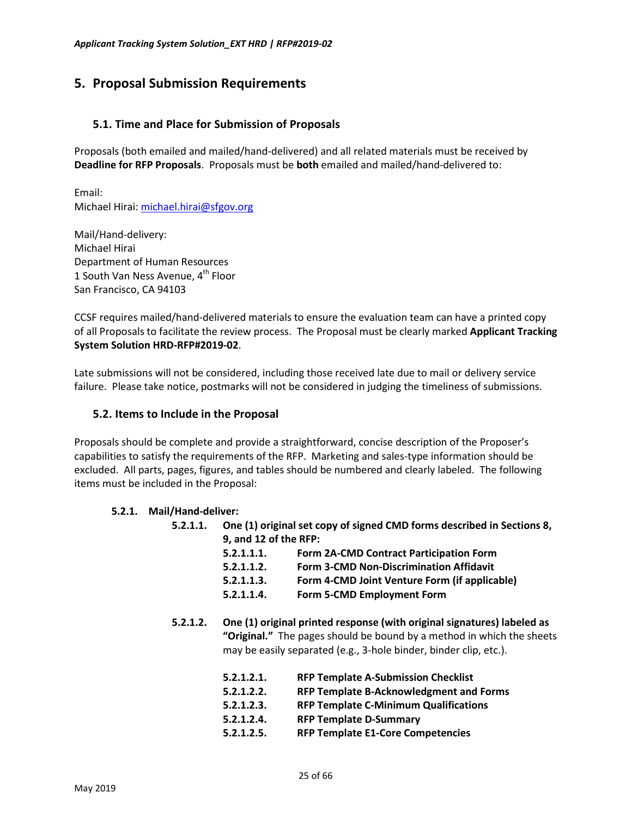# <span id="page-24-0"></span>**5. Proposal Submission Requirements**

### **5.1. Time and Place for Submission of Proposals**

Proposals (both emailed and mailed/hand-delivered) and all related materials must be received by **Deadline for RFP Proposals**. Proposals must be **both** emailed and mailed/hand-delivered to:

Email: Michael Hirai: [michael.hirai@sfgov.org](mailto:michael.hirai@sfgov.org)

Mail/Hand-delivery: Michael Hirai Department of Human Resources 1 South Van Ness Avenue,  $4<sup>th</sup>$  Floor San Francisco, CA 94103

CCSF requires mailed/hand-delivered materials to ensure the evaluation team can have a printed copy of all Proposals to facilitate the review process. The Proposal must be clearly marked **Applicant Tracking System Solution HRD-RFP#2019-02**.

Late submissions will not be considered, including those received late due to mail or delivery service failure. Please take notice, postmarks will not be considered in judging the timeliness of submissions.

### **5.2. Items to Include in the Proposal**

Proposals should be complete and provide a straightforward, concise description of the Proposer's capabilities to satisfy the requirements of the RFP. Marketing and sales-type information should be excluded. All parts, pages, figures, and tables should be numbered and clearly labeled. The following items must be included in the Proposal:

### **5.2.1. Mail/Hand-deliver:**

| 5.2.1.1. | One (1) original set copy of signed CMD forms described in Sections 8, |                                                                                                                                            |  |  |  |
|----------|------------------------------------------------------------------------|--------------------------------------------------------------------------------------------------------------------------------------------|--|--|--|
|          | 9, and 12 of the RFP:                                                  |                                                                                                                                            |  |  |  |
|          | 5.2.1.1.1.                                                             | Form 2A-CMD Contract Participation Form                                                                                                    |  |  |  |
|          | 5.2.1.1.2.                                                             | <b>Form 3-CMD Non-Discrimination Affidavit</b>                                                                                             |  |  |  |
|          | 5.2.1.1.3.                                                             | Form 4-CMD Joint Venture Form (if applicable)                                                                                              |  |  |  |
|          | 5.2.1.1.4.                                                             | Form 5-CMD Employment Form                                                                                                                 |  |  |  |
| 5.2.1.2. |                                                                        | One (1) original printed response (with original signatures) labeled as                                                                    |  |  |  |
|          |                                                                        | "Original." The pages should be bound by a method in which the sheets<br>may be easily separated (e.g., 3-hole binder, binder clip, etc.). |  |  |  |
|          | 5.2.1.2.1.                                                             | <b>RFP Template A-Submission Checklist</b>                                                                                                 |  |  |  |
|          | 5.2.1.2.2.                                                             | <b>RFP Template B-Acknowledgment and Forms</b>                                                                                             |  |  |  |
|          | 5.2.1.2.3.                                                             | <b>RFP Template C-Minimum Qualifications</b>                                                                                               |  |  |  |
|          | 5.2.1.2.4.                                                             | <b>RFP Template D-Summary</b>                                                                                                              |  |  |  |
|          | 5.2.1.2.5.                                                             | <b>RFP Template E1-Core Competencies</b>                                                                                                   |  |  |  |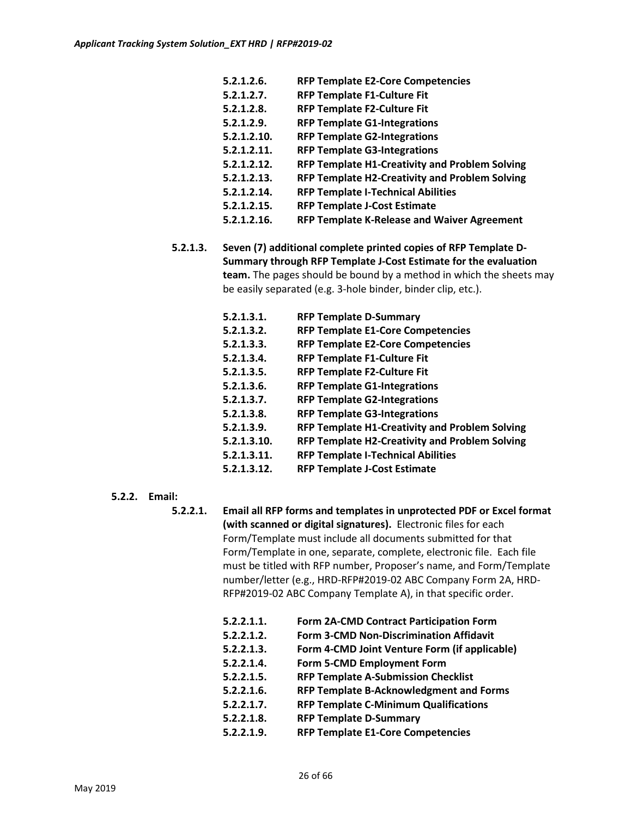| 5.2.1.2.6.  | <b>RFP Template E2-Core Competencies</b>              |
|-------------|-------------------------------------------------------|
| 5.2.1.2.7.  | <b>RFP Template F1-Culture Fit</b>                    |
| 5.2.1.2.8.  | <b>RFP Template F2-Culture Fit</b>                    |
| 5.2.1.2.9.  | <b>RFP Template G1-Integrations</b>                   |
| 5.2.1.2.10. | <b>RFP Template G2-Integrations</b>                   |
| 5.2.1.2.11. | <b>RFP Template G3-Integrations</b>                   |
| 5.2.1.2.12. | <b>RFP Template H1-Creativity and Problem Solving</b> |
| 5.2.1.2.13. | <b>RFP Template H2-Creativity and Problem Solving</b> |
| 5.2.1.2.14. | <b>RFP Template I-Technical Abilities</b>             |
| 5.2.1.2.15. | <b>RFP Template J-Cost Estimate</b>                   |
| 5.2.1.2.16. | <b>RFP Template K-Release and Waiver Agreement</b>    |
|             |                                                       |

**5.2.1.3. Seven (7) additional complete printed copies of RFP Template D-Summary through RFP Template J-Cost Estimate for the evaluation team.** The pages should be bound by a method in which the sheets may be easily separated (e.g. 3-hole binder, binder clip, etc.).

| 5.2.1.3.1.  | <b>RFP Template D-Summary</b>                         |
|-------------|-------------------------------------------------------|
| 5.2.1.3.2.  | <b>RFP Template E1-Core Competencies</b>              |
| 5.2.1.3.3.  | <b>RFP Template E2-Core Competencies</b>              |
| 5.2.1.3.4.  | <b>RFP Template F1-Culture Fit</b>                    |
| 5.2.1.3.5.  | <b>RFP Template F2-Culture Fit</b>                    |
| 5.2.1.3.6.  | <b>RFP Template G1-Integrations</b>                   |
| 5.2.1.3.7.  | <b>RFP Template G2-Integrations</b>                   |
| 5.2.1.3.8.  | <b>RFP Template G3-Integrations</b>                   |
| 5.2.1.3.9.  | RFP Template H1-Creativity and Problem Solving        |
| 5.2.1.3.10. | <b>RFP Template H2-Creativity and Problem Solving</b> |
| 5.2.1.3.11. | <b>RFP Template I-Technical Abilities</b>             |
| 5.2.1.3.12. | <b>RFP Template J-Cost Estimate</b>                   |

- **5.2.2. Email:**
	- **5.2.2.1. Email all RFP forms and templates in unprotected PDF or Excel format (with scanned or digital signatures).** Electronic files for each Form/Template must include all documents submitted for that Form/Template in one, separate, complete, electronic file. Each file must be titled with RFP number, Proposer's name, and Form/Template number/letter (e.g., HRD-RFP#2019-02 ABC Company Form 2A, HRD-RFP#2019-02 ABC Company Template A), in that specific order.

| 5.2.2.1.1. | Form 2A-CMD Contract Participation Form       |
|------------|-----------------------------------------------|
| 5.2.2.1.2. | Form 3-CMD Non-Discrimination Affidavit       |
| 5.2.2.1.3. | Form 4-CMD Joint Venture Form (if applicable) |
| 5.2.2.1.4. | Form 5-CMD Employment Form                    |
| 5.2.2.1.5. | <b>RFP Template A-Submission Checklist</b>    |
| 5.2.2.1.6. | RFP Template B-Acknowledgment and Forms       |
| 5.2.2.1.7. | <b>RFP Template C-Minimum Qualifications</b>  |
| 5.2.2.1.8. | <b>RFP Template D-Summary</b>                 |
| 5.2.2.1.9. | <b>RFP Template E1-Core Competencies</b>      |
|            |                                               |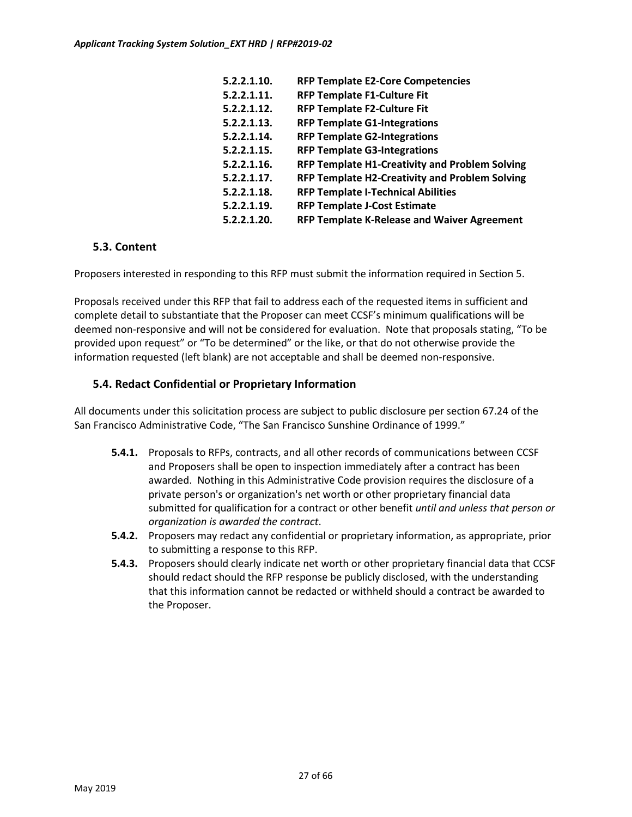| 5.2.2.1.10. | <b>RFP Template E2-Core Competencies</b>              |
|-------------|-------------------------------------------------------|
| 5.2.2.1.11. | <b>RFP Template F1-Culture Fit</b>                    |
| 5.2.2.1.12. | <b>RFP Template F2-Culture Fit</b>                    |
| 5.2.2.1.13. | <b>RFP Template G1-Integrations</b>                   |
| 5.2.2.1.14. | <b>RFP Template G2-Integrations</b>                   |
| 5.2.2.1.15. | <b>RFP Template G3-Integrations</b>                   |
| 5.2.2.1.16. | <b>RFP Template H1-Creativity and Problem Solving</b> |
| 5.2.2.1.17. | <b>RFP Template H2-Creativity and Problem Solving</b> |
| 5.2.2.1.18. | <b>RFP Template I-Technical Abilities</b>             |
| 5.2.2.1.19. | <b>RFP Template J-Cost Estimate</b>                   |
| 5.2.2.1.20. | <b>RFP Template K-Release and Waiver Agreement</b>    |

### **5.3. Content**

Proposers interested in responding to this RFP must submit the information required in Section 5.

Proposals received under this RFP that fail to address each of the requested items in sufficient and complete detail to substantiate that the Proposer can meet CCSF's minimum qualifications will be deemed non-responsive and will not be considered for evaluation. Note that proposals stating, "To be provided upon request" or "To be determined" or the like, or that do not otherwise provide the information requested (left blank) are not acceptable and shall be deemed non-responsive.

### **5.4. Redact Confidential or Proprietary Information**

All documents under this solicitation process are subject to public disclosure per section 67.24 of the San Francisco Administrative Code, "The San Francisco Sunshine Ordinance of 1999."

- **5.4.1.** Proposals to RFPs, contracts, and all other records of communications between CCSF and Proposers shall be open to inspection immediately after a contract has been awarded. Nothing in this Administrative Code provision requires the disclosure of a private person's or organization's net worth or other proprietary financial data submitted for qualification for a contract or other benefit *until and unless that person or organization is awarded the contract*.
- **5.4.2.** Proposers may redact any confidential or proprietary information, as appropriate, prior to submitting a response to this RFP.
- **5.4.3.** Proposers should clearly indicate net worth or other proprietary financial data that CCSF should redact should the RFP response be publicly disclosed, with the understanding that this information cannot be redacted or withheld should a contract be awarded to the Proposer.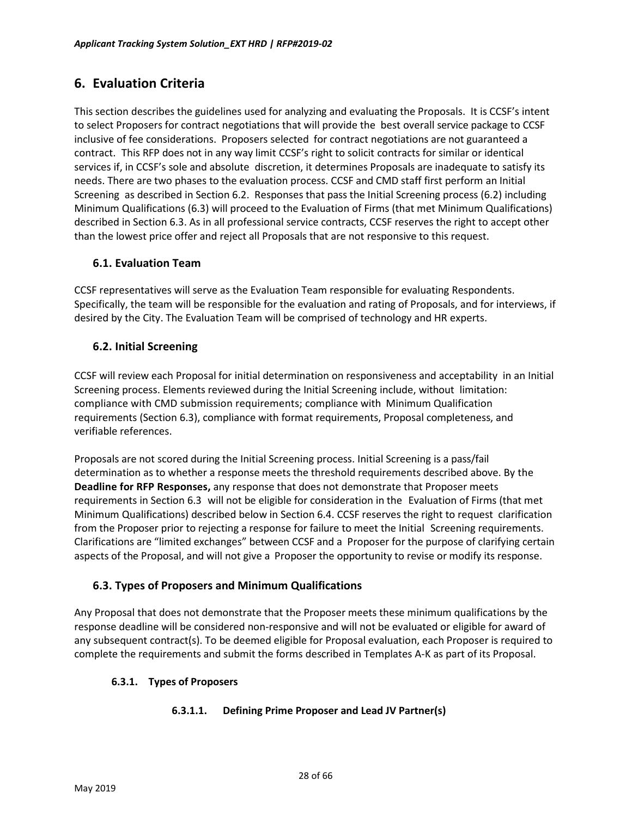# <span id="page-27-0"></span>**6. Evaluation Criteria**

This section describes the guidelines used for analyzing and evaluating the Proposals. It is CCSF's intent to select Proposers for contract negotiations that will provide the best overall service package to CCSF inclusive of fee considerations. Proposers selected for contract negotiations are not guaranteed a contract. This RFP does not in any way limit CCSF's right to solicit contracts for similar or identical services if, in CCSF's sole and absolute discretion, it determines Proposals are inadequate to satisfy its needs. There are two phases to the evaluation process. CCSF and CMD staff first perform an Initial Screening as described in Section 6.2. Responses that pass the Initial Screening process (6.2) including Minimum Qualifications (6.3) will proceed to the Evaluation of Firms (that met Minimum Qualifications) described in Section 6.3. As in all professional service contracts, CCSF reserves the right to accept other than the lowest price offer and reject all Proposals that are not responsive to this request.

### **6.1. Evaluation Team**

CCSF representatives will serve as the Evaluation Team responsible for evaluating Respondents. Specifically, the team will be responsible for the evaluation and rating of Proposals, and for interviews, if desired by the City. The Evaluation Team will be comprised of technology and HR experts.

### **6.2. Initial Screening**

CCSF will review each Proposal for initial determination on responsiveness and acceptability in an Initial Screening process. Elements reviewed during the Initial Screening include, without limitation: compliance with CMD submission requirements; compliance with Minimum Qualification requirements (Section 6.3), compliance with format requirements, Proposal completeness, and verifiable references.

Proposals are not scored during the Initial Screening process. Initial Screening is a pass/fail determination as to whether a response meets the threshold requirements described above. By the **Deadline for RFP Responses,** any response that does not demonstrate that Proposer meets requirements in Section 6.3 will not be eligible for consideration in the Evaluation of Firms (that met Minimum Qualifications) described below in Section 6.4. CCSF reserves the right to request clarification from the Proposer prior to rejecting a response for failure to meet the Initial Screening requirements. Clarifications are "limited exchanges" between CCSF and a Proposer for the purpose of clarifying certain aspects of the Proposal, and will not give a Proposer the opportunity to revise or modify its response.

### **6.3. Types of Proposers and Minimum Qualifications**

Any Proposal that does not demonstrate that the Proposer meets these minimum qualifications by the response deadline will be considered non-responsive and will not be evaluated or eligible for award of any subsequent contract(s). To be deemed eligible for Proposal evaluation, each Proposer is required to complete the requirements and submit the forms described in Templates A-K as part of its Proposal.

### **6.3.1. Types of Proposers**

### **6.3.1.1. Defining Prime Proposer and Lead JV Partner(s)**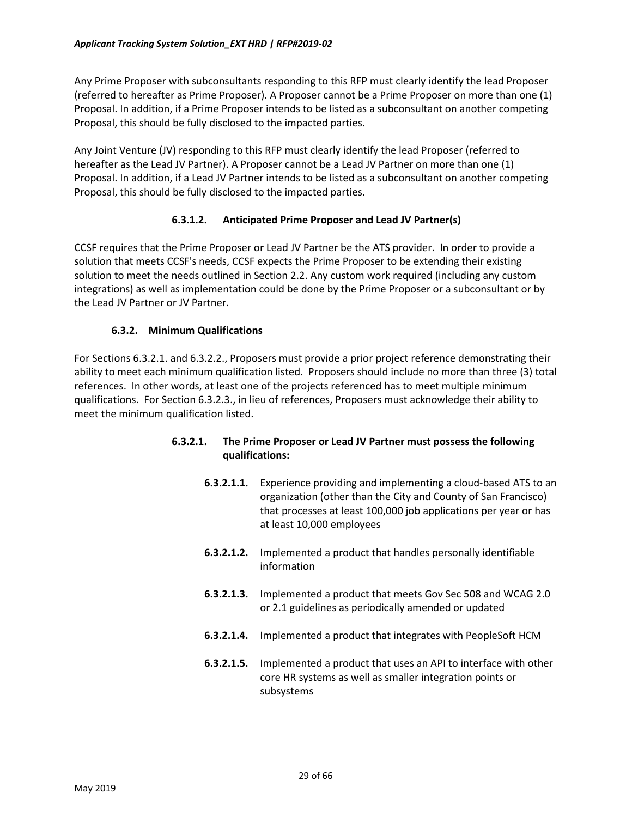Any Prime Proposer with subconsultants responding to this RFP must clearly identify the lead Proposer (referred to hereafter as Prime Proposer). A Proposer cannot be a Prime Proposer on more than one (1) Proposal. In addition, if a Prime Proposer intends to be listed as a subconsultant on another competing Proposal, this should be fully disclosed to the impacted parties.

Any Joint Venture (JV) responding to this RFP must clearly identify the lead Proposer (referred to hereafter as the Lead JV Partner). A Proposer cannot be a Lead JV Partner on more than one (1) Proposal. In addition, if a Lead JV Partner intends to be listed as a subconsultant on another competing Proposal, this should be fully disclosed to the impacted parties.

### **6.3.1.2. Anticipated Prime Proposer and Lead JV Partner(s)**

CCSF requires that the Prime Proposer or Lead JV Partner be the ATS provider. In order to provide a solution that meets CCSF's needs, CCSF expects the Prime Proposer to be extending their existing solution to meet the needs outlined in Section 2.2. Any custom work required (including any custom integrations) as well as implementation could be done by the Prime Proposer or a subconsultant or by the Lead JV Partner or JV Partner.

### **6.3.2. Minimum Qualifications**

For Sections 6.3.2.1. and 6.3.2.2., Proposers must provide a prior project reference demonstrating their ability to meet each minimum qualification listed. Proposers should include no more than three (3) total references. In other words, at least one of the projects referenced has to meet multiple minimum qualifications. For Section 6.3.2.3., in lieu of references, Proposers must acknowledge their ability to meet the minimum qualification listed.

- **6.3.2.1. The Prime Proposer or Lead JV Partner must possess the following qualifications:**
	- **6.3.2.1.1.** Experience providing and implementing a cloud-based ATS to an organization (other than the City and County of San Francisco) that processes at least 100,000 job applications per year or has at least 10,000 employees
	- **6.3.2.1.2.** Implemented a product that handles personally identifiable information
	- **6.3.2.1.3.** Implemented a product that meets Gov Sec 508 and WCAG 2.0 or 2.1 guidelines as periodically amended or updated
	- **6.3.2.1.4.** Implemented a product that integrates with PeopleSoft HCM
	- **6.3.2.1.5.** Implemented a product that uses an API to interface with other core HR systems as well as smaller integration points or subsystems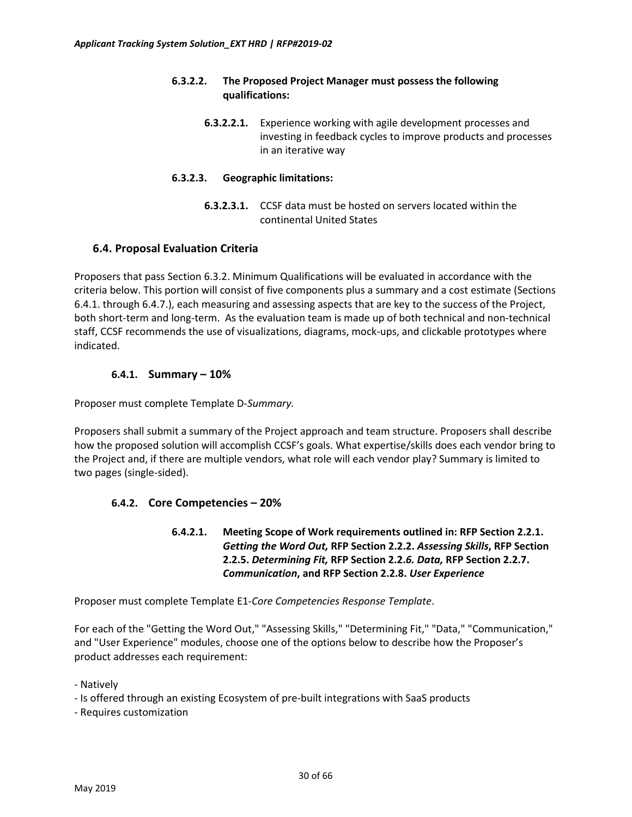### **6.3.2.2. The Proposed Project Manager must possess the following qualifications:**

**6.3.2.2.1.** Experience working with agile development processes and investing in feedback cycles to improve products and processes in an iterative way

### **6.3.2.3. Geographic limitations:**

**6.3.2.3.1.** CCSF data must be hosted on servers located within the continental United States

### **6.4. Proposal Evaluation Criteria**

Proposers that pass Section 6.3.2. Minimum Qualifications will be evaluated in accordance with the criteria below. This portion will consist of five components plus a summary and a cost estimate (Sections 6.4.1. through 6.4.7.), each measuring and assessing aspects that are key to the success of the Project, both short-term and long-term. As the evaluation team is made up of both technical and non-technical staff, CCSF recommends the use of visualizations, diagrams, mock-ups, and clickable prototypes where indicated.

### **6.4.1. Summary – 10%**

Proposer must complete Template D-*Summary.*

Proposers shall submit a summary of the Project approach and team structure. Proposers shall describe how the proposed solution will accomplish CCSF's goals. What expertise/skills does each vendor bring to the Project and, if there are multiple vendors, what role will each vendor play? Summary is limited to two pages (single-sided).

### **6.4.2. Core Competencies – 20%**

**6.4.2.1. Meeting Scope of Work requirements outlined in: RFP Section 2.2.1.** *Getting the Word Out,* **RFP Section 2.2.2.** *Assessing Skills***, RFP Section 2.2.5.** *Determining Fit,* **RFP Section 2.2.***6. Data,* **RFP Section 2.2.7.** *Communication***, and RFP Section 2.2.8.** *User Experience*

Proposer must complete Template E1-*Core Competencies Response Template*.

For each of the "Getting the Word Out," "Assessing Skills," "Determining Fit," "Data," "Communication," and "User Experience" modules, choose one of the options below to describe how the Proposer's product addresses each requirement:

- Natively
- Is offered through an existing Ecosystem of pre-built integrations with SaaS products
- Requires customization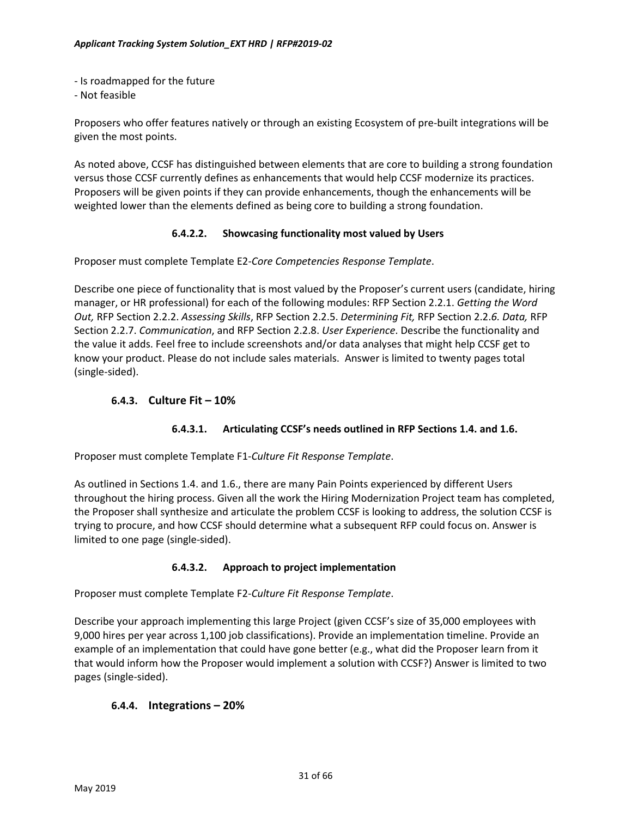- Is roadmapped for the future
- Not feasible

Proposers who offer features natively or through an existing Ecosystem of pre-built integrations will be given the most points.

As noted above, CCSF has distinguished between elements that are core to building a strong foundation versus those CCSF currently defines as enhancements that would help CCSF modernize its practices. Proposers will be given points if they can provide enhancements, though the enhancements will be weighted lower than the elements defined as being core to building a strong foundation.

#### **6.4.2.2. Showcasing functionality most valued by Users**

Proposer must complete Template E2-*Core Competencies Response Template*.

Describe one piece of functionality that is most valued by the Proposer's current users (candidate, hiring manager, or HR professional) for each of the following modules: RFP Section 2.2.1. *Getting the Word Out,* RFP Section 2.2.2. *Assessing Skills*, RFP Section 2.2.5. *Determining Fit,* RFP Section 2.2.*6. Data,* RFP Section 2.2.7. *Communication*, and RFP Section 2.2.8. *User Experience*. Describe the functionality and the value it adds. Feel free to include screenshots and/or data analyses that might help CCSF get to know your product. Please do not include sales materials. Answer is limited to twenty pages total (single-sided).

### **6.4.3. Culture Fit – 10%**

### **6.4.3.1. Articulating CCSF's needs outlined in RFP Sections 1.4. and 1.6.**

Proposer must complete Template F1-*Culture Fit Response Template*.

As outlined in Sections 1.4. and 1.6., there are many Pain Points experienced by different Users throughout the hiring process. Given all the work the Hiring Modernization Project team has completed, the Proposer shall synthesize and articulate the problem CCSF is looking to address, the solution CCSF is trying to procure, and how CCSF should determine what a subsequent RFP could focus on. Answer is limited to one page (single-sided).

### **6.4.3.2. Approach to project implementation**

Proposer must complete Template F2-*Culture Fit Response Template*.

Describe your approach implementing this large Project (given CCSF's size of 35,000 employees with 9,000 hires per year across 1,100 job classifications). Provide an implementation timeline. Provide an example of an implementation that could have gone better (e.g., what did the Proposer learn from it that would inform how the Proposer would implement a solution with CCSF?) Answer is limited to two pages (single-sided).

### **6.4.4. Integrations – 20%**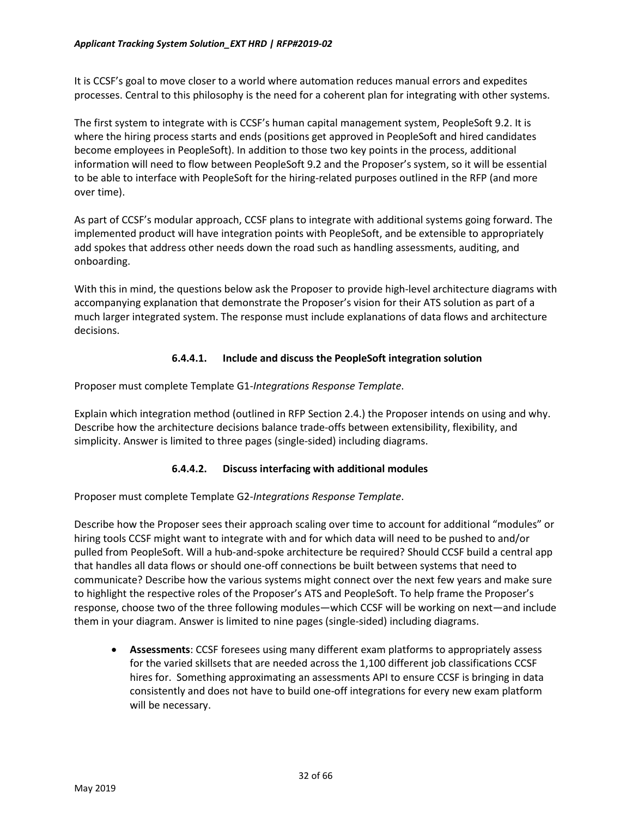It is CCSF's goal to move closer to a world where automation reduces manual errors and expedites processes. Central to this philosophy is the need for a coherent plan for integrating with other systems.

The first system to integrate with is CCSF's human capital management system, PeopleSoft 9.2. It is where the hiring process starts and ends (positions get approved in PeopleSoft and hired candidates become employees in PeopleSoft). In addition to those two key points in the process, additional information will need to flow between PeopleSoft 9.2 and the Proposer's system, so it will be essential to be able to interface with PeopleSoft for the hiring-related purposes outlined in the RFP (and more over time).

As part of CCSF's modular approach, CCSF plans to integrate with additional systems going forward. The implemented product will have integration points with PeopleSoft, and be extensible to appropriately add spokes that address other needs down the road such as handling assessments, auditing, and onboarding.

With this in mind, the questions below ask the Proposer to provide high-level architecture diagrams with accompanying explanation that demonstrate the Proposer's vision for their ATS solution as part of a much larger integrated system. The response must include explanations of data flows and architecture decisions.

### **6.4.4.1. Include and discuss the PeopleSoft integration solution**

Proposer must complete Template G1-*Integrations Response Template*.

Explain which integration method (outlined in RFP Section 2.4.) the Proposer intends on using and why. Describe how the architecture decisions balance trade-offs between extensibility, flexibility, and simplicity. Answer is limited to three pages (single-sided) including diagrams.

### **6.4.4.2. Discuss interfacing with additional modules**

Proposer must complete Template G2-*Integrations Response Template*.

Describe how the Proposer sees their approach scaling over time to account for additional "modules" or hiring tools CCSF might want to integrate with and for which data will need to be pushed to and/or pulled from PeopleSoft. Will a hub-and-spoke architecture be required? Should CCSF build a central app that handles all data flows or should one-off connections be built between systems that need to communicate? Describe how the various systems might connect over the next few years and make sure to highlight the respective roles of the Proposer's ATS and PeopleSoft. To help frame the Proposer's response, choose two of the three following modules—which CCSF will be working on next—and include them in your diagram. Answer is limited to nine pages (single-sided) including diagrams.

• **Assessments**: CCSF foresees using many different exam platforms to appropriately assess for the varied skillsets that are needed across the 1,100 different job classifications CCSF hires for. Something approximating an assessments API to ensure CCSF is bringing in data consistently and does not have to build one-off integrations for every new exam platform will be necessary.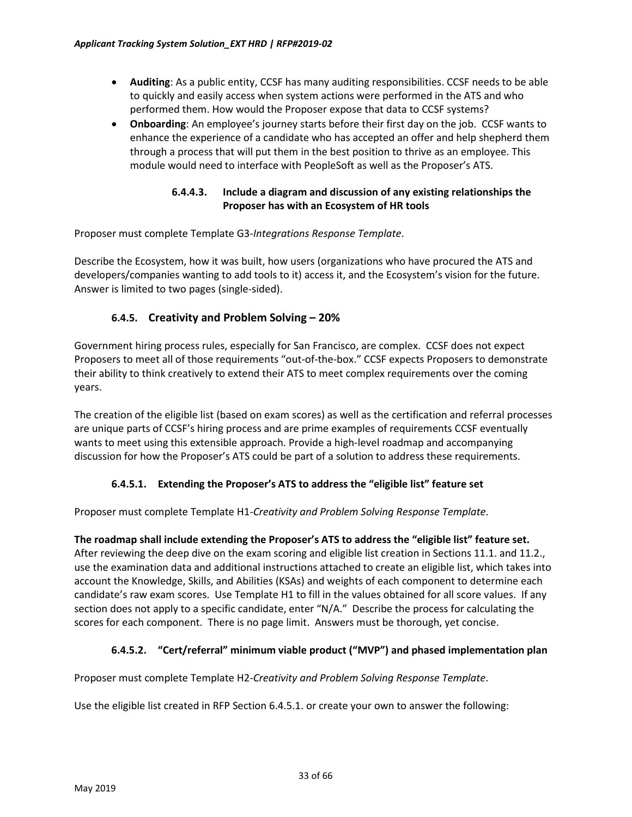- **Auditing**: As a public entity, CCSF has many auditing responsibilities. CCSF needs to be able to quickly and easily access when system actions were performed in the ATS and who performed them. How would the Proposer expose that data to CCSF systems?
- **Onboarding**: An employee's journey starts before their first day on the job. CCSF wants to enhance the experience of a candidate who has accepted an offer and help shepherd them through a process that will put them in the best position to thrive as an employee. This module would need to interface with PeopleSoft as well as the Proposer's ATS.

### **6.4.4.3. Include a diagram and discussion of any existing relationships the Proposer has with an Ecosystem of HR tools**

Proposer must complete Template G3-*Integrations Response Template*.

Describe the Ecosystem, how it was built, how users (organizations who have procured the ATS and developers/companies wanting to add tools to it) access it, and the Ecosystem's vision for the future. Answer is limited to two pages (single-sided).

### **6.4.5. Creativity and Problem Solving – 20%**

Government hiring process rules, especially for San Francisco, are complex. CCSF does not expect Proposers to meet all of those requirements "out-of-the-box." CCSF expects Proposers to demonstrate their ability to think creatively to extend their ATS to meet complex requirements over the coming years.

The creation of the eligible list (based on exam scores) as well as the certification and referral processes are unique parts of CCSF's hiring process and are prime examples of requirements CCSF eventually wants to meet using this extensible approach. Provide a high-level roadmap and accompanying discussion for how the Proposer's ATS could be part of a solution to address these requirements.

### **6.4.5.1. Extending the Proposer's ATS to address the "eligible list" feature set**

Proposer must complete Template H1-*Creativity and Problem Solving Response Template*.

### **The roadmap shall include extending the Proposer's ATS to address the "eligible list" feature set.**

After reviewing the deep dive on the exam scoring and eligible list creation in Sections 11.1. and 11.2., use the examination data and additional instructions attached to create an eligible list, which takes into account the Knowledge, Skills, and Abilities (KSAs) and weights of each component to determine each candidate's raw exam scores. Use Template H1 to fill in the values obtained for all score values. If any section does not apply to a specific candidate, enter "N/A." Describe the process for calculating the scores for each component. There is no page limit. Answers must be thorough, yet concise.

### **6.4.5.2. "Cert/referral" minimum viable product ("MVP") and phased implementation plan**

Proposer must complete Template H2-*Creativity and Problem Solving Response Template*.

Use the eligible list created in RFP Section 6.4.5.1. or create your own to answer the following: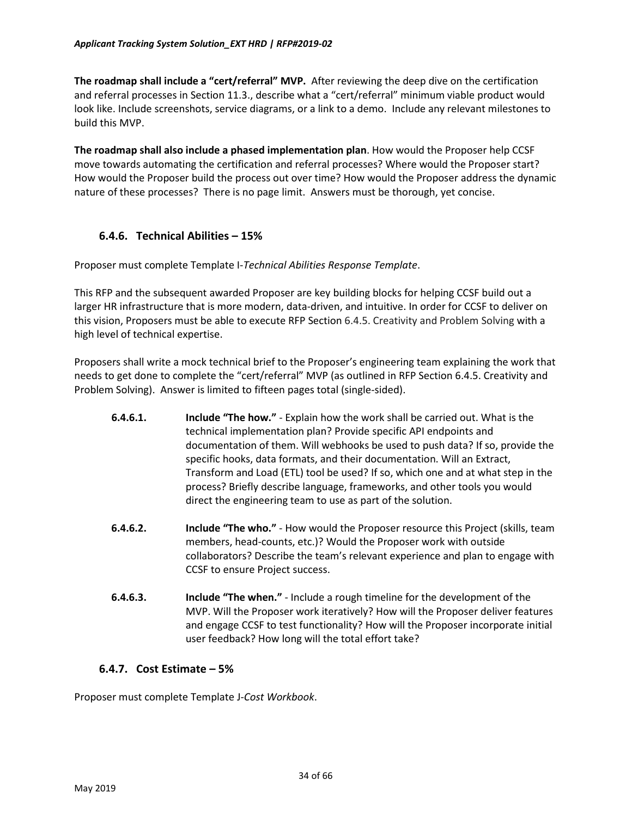**The roadmap shall include a "cert/referral" MVP.** After reviewing the deep dive on the certification and referral processes in Section 11.3., describe what a "cert/referral" minimum viable product would look like. Include screenshots, service diagrams, or a link to a demo. Include any relevant milestones to build this MVP.

**The roadmap shall also include a phased implementation plan**. How would the Proposer help CCSF move towards automating the certification and referral processes? Where would the Proposer start? How would the Proposer build the process out over time? How would the Proposer address the dynamic nature of these processes? There is no page limit. Answers must be thorough, yet concise.

### **6.4.6. Technical Abilities – 15%**

Proposer must complete Template I-*Technical Abilities Response Template*.

This RFP and the subsequent awarded Proposer are key building blocks for helping CCSF build out a larger HR infrastructure that is more modern, data-driven, and intuitive. In order for CCSF to deliver on this vision, Proposers must be able to execute RFP Section 6.4.5. Creativity and Problem Solving with a high level of technical expertise.

Proposers shall write a mock technical brief to the Proposer's engineering team explaining the work that needs to get done to complete the "cert/referral" MVP (as outlined in RFP Section 6.4.5. Creativity and Problem Solving). Answer is limited to fifteen pages total (single-sided).

- **6.4.6.1. Include "The how."** Explain how the work shall be carried out. What is the technical implementation plan? Provide specific API endpoints and documentation of them. Will webhooks be used to push data? If so, provide the specific hooks, data formats, and their documentation. Will an Extract, Transform and Load (ETL) tool be used? If so, which one and at what step in the process? Briefly describe language, frameworks, and other tools you would direct the engineering team to use as part of the solution.
- **6.4.6.2. Include "The who."** How would the Proposer resource this Project (skills, team members, head-counts, etc.)? Would the Proposer work with outside collaborators? Describe the team's relevant experience and plan to engage with CCSF to ensure Project success.
- **6.4.6.3. Include "The when."** Include a rough timeline for the development of the MVP. Will the Proposer work iteratively? How will the Proposer deliver features and engage CCSF to test functionality? How will the Proposer incorporate initial user feedback? How long will the total effort take?

### **6.4.7. Cost Estimate – 5%**

Proposer must complete Template J-*Cost Workbook*.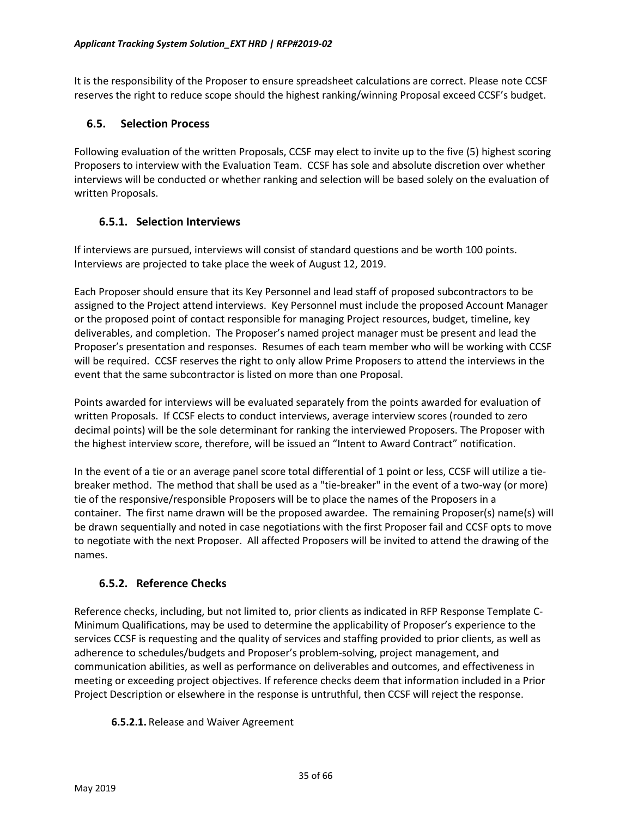It is the responsibility of the Proposer to ensure spreadsheet calculations are correct. Please note CCSF reserves the right to reduce scope should the highest ranking/winning Proposal exceed CCSF's budget.

### **6.5. Selection Process**

Following evaluation of the written Proposals, CCSF may elect to invite up to the five (5) highest scoring Proposers to interview with the Evaluation Team. CCSF has sole and absolute discretion over whether interviews will be conducted or whether ranking and selection will be based solely on the evaluation of written Proposals.

### **6.5.1. Selection Interviews**

If interviews are pursued, interviews will consist of standard questions and be worth 100 points. Interviews are projected to take place the week of August 12, 2019.

Each Proposer should ensure that its Key Personnel and lead staff of proposed subcontractors to be assigned to the Project attend interviews. Key Personnel must include the proposed Account Manager or the proposed point of contact responsible for managing Project resources, budget, timeline, key deliverables, and completion. The Proposer's named project manager must be present and lead the Proposer's presentation and responses. Resumes of each team member who will be working with CCSF will be required. CCSF reserves the right to only allow Prime Proposers to attend the interviews in the event that the same subcontractor is listed on more than one Proposal.

Points awarded for interviews will be evaluated separately from the points awarded for evaluation of written Proposals. If CCSF elects to conduct interviews, average interview scores (rounded to zero decimal points) will be the sole determinant for ranking the interviewed Proposers. The Proposer with the highest interview score, therefore, will be issued an "Intent to Award Contract" notification.

In the event of a tie or an average panel score total differential of 1 point or less, CCSF will utilize a tiebreaker method. The method that shall be used as a "tie-breaker" in the event of a two-way (or more) tie of the responsive/responsible Proposers will be to place the names of the Proposers in a container. The first name drawn will be the proposed awardee. The remaining Proposer(s) name(s) will be drawn sequentially and noted in case negotiations with the first Proposer fail and CCSF opts to move to negotiate with the next Proposer. All affected Proposers will be invited to attend the drawing of the names.

### **6.5.2. Reference Checks**

Reference checks, including, but not limited to, prior clients as indicated in RFP Response Template C-Minimum Qualifications, may be used to determine the applicability of Proposer's experience to the services CCSF is requesting and the quality of services and staffing provided to prior clients, as well as adherence to schedules/budgets and Proposer's problem-solving, project management, and communication abilities, as well as performance on deliverables and outcomes, and effectiveness in meeting or exceeding project objectives. If reference checks deem that information included in a Prior Project Description or elsewhere in the response is untruthful, then CCSF will reject the response.

### **6.5.2.1.** Release and Waiver Agreement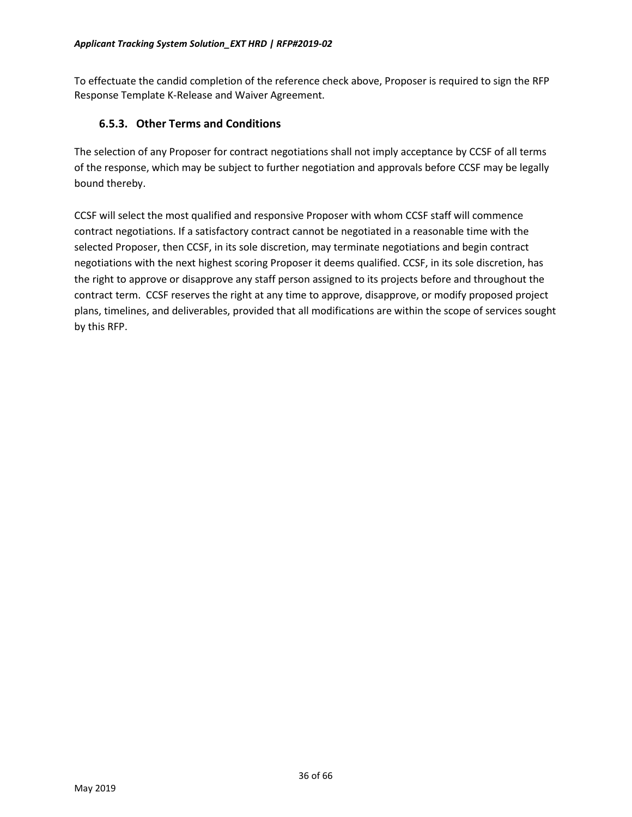To effectuate the candid completion of the reference check above, Proposer is required to sign the RFP Response Template K-Release and Waiver Agreement.

### **6.5.3. Other Terms and Conditions**

The selection of any Proposer for contract negotiations shall not imply acceptance by CCSF of all terms of the response, which may be subject to further negotiation and approvals before CCSF may be legally bound thereby.

CCSF will select the most qualified and responsive Proposer with whom CCSF staff will commence contract negotiations. If a satisfactory contract cannot be negotiated in a reasonable time with the selected Proposer, then CCSF, in its sole discretion, may terminate negotiations and begin contract negotiations with the next highest scoring Proposer it deems qualified. CCSF, in its sole discretion, has the right to approve or disapprove any staff person assigned to its projects before and throughout the contract term. CCSF reserves the right at any time to approve, disapprove, or modify proposed project plans, timelines, and deliverables, provided that all modifications are within the scope of services sought by this RFP.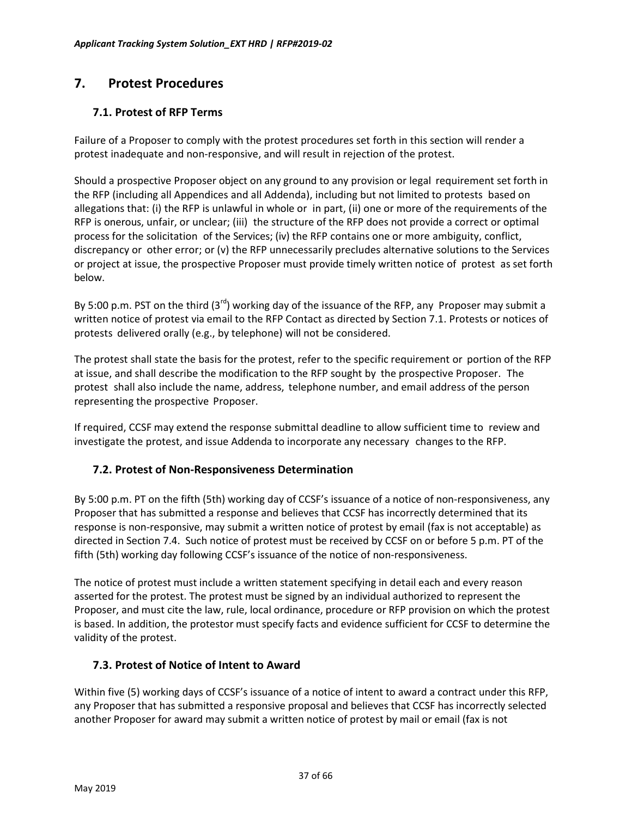# <span id="page-36-0"></span>**7. Protest Procedures**

### **7.1. Protest of RFP Terms**

Failure of a Proposer to comply with the protest procedures set forth in this section will render a protest inadequate and non-responsive, and will result in rejection of the protest.

Should a prospective Proposer object on any ground to any provision or legal requirement set forth in the RFP (including all Appendices and all Addenda), including but not limited to protests based on allegations that: (i) the RFP is unlawful in whole or in part, (ii) one or more of the requirements of the RFP is onerous, unfair, or unclear; (iii) the structure of the RFP does not provide a correct or optimal process for the solicitation of the Services; (iv) the RFP contains one or more ambiguity, conflict, discrepancy or other error; or (v) the RFP unnecessarily precludes alternative solutions to the Services or project at issue, the prospective Proposer must provide timely written notice of protest as set forth below.

By 5:00 p.m. PST on the third  $(3^{rd})$  working day of the issuance of the RFP, any Proposer may submit a written notice of protest via email to the RFP Contact as directed by Section 7.1. Protests or notices of protests delivered orally (e.g., by telephone) will not be considered.

The protest shall state the basis for the protest, refer to the specific requirement or portion of the RFP at issue, and shall describe the modification to the RFP sought by the prospective Proposer. The protest shall also include the name, address, telephone number, and email address of the person representing the prospective Proposer.

If required, CCSF may extend the response submittal deadline to allow sufficient time to review and investigate the protest, and issue Addenda to incorporate any necessary changes to the RFP.

### **7.2. Protest of Non-Responsiveness Determination**

By 5:00 p.m. PT on the fifth (5th) working day of CCSF's issuance of a notice of non-responsiveness, any Proposer that has submitted a response and believes that CCSF has incorrectly determined that its response is non-responsive, may submit a written notice of protest by email (fax is not acceptable) as directed in Section 7.4. Such notice of protest must be received by CCSF on or before 5 p.m. PT of the fifth (5th) working day following CCSF's issuance of the notice of non-responsiveness.

The notice of protest must include a written statement specifying in detail each and every reason asserted for the protest. The protest must be signed by an individual authorized to represent the Proposer, and must cite the law, rule, local ordinance, procedure or RFP provision on which the protest is based. In addition, the protestor must specify facts and evidence sufficient for CCSF to determine the validity of the protest.

### **7.3. Protest of Notice of Intent to Award**

Within five (5) working days of CCSF's issuance of a notice of intent to award a contract under this RFP, any Proposer that has submitted a responsive proposal and believes that CCSF has incorrectly selected another Proposer for award may submit a written notice of protest by mail or email (fax is not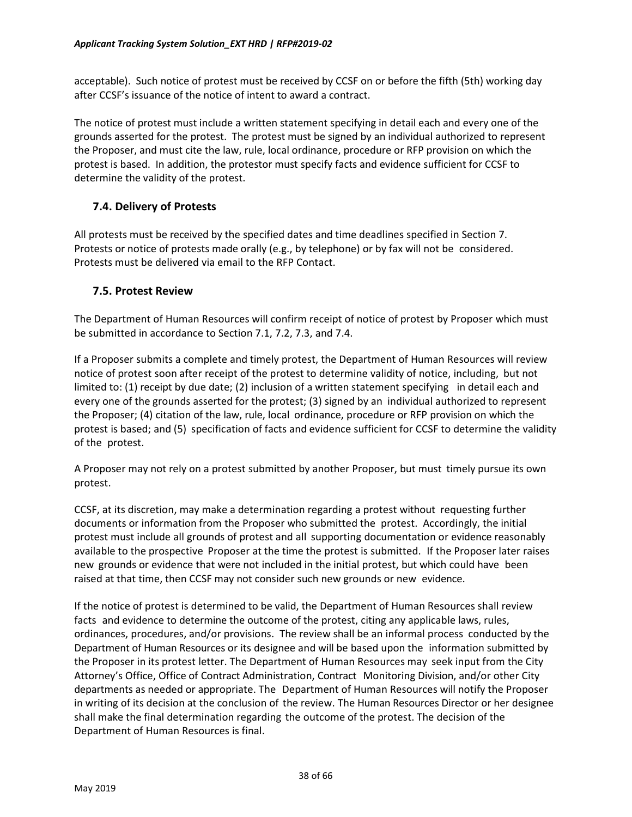acceptable). Such notice of protest must be received by CCSF on or before the fifth (5th) working day after CCSF's issuance of the notice of intent to award a contract.

The notice of protest must include a written statement specifying in detail each and every one of the grounds asserted for the protest. The protest must be signed by an individual authorized to represent the Proposer, and must cite the law, rule, local ordinance, procedure or RFP provision on which the protest is based. In addition, the protestor must specify facts and evidence sufficient for CCSF to determine the validity of the protest.

### **7.4. Delivery of Protests**

All protests must be received by the specified dates and time deadlines specified in Section 7. Protests or notice of protests made orally (e.g., by telephone) or by fax will not be considered. Protests must be delivered via email to the RFP Contact.

### **7.5. Protest Review**

The Department of Human Resources will confirm receipt of notice of protest by Proposer which must be submitted in accordance to Section 7.1, 7.2, 7.3, and 7.4.

If a Proposer submits a complete and timely protest, the Department of Human Resources will review notice of protest soon after receipt of the protest to determine validity of notice, including, but not limited to: (1) receipt by due date; (2) inclusion of a written statement specifying in detail each and every one of the grounds asserted for the protest; (3) signed by an individual authorized to represent the Proposer; (4) citation of the law, rule, local ordinance, procedure or RFP provision on which the protest is based; and (5) specification of facts and evidence sufficient for CCSF to determine the validity of the protest.

A Proposer may not rely on a protest submitted by another Proposer, but must timely pursue its own protest.

CCSF, at its discretion, may make a determination regarding a protest without requesting further documents or information from the Proposer who submitted the protest. Accordingly, the initial protest must include all grounds of protest and all supporting documentation or evidence reasonably available to the prospective Proposer at the time the protest is submitted. If the Proposer later raises new grounds or evidence that were not included in the initial protest, but which could have been raised at that time, then CCSF may not consider such new grounds or new evidence.

If the notice of protest is determined to be valid, the Department of Human Resources shall review facts and evidence to determine the outcome of the protest, citing any applicable laws, rules, ordinances, procedures, and/or provisions. The review shall be an informal process conducted by the Department of Human Resources or its designee and will be based upon the information submitted by the Proposer in its protest letter. The Department of Human Resources may seek input from the City Attorney's Office, Office of Contract Administration, Contract Monitoring Division, and/or other City departments as needed or appropriate. The Department of Human Resources will notify the Proposer in writing of its decision at the conclusion of the review. The Human Resources Director or her designee shall make the final determination regarding the outcome of the protest. The decision of the Department of Human Resources is final.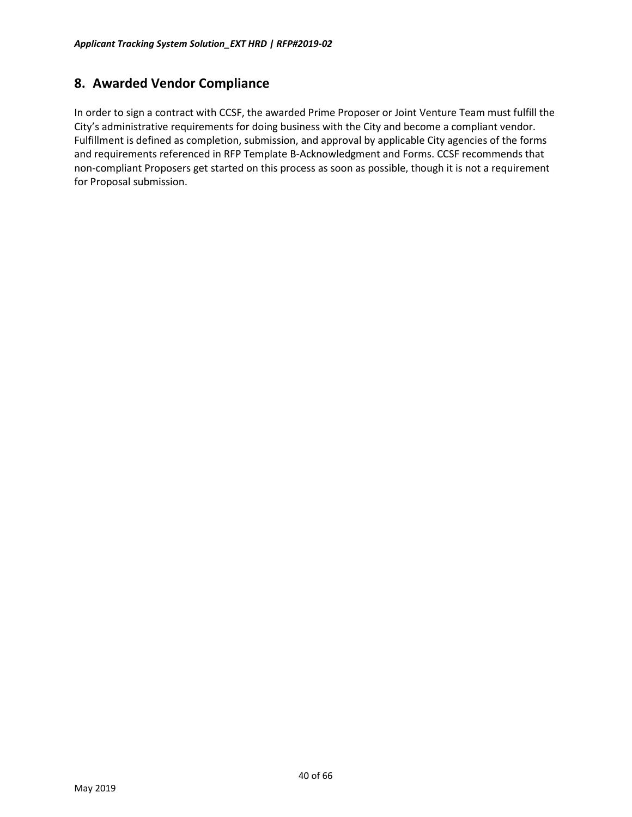# <span id="page-39-0"></span>**8. Awarded Vendor Compliance**

In order to sign a contract with CCSF, the awarded Prime Proposer or Joint Venture Team must fulfill the City's administrative requirements for doing business with the City and become a compliant vendor. Fulfillment is defined as completion, submission, and approval by applicable City agencies of the forms and requirements referenced in RFP Template B-Acknowledgment and Forms. CCSF recommends that non-compliant Proposers get started on this process as soon as possible, though it is not a requirement for Proposal submission.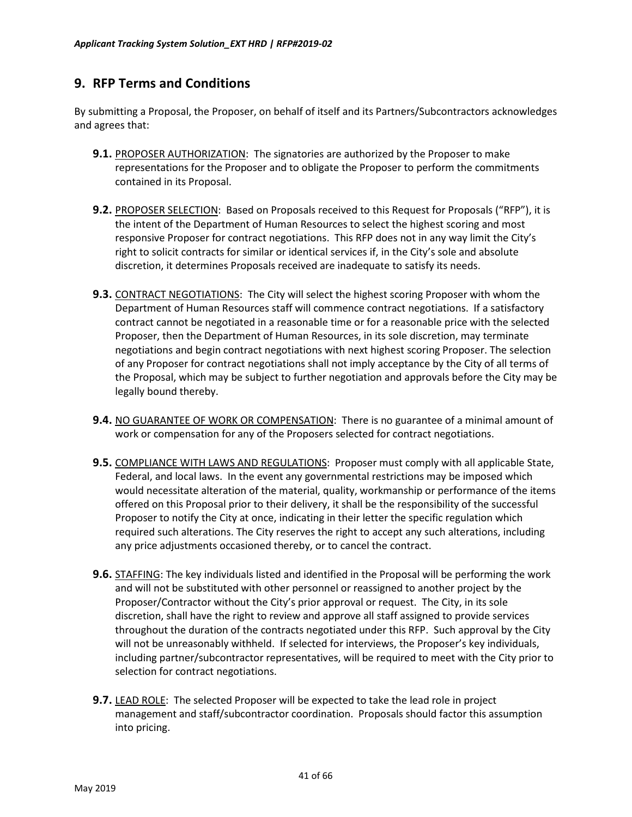# <span id="page-40-0"></span>**9. RFP Terms and Conditions**

By submitting a Proposal, the Proposer, on behalf of itself and its Partners/Subcontractors acknowledges and agrees that:

- **9.1.** PROPOSER AUTHORIZATION: The signatories are authorized by the Proposer to make representations for the Proposer and to obligate the Proposer to perform the commitments contained in its Proposal.
- **9.2.** PROPOSER SELECTION: Based on Proposals received to this Request for Proposals ("RFP"), it is the intent of the Department of Human Resources to select the highest scoring and most responsive Proposer for contract negotiations. This RFP does not in any way limit the City's right to solicit contracts for similar or identical services if, in the City's sole and absolute discretion, it determines Proposals received are inadequate to satisfy its needs.
- **9.3.** CONTRACT NEGOTIATIONS: The City will select the highest scoring Proposer with whom the Department of Human Resources staff will commence contract negotiations. If a satisfactory contract cannot be negotiated in a reasonable time or for a reasonable price with the selected Proposer, then the Department of Human Resources, in its sole discretion, may terminate negotiations and begin contract negotiations with next highest scoring Proposer. The selection of any Proposer for contract negotiations shall not imply acceptance by the City of all terms of the Proposal, which may be subject to further negotiation and approvals before the City may be legally bound thereby.
- **9.4.** NO GUARANTEE OF WORK OR COMPENSATION: There is no guarantee of a minimal amount of work or compensation for any of the Proposers selected for contract negotiations.
- **9.5.** COMPLIANCE WITH LAWS AND REGULATIONS: Proposer must comply with all applicable State, Federal, and local laws. In the event any governmental restrictions may be imposed which would necessitate alteration of the material, quality, workmanship or performance of the items offered on this Proposal prior to their delivery, it shall be the responsibility of the successful Proposer to notify the City at once, indicating in their letter the specific regulation which required such alterations. The City reserves the right to accept any such alterations, including any price adjustments occasioned thereby, or to cancel the contract.
- **9.6.** STAFFING: The key individuals listed and identified in the Proposal will be performing the work and will not be substituted with other personnel or reassigned to another project by the Proposer/Contractor without the City's prior approval or request. The City, in its sole discretion, shall have the right to review and approve all staff assigned to provide services throughout the duration of the contracts negotiated under this RFP. Such approval by the City will not be unreasonably withheld. If selected for interviews, the Proposer's key individuals, including partner/subcontractor representatives, will be required to meet with the City prior to selection for contract negotiations.
- **9.7.** LEAD ROLE: The selected Proposer will be expected to take the lead role in project management and staff/subcontractor coordination. Proposals should factor this assumption into pricing.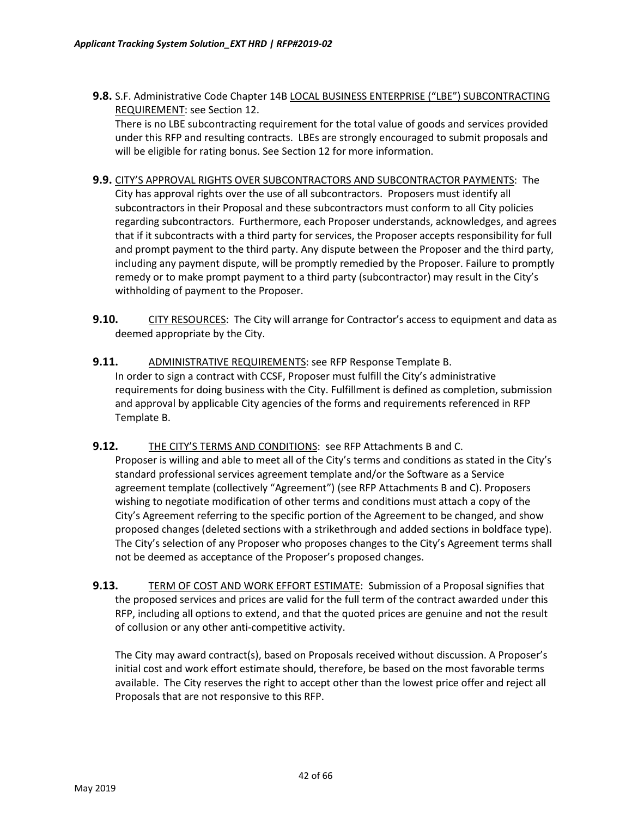**9.8.** S.F. Administrative Code Chapter 14B LOCAL BUSINESS ENTERPRISE ("LBE") SUBCONTRACTING REQUIREMENT: see Section 12.

There is no LBE subcontracting requirement for the total value of goods and services provided under this RFP and resulting contracts. LBEs are strongly encouraged to submit proposals and will be eligible for rating bonus. See Section 12 for more information.

- **9.9.** CITY'S APPROVAL RIGHTS OVER SUBCONTRACTORS AND SUBCONTRACTOR PAYMENTS: The City has approval rights over the use of all subcontractors. Proposers must identify all subcontractors in their Proposal and these subcontractors must conform to all City policies regarding subcontractors. Furthermore, each Proposer understands, acknowledges, and agrees that if it subcontracts with a third party for services, the Proposer accepts responsibility for full and prompt payment to the third party. Any dispute between the Proposer and the third party, including any payment dispute, will be promptly remedied by the Proposer. Failure to promptly remedy or to make prompt payment to a third party (subcontractor) may result in the City's withholding of payment to the Proposer.
- **9.10.** CITY RESOURCES: The City will arrange for Contractor's access to equipment and data as deemed appropriate by the City.
- **9.11.** ADMINISTRATIVE REQUIREMENTS: see RFP Response Template B. In order to sign a contract with CCSF, Proposer must fulfill the City's administrative requirements for doing business with the City. Fulfillment is defined as completion, submission and approval by applicable City agencies of the forms and requirements referenced in RFP Template B.
- **9.12.** THE CITY'S TERMS AND CONDITIONS: see RFP Attachments B and C. Proposer is willing and able to meet all of the City's terms and conditions as stated in the City's standard professional services agreement template and/or the Software as a Service agreement template (collectively "Agreement") (see RFP Attachments B and C). Proposers wishing to negotiate modification of other terms and conditions must attach a copy of the City's Agreement referring to the specific portion of the Agreement to be changed, and show proposed changes (deleted sections with a strikethrough and added sections in boldface type). The City's selection of any Proposer who proposes changes to the City's Agreement terms shall not be deemed as acceptance of the Proposer's proposed changes.
- **9.13.** TERM OF COST AND WORK EFFORT ESTIMATE: Submission of a Proposal signifies that the proposed services and prices are valid for the full term of the contract awarded under this RFP, including all options to extend, and that the quoted prices are genuine and not the result of collusion or any other anti-competitive activity.

The City may award contract(s), based on Proposals received without discussion. A Proposer's initial cost and work effort estimate should, therefore, be based on the most favorable terms available. The City reserves the right to accept other than the lowest price offer and reject all Proposals that are not responsive to this RFP.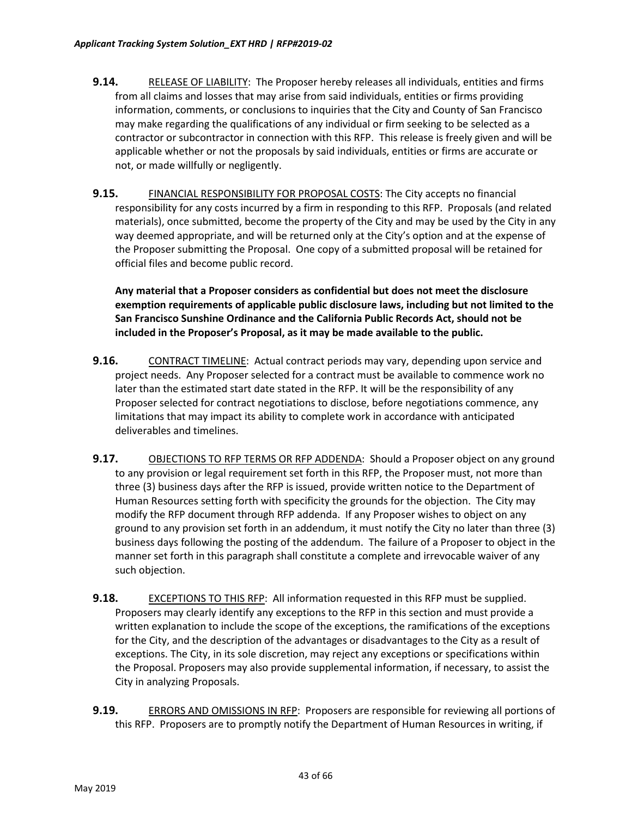- **9.14.** RELEASE OF LIABILITY: The Proposer hereby releases all individuals, entities and firms from all claims and losses that may arise from said individuals, entities or firms providing information, comments, or conclusions to inquiries that the City and County of San Francisco may make regarding the qualifications of any individual or firm seeking to be selected as a contractor or subcontractor in connection with this RFP. This release is freely given and will be applicable whether or not the proposals by said individuals, entities or firms are accurate or not, or made willfully or negligently.
- **9.15.** FINANCIAL RESPONSIBILITY FOR PROPOSAL COSTS: The City accepts no financial responsibility for any costs incurred by a firm in responding to this RFP. Proposals (and related materials), once submitted, become the property of the City and may be used by the City in any way deemed appropriate, and will be returned only at the City's option and at the expense of the Proposer submitting the Proposal. One copy of a submitted proposal will be retained for official files and become public record.

**Any material that a Proposer considers as confidential but does not meet the disclosure exemption requirements of applicable public disclosure laws, including but not limited to the San Francisco Sunshine Ordinance and the California Public Records Act, should not be included in the Proposer's Proposal, as it may be made available to the public.**

- **9.16.** CONTRACT TIMELINE: Actual contract periods may vary, depending upon service and project needs. Any Proposer selected for a contract must be available to commence work no later than the estimated start date stated in the RFP. It will be the responsibility of any Proposer selected for contract negotiations to disclose, before negotiations commence, any limitations that may impact its ability to complete work in accordance with anticipated deliverables and timelines.
- **9.17.** OBJECTIONS TO RFP TERMS OR RFP ADDENDA: Should a Proposer object on any ground to any provision or legal requirement set forth in this RFP, the Proposer must, not more than three (3) business days after the RFP is issued, provide written notice to the Department of Human Resources setting forth with specificity the grounds for the objection. The City may modify the RFP document through RFP addenda. If any Proposer wishes to object on any ground to any provision set forth in an addendum, it must notify the City no later than three (3) business days following the posting of the addendum. The failure of a Proposer to object in the manner set forth in this paragraph shall constitute a complete and irrevocable waiver of any such objection.
- **9.18.** EXCEPTIONS TO THIS RFP: All information requested in this RFP must be supplied. Proposers may clearly identify any exceptions to the RFP in this section and must provide a written explanation to include the scope of the exceptions, the ramifications of the exceptions for the City, and the description of the advantages or disadvantages to the City as a result of exceptions. The City, in its sole discretion, may reject any exceptions or specifications within the Proposal. Proposers may also provide supplemental information, if necessary, to assist the City in analyzing Proposals.
- **9.19.** ERRORS AND OMISSIONS IN RFP: Proposers are responsible for reviewing all portions of this RFP. Proposers are to promptly notify the Department of Human Resources in writing, if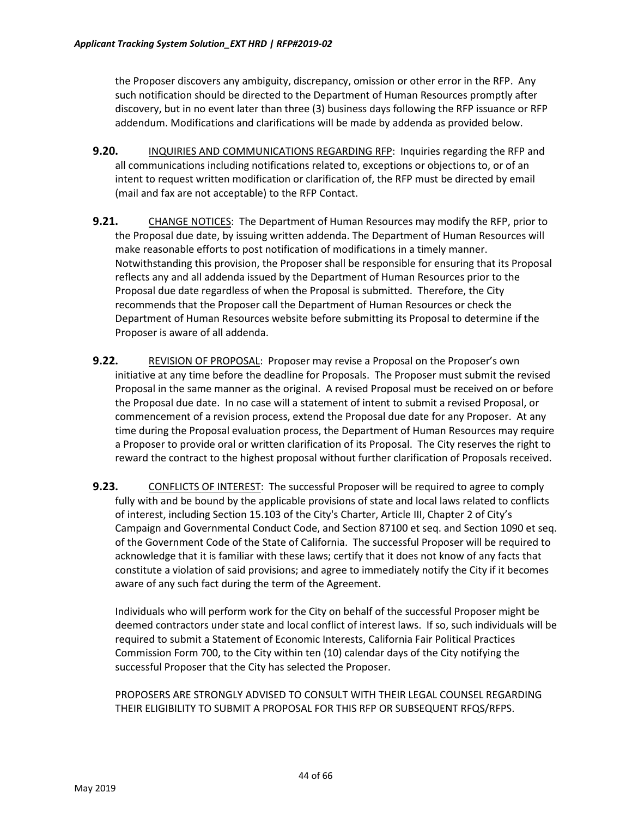the Proposer discovers any ambiguity, discrepancy, omission or other error in the RFP. Any such notification should be directed to the Department of Human Resources promptly after discovery, but in no event later than three (3) business days following the RFP issuance or RFP addendum. Modifications and clarifications will be made by addenda as provided below.

- **9.20.** INQUIRIES AND COMMUNICATIONS REGARDING RFP: Inquiries regarding the RFP and all communications including notifications related to, exceptions or objections to, or of an intent to request written modification or clarification of, the RFP must be directed by email (mail and fax are not acceptable) to the RFP Contact.
- **9.21.** CHANGE NOTICES: The Department of Human Resources may modify the RFP, prior to the Proposal due date, by issuing written addenda. The Department of Human Resources will make reasonable efforts to post notification of modifications in a timely manner. Notwithstanding this provision, the Proposer shall be responsible for ensuring that its Proposal reflects any and all addenda issued by the Department of Human Resources prior to the Proposal due date regardless of when the Proposal is submitted. Therefore, the City recommends that the Proposer call the Department of Human Resources or check the Department of Human Resources website before submitting its Proposal to determine if the Proposer is aware of all addenda.
- **9.22.** REVISION OF PROPOSAL: Proposer may revise a Proposal on the Proposer's own initiative at any time before the deadline for Proposals. The Proposer must submit the revised Proposal in the same manner as the original. A revised Proposal must be received on or before the Proposal due date. In no case will a statement of intent to submit a revised Proposal, or commencement of a revision process, extend the Proposal due date for any Proposer. At any time during the Proposal evaluation process, the Department of Human Resources may require a Proposer to provide oral or written clarification of its Proposal. The City reserves the right to reward the contract to the highest proposal without further clarification of Proposals received.
- **9.23.** CONFLICTS OF INTEREST: The successful Proposer will be required to agree to comply fully with and be bound by the applicable provisions of state and local laws related to conflicts of interest, including Section 15.103 of the City's Charter, Article III, Chapter 2 of City's Campaign and Governmental Conduct Code, and Section 87100 et seq. and Section 1090 et seq. of the Government Code of the State of California. The successful Proposer will be required to acknowledge that it is familiar with these laws; certify that it does not know of any facts that constitute a violation of said provisions; and agree to immediately notify the City if it becomes aware of any such fact during the term of the Agreement.

Individuals who will perform work for the City on behalf of the successful Proposer might be deemed contractors under state and local conflict of interest laws. If so, such individuals will be required to submit a Statement of Economic Interests, California Fair Political Practices Commission Form 700, to the City within ten (10) calendar days of the City notifying the successful Proposer that the City has selected the Proposer.

PROPOSERS ARE STRONGLY ADVISED TO CONSULT WITH THEIR LEGAL COUNSEL REGARDING THEIR ELIGIBILITY TO SUBMIT A PROPOSAL FOR THIS RFP OR SUBSEQUENT RFQS/RFPS.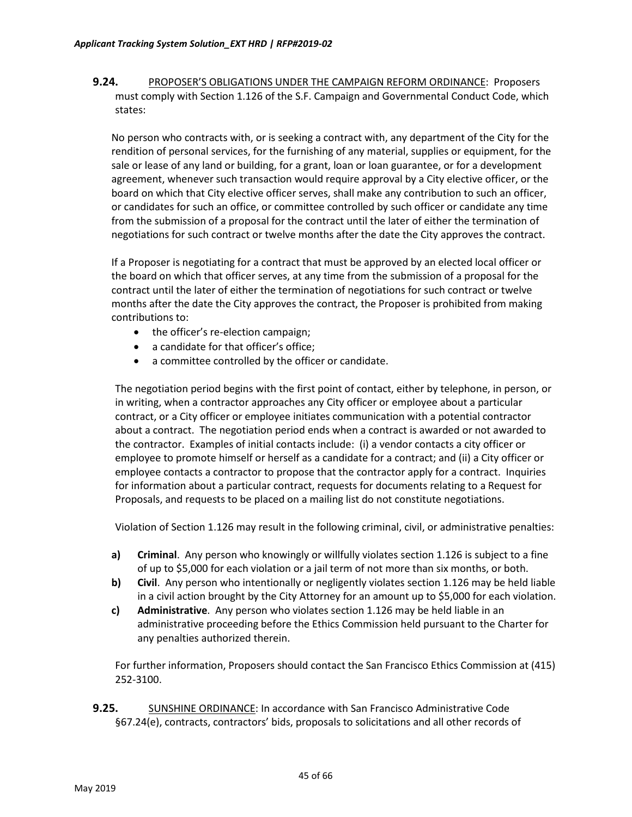**9.24.** PROPOSER'S OBLIGATIONS UNDER THE CAMPAIGN REFORM ORDINANCE: Proposers must comply with Section 1.126 of the S.F. Campaign and Governmental Conduct Code, which states:

No person who contracts with, or is seeking a contract with, any department of the City for the rendition of personal services, for the furnishing of any material, supplies or equipment, for the sale or lease of any land or building, for a grant, loan or loan guarantee, or for a development agreement, whenever such transaction would require approval by a City elective officer, or the board on which that City elective officer serves, shall make any contribution to such an officer, or candidates for such an office, or committee controlled by such officer or candidate any time from the submission of a proposal for the contract until the later of either the termination of negotiations for such contract or twelve months after the date the City approves the contract.

If a Proposer is negotiating for a contract that must be approved by an elected local officer or the board on which that officer serves, at any time from the submission of a proposal for the contract until the later of either the termination of negotiations for such contract or twelve months after the date the City approves the contract, the Proposer is prohibited from making contributions to:

- the officer's re-election campaign;
- a candidate for that officer's office;
- a committee controlled by the officer or candidate.

The negotiation period begins with the first point of contact, either by telephone, in person, or in writing, when a contractor approaches any City officer or employee about a particular contract, or a City officer or employee initiates communication with a potential contractor about a contract. The negotiation period ends when a contract is awarded or not awarded to the contractor. Examples of initial contacts include: (i) a vendor contacts a city officer or employee to promote himself or herself as a candidate for a contract; and (ii) a City officer or employee contacts a contractor to propose that the contractor apply for a contract. Inquiries for information about a particular contract, requests for documents relating to a Request for Proposals, and requests to be placed on a mailing list do not constitute negotiations.

Violation of Section 1.126 may result in the following criminal, civil, or administrative penalties:

- **a) Criminal**. Any person who knowingly or willfully violates section 1.126 is subject to a fine of up to \$5,000 for each violation or a jail term of not more than six months, or both.
- **b) Civil**. Any person who intentionally or negligently violates section 1.126 may be held liable in a civil action brought by the City Attorney for an amount up to \$5,000 for each violation.
- **c) Administrative**. Any person who violates section 1.126 may be held liable in an administrative proceeding before the Ethics Commission held pursuant to the Charter for any penalties authorized therein.

For further information, Proposers should contact the San Francisco Ethics Commission at (415) 252-3100.

**9.25.** SUNSHINE ORDINANCE: In accordance with San Francisco Administrative Code §67.24(e), contracts, contractors' bids, proposals to solicitations and all other records of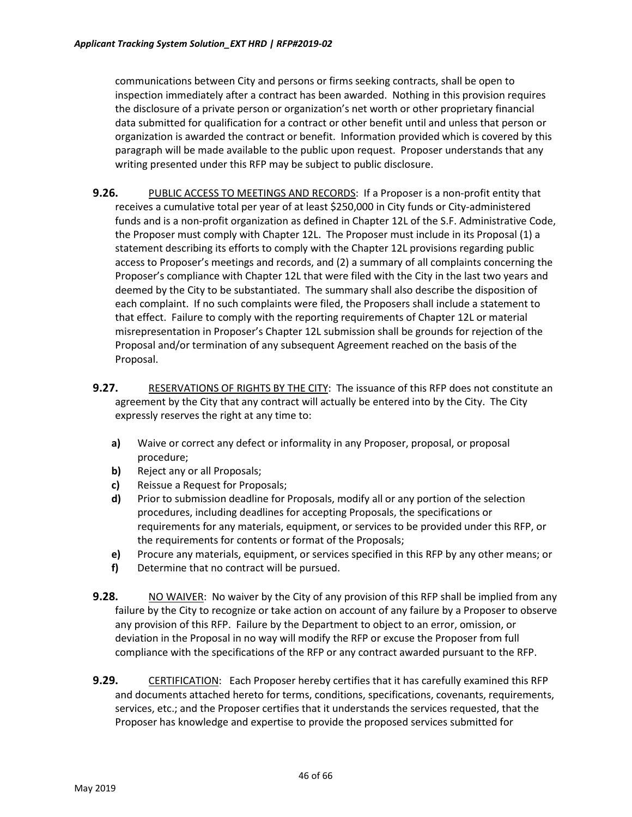communications between City and persons or firms seeking contracts, shall be open to inspection immediately after a contract has been awarded. Nothing in this provision requires the disclosure of a private person or organization's net worth or other proprietary financial data submitted for qualification for a contract or other benefit until and unless that person or organization is awarded the contract or benefit. Information provided which is covered by this paragraph will be made available to the public upon request. Proposer understands that any writing presented under this RFP may be subject to public disclosure.

- **9.26.** PUBLIC ACCESS TO MEETINGS AND RECORDS: If a Proposer is a non-profit entity that receives a cumulative total per year of at least \$250,000 in City funds or City-administered funds and is a non-profit organization as defined in Chapter 12L of the S.F. Administrative Code, the Proposer must comply with Chapter 12L. The Proposer must include in its Proposal (1) a statement describing its efforts to comply with the Chapter 12L provisions regarding public access to Proposer's meetings and records, and (2) a summary of all complaints concerning the Proposer's compliance with Chapter 12L that were filed with the City in the last two years and deemed by the City to be substantiated. The summary shall also describe the disposition of each complaint. If no such complaints were filed, the Proposers shall include a statement to that effect. Failure to comply with the reporting requirements of Chapter 12L or material misrepresentation in Proposer's Chapter 12L submission shall be grounds for rejection of the Proposal and/or termination of any subsequent Agreement reached on the basis of the Proposal.
- **9.27.** RESERVATIONS OF RIGHTS BY THE CITY: The issuance of this RFP does not constitute an agreement by the City that any contract will actually be entered into by the City. The City expressly reserves the right at any time to:
	- **a)** Waive or correct any defect or informality in any Proposer, proposal, or proposal procedure;
	- **b)** Reject any or all Proposals;
	- **c)** Reissue a Request for Proposals;
	- **d)** Prior to submission deadline for Proposals, modify all or any portion of the selection procedures, including deadlines for accepting Proposals, the specifications or requirements for any materials, equipment, or services to be provided under this RFP, or the requirements for contents or format of the Proposals;
	- **e)** Procure any materials, equipment, or services specified in this RFP by any other means; or
	- **f)** Determine that no contract will be pursued.
- **9.28.** NO WAIVER: No waiver by the City of any provision of this RFP shall be implied from any failure by the City to recognize or take action on account of any failure by a Proposer to observe any provision of this RFP. Failure by the Department to object to an error, omission, or deviation in the Proposal in no way will modify the RFP or excuse the Proposer from full compliance with the specifications of the RFP or any contract awarded pursuant to the RFP.
- **9.29.** CERTIFICATION: Each Proposer hereby certifies that it has carefully examined this RFP and documents attached hereto for terms, conditions, specifications, covenants, requirements, services, etc.; and the Proposer certifies that it understands the services requested, that the Proposer has knowledge and expertise to provide the proposed services submitted for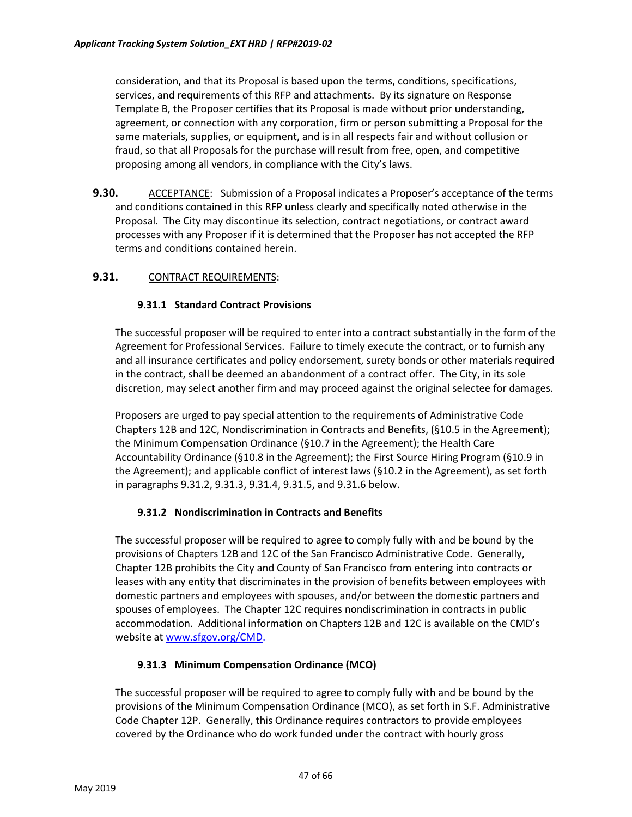consideration, and that its Proposal is based upon the terms, conditions, specifications, services, and requirements of this RFP and attachments. By its signature on Response Template B, the Proposer certifies that its Proposal is made without prior understanding, agreement, or connection with any corporation, firm or person submitting a Proposal for the same materials, supplies, or equipment, and is in all respects fair and without collusion or fraud, so that all Proposals for the purchase will result from free, open, and competitive proposing among all vendors, in compliance with the City's laws.

**9.30.** ACCEPTANCE: Submission of a Proposal indicates a Proposer's acceptance of the terms and conditions contained in this RFP unless clearly and specifically noted otherwise in the Proposal. The City may discontinue its selection, contract negotiations, or contract award processes with any Proposer if it is determined that the Proposer has not accepted the RFP terms and conditions contained herein.

### **9.31.** CONTRACT REQUIREMENTS:

### **9.31.1 Standard Contract Provisions**

The successful proposer will be required to enter into a contract substantially in the form of the Agreement for Professional Services. Failure to timely execute the contract, or to furnish any and all insurance certificates and policy endorsement, surety bonds or other materials required in the contract, shall be deemed an abandonment of a contract offer. The City, in its sole discretion, may select another firm and may proceed against the original selectee for damages.

Proposers are urged to pay special attention to the requirements of Administrative Code Chapters 12B and 12C, Nondiscrimination in Contracts and Benefits, (§10.5 in the Agreement); the Minimum Compensation Ordinance (§10.7 in the Agreement); the Health Care Accountability Ordinance (§10.8 in the Agreement); the First Source Hiring Program (§10.9 in the Agreement); and applicable conflict of interest laws (§10.2 in the Agreement), as set forth in paragraphs 9.31.2, 9.31.3, 9.31.4, 9.31.5, and 9.31.6 below.

### **9.31.2 Nondiscrimination in Contracts and Benefits**

The successful proposer will be required to agree to comply fully with and be bound by the provisions of Chapters 12B and 12C of the San Francisco Administrative Code. Generally, Chapter 12B prohibits the City and County of San Francisco from entering into contracts or leases with any entity that discriminates in the provision of benefits between employees with domestic partners and employees with spouses, and/or between the domestic partners and spouses of employees. The Chapter 12C requires nondiscrimination in contracts in public accommodation. Additional information on Chapters 12B and 12C is available on the CMD's website at [www.sfgov.org/CMD](http://www.sfgov.org/CMD).

### **9.31.3 Minimum Compensation Ordinance (MCO)**

The successful proposer will be required to agree to comply fully with and be bound by the provisions of the Minimum Compensation Ordinance (MCO), as set forth in S.F. Administrative Code Chapter 12P. Generally, this Ordinance requires contractors to provide employees covered by the Ordinance who do work funded under the contract with hourly gross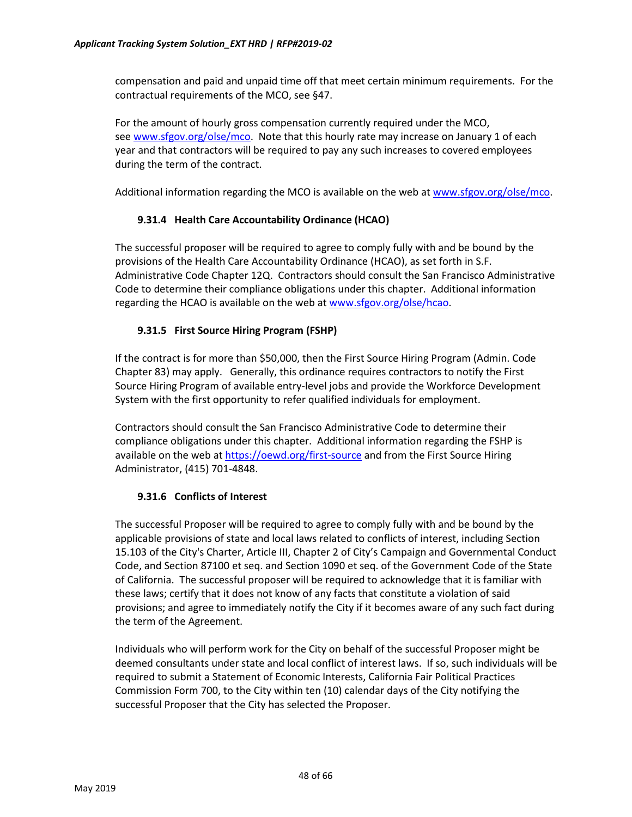compensation and paid and unpaid time off that meet certain minimum requirements. For the contractual requirements of the MCO, see §47.

For the amount of hourly gross compensation currently required under the MCO, see [www.sfgov.org/olse/mco](http://www.sfgov.org/olse/mco). Note that this hourly rate may increase on January 1 of each year and that contractors will be required to pay any such increases to covered employees during the term of the contract.

Additional information regarding the MCO is available on the web at [www.sfgov.org/olse/mco](http://www.sfgov.org/olse/mco).

### **9.31.4 Health Care Accountability Ordinance (HCAO)**

The successful proposer will be required to agree to comply fully with and be bound by the provisions of the Health Care Accountability Ordinance (HCAO), as set forth in S.F. Administrative Code Chapter 12Q. Contractors should consult the San Francisco Administrative Code to determine their compliance obligations under this chapter. Additional information regarding the HCAO is available on the web at [www.sfgov.org/olse/hcao](http://www.sfgov.org/olse/hcao).

### **9.31.5 First Source Hiring Program (FSHP)**

If the contract is for more than \$50,000, then the First Source Hiring Program (Admin. Code Chapter 83) may apply. Generally, this ordinance requires contractors to notify the First Source Hiring Program of available entry-level jobs and provide the Workforce Development System with the first opportunity to refer qualified individuals for employment.

Contractors should consult the San Francisco Administrative Code to determine their compliance obligations under this chapter. Additional information regarding the FSHP is available on the web at [https://oewd.org/first](https://oewd.org/first-source)-source and from the First Source Hiring Administrator, (415) 701-4848.

### **9.31.6 Conflicts of Interest**

The successful Proposer will be required to agree to comply fully with and be bound by the applicable provisions of state and local laws related to conflicts of interest, including Section 15.103 of the City's Charter, Article III, Chapter 2 of City's Campaign and Governmental Conduct Code, and Section 87100 et seq. and Section 1090 et seq. of the Government Code of the State of California. The successful proposer will be required to acknowledge that it is familiar with these laws; certify that it does not know of any facts that constitute a violation of said provisions; and agree to immediately notify the City if it becomes aware of any such fact during the term of the Agreement.

Individuals who will perform work for the City on behalf of the successful Proposer might be deemed consultants under state and local conflict of interest laws. If so, such individuals will be required to submit a Statement of Economic Interests, California Fair Political Practices Commission Form 700, to the City within ten (10) calendar days of the City notifying the successful Proposer that the City has selected the Proposer.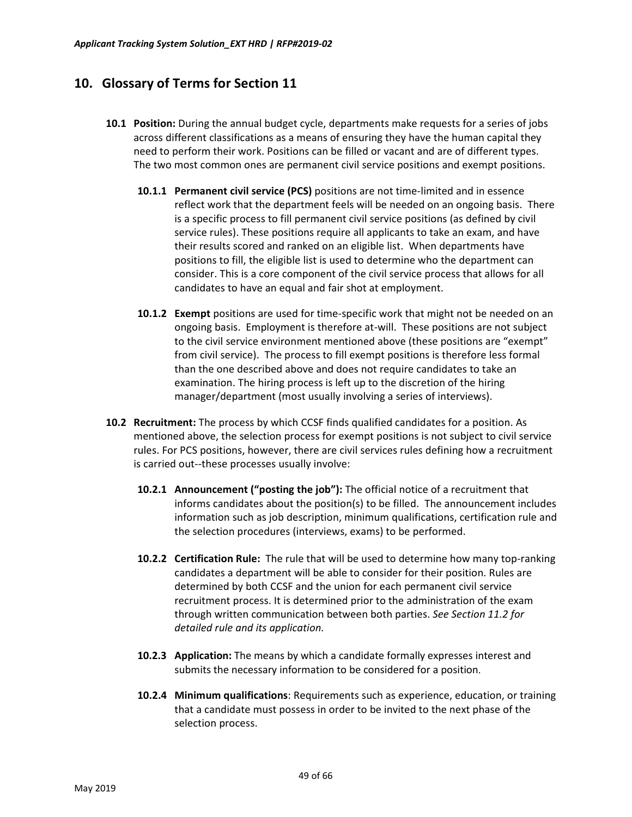# <span id="page-48-0"></span>**10. Glossary of Terms for Section 11**

- **10.1 Position:** During the annual budget cycle, departments make requests for a series of jobs across different classifications as a means of ensuring they have the human capital they need to perform their work. Positions can be filled or vacant and are of different types. The two most common ones are permanent civil service positions and exempt positions.
	- **10.1.1 Permanent civil service (PCS)** positions are not time-limited and in essence reflect work that the department feels will be needed on an ongoing basis. There is a specific process to fill permanent civil service positions (as defined by civil service rules). These positions require all applicants to take an exam, and have their results scored and ranked on an eligible list. When departments have positions to fill, the eligible list is used to determine who the department can consider. This is a core component of the civil service process that allows for all candidates to have an equal and fair shot at employment.
	- **10.1.2 Exempt** positions are used for time-specific work that might not be needed on an ongoing basis. Employment is therefore at-will. These positions are not subject to the civil service environment mentioned above (these positions are "exempt" from civil service). The process to fill exempt positions is therefore less formal than the one described above and does not require candidates to take an examination. The hiring process is left up to the discretion of the hiring manager/department (most usually involving a series of interviews).
- **10.2 Recruitment:** The process by which CCSF finds qualified candidates for a position. As mentioned above, the selection process for exempt positions is not subject to civil service rules. For PCS positions, however, there are civil services rules defining how a recruitment is carried out--these processes usually involve:
	- **10.2.1 Announcement ("posting the job"):** The official notice of a recruitment that informs candidates about the position(s) to be filled. The announcement includes information such as job description, minimum qualifications, certification rule and the selection procedures (interviews, exams) to be performed.
	- **10.2.2 Certification Rule:** The rule that will be used to determine how many top-ranking candidates a department will be able to consider for their position. Rules are determined by both CCSF and the union for each permanent civil service recruitment process. It is determined prior to the administration of the exam through written communication between both parties. *See Section 11.2 for detailed rule and its application.*
	- **10.2.3 Application:** The means by which a candidate formally expresses interest and submits the necessary information to be considered for a position.
	- **10.2.4 Minimum qualifications**: Requirements such as experience, education, or training that a candidate must possess in order to be invited to the next phase of the selection process.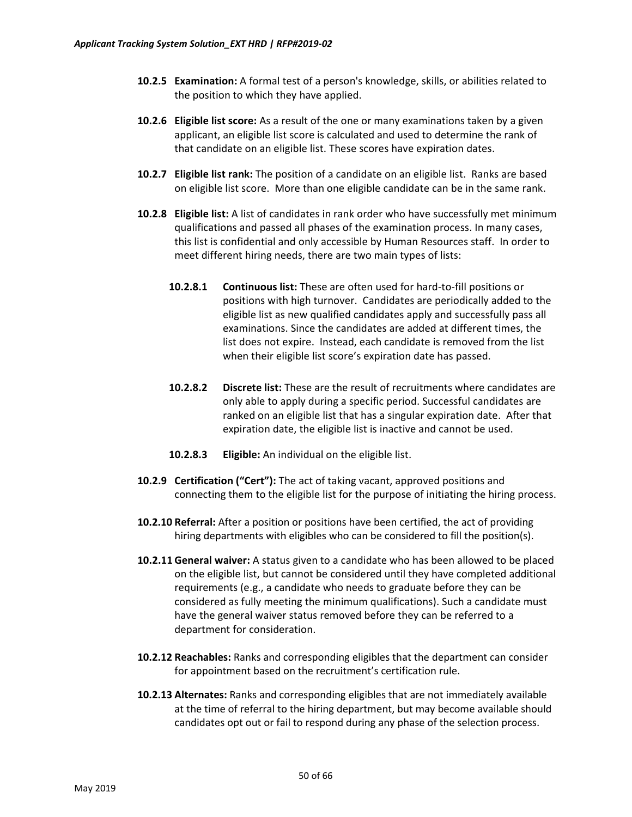- **10.2.5 Examination:** A formal test of a person's knowledge, skills, or abilities related to the position to which they have applied.
- **10.2.6 Eligible list score:** As a result of the one or many examinations taken by a given applicant, an eligible list score is calculated and used to determine the rank of that candidate on an eligible list. These scores have expiration dates.
- **10.2.7 Eligible list rank:** The position of a candidate on an eligible list. Ranks are based on eligible list score. More than one eligible candidate can be in the same rank.
- **10.2.8 Eligible list:** A list of candidates in rank order who have successfully met minimum qualifications and passed all phases of the examination process. In many cases, this list is confidential and only accessible by Human Resources staff. In order to meet different hiring needs, there are two main types of lists:
	- **10.2.8.1 Continuous list:** These are often used for hard-to-fill positions or positions with high turnover. Candidates are periodically added to the eligible list as new qualified candidates apply and successfully pass all examinations. Since the candidates are added at different times, the list does not expire. Instead, each candidate is removed from the list when their eligible list score's expiration date has passed.
	- **10.2.8.2 Discrete list:** These are the result of recruitments where candidates are only able to apply during a specific period. Successful candidates are ranked on an eligible list that has a singular expiration date. After that expiration date, the eligible list is inactive and cannot be used.
	- **10.2.8.3 Eligible:** An individual on the eligible list.
- **10.2.9 Certification ("Cert"):** The act of taking vacant, approved positions and connecting them to the eligible list for the purpose of initiating the hiring process.
- **10.2.10 Referral:** After a position or positions have been certified, the act of providing hiring departments with eligibles who can be considered to fill the position(s).
- **10.2.11 General waiver:** A status given to a candidate who has been allowed to be placed on the eligible list, but cannot be considered until they have completed additional requirements (e.g., a candidate who needs to graduate before they can be considered as fully meeting the minimum qualifications). Such a candidate must have the general waiver status removed before they can be referred to a department for consideration.
- **10.2.12 Reachables:** Ranks and corresponding eligibles that the department can consider for appointment based on the recruitment's certification rule.
- **10.2.13 Alternates:** Ranks and corresponding eligibles that are not immediately available at the time of referral to the hiring department, but may become available should candidates opt out or fail to respond during any phase of the selection process.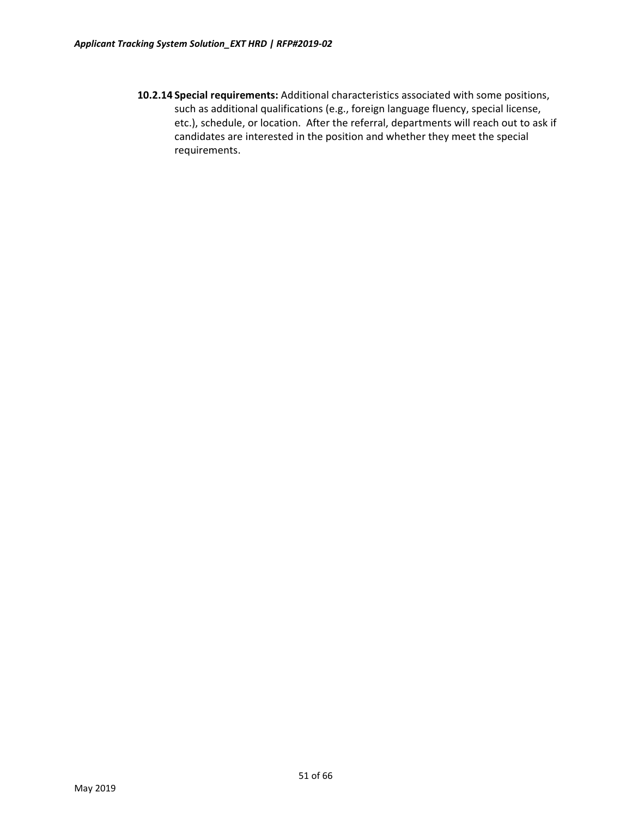**10.2.14 Special requirements:** Additional characteristics associated with some positions, such as additional qualifications (e.g., foreign language fluency, special license, etc.), schedule, or location. After the referral, departments will reach out to ask if candidates are interested in the position and whether they meet the special requirements.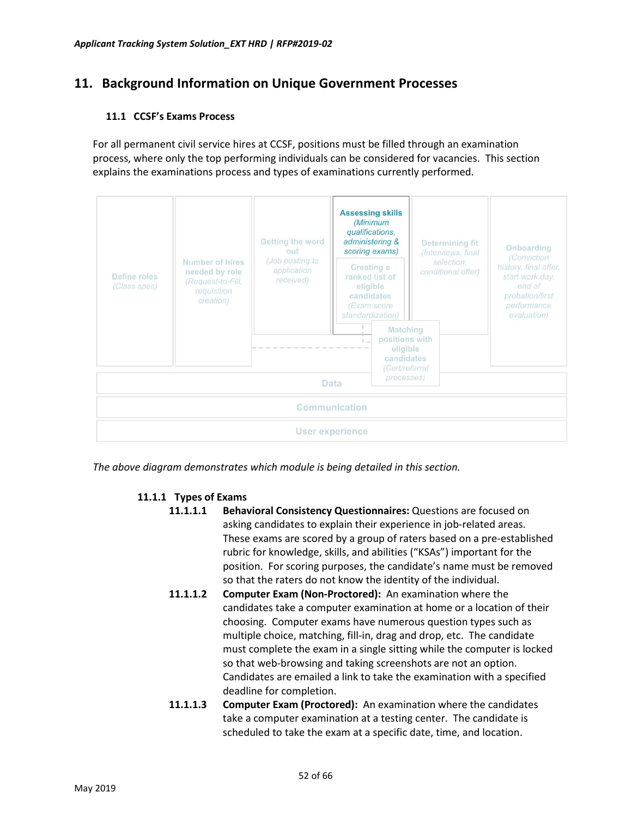# <span id="page-51-0"></span>**11. Background Information on Unique Government Processes**

### **11.1 CCSF's Exams Process**

For all permanent civil service hires at CCSF, positions must be filled through an examination process, where only the top performing individuals can be considered for vacancies. This section explains the examinations process and types of examinations currently performed.



*The above diagram demonstrates which module is being detailed in this section.*

### **11.1.1 Types of Exams**

- **11.1.1.1 Behavioral Consistency Questionnaires:** Questions are focused on asking candidates to explain their experience in job-related areas. These exams are scored by a group of raters based on a pre-established rubric for knowledge, skills, and abilities ("KSAs") important for the position. For scoring purposes, the candidate's name must be removed so that the raters do not know the identity of the individual.
- **11.1.1.2 Computer Exam (Non-Proctored):** An examination where the candidates take a computer examination at home or a location of their choosing. Computer exams have numerous question types such as multiple choice, matching, fill-in, drag and drop, etc. The candidate must complete the exam in a single sitting while the computer is locked so that web-browsing and taking screenshots are not an option. Candidates are emailed a link to take the examination with a specified deadline for completion.
- **11.1.1.3 Computer Exam (Proctored):** An examination where the candidates take a computer examination at a testing center. The candidate is scheduled to take the exam at a specific date, time, and location.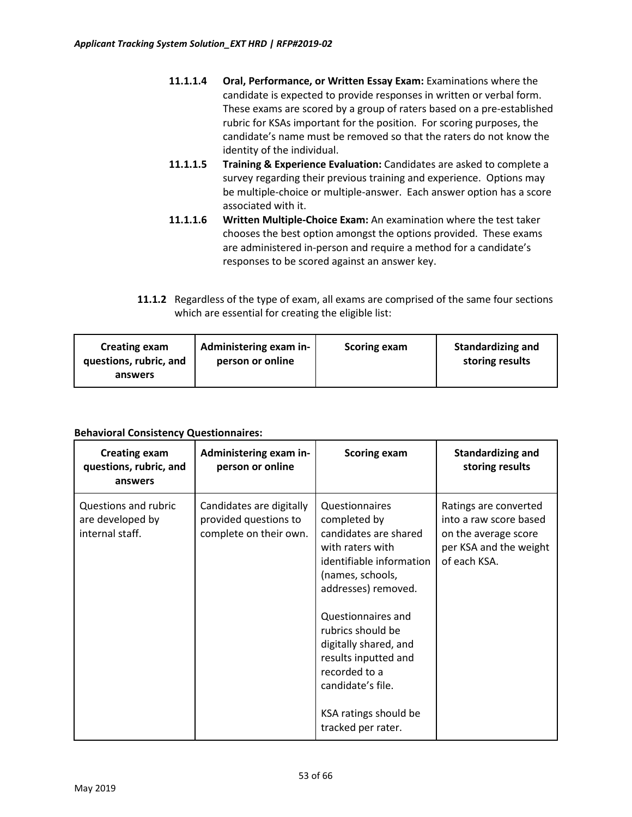- **11.1.1.4 Oral, Performance, or Written Essay Exam:** Examinations where the candidate is expected to provide responses in written or verbal form. These exams are scored by a group of raters based on a pre-established rubric for KSAs important for the position. For scoring purposes, the candidate's name must be removed so that the raters do not know the identity of the individual.
- **11.1.1.5 Training & Experience Evaluation:** Candidates are asked to complete a survey regarding their previous training and experience. Options may be multiple-choice or multiple-answer. Each answer option has a score associated with it.
- **11.1.1.6 Written Multiple-Choice Exam:** An examination where the test taker chooses the best option amongst the options provided. These exams are administered in-person and require a method for a candidate's responses to be scored against an answer key.
- **11.1.2** Regardless of the type of exam, all exams are comprised of the same four sections which are essential for creating the eligible list:

| <b>Creating exam</b><br>questions, rubric, and<br>answers | Administering exam in-<br>person or online | <b>Scoring exam</b> | <b>Standardizing and</b><br>storing results |
|-----------------------------------------------------------|--------------------------------------------|---------------------|---------------------------------------------|
|-----------------------------------------------------------|--------------------------------------------|---------------------|---------------------------------------------|

### **Behavioral Consistency Questionnaires:**

| <b>Creating exam</b><br>questions, rubric, and<br>answers   | Administering exam in-<br>person or online                                  | <b>Scoring exam</b>                                                                                                                                                                                                                                                                                                                        | <b>Standardizing and</b><br>storing results                                                                       |
|-------------------------------------------------------------|-----------------------------------------------------------------------------|--------------------------------------------------------------------------------------------------------------------------------------------------------------------------------------------------------------------------------------------------------------------------------------------------------------------------------------------|-------------------------------------------------------------------------------------------------------------------|
| Questions and rubric<br>are developed by<br>internal staff. | Candidates are digitally<br>provided questions to<br>complete on their own. | <b>Questionnaires</b><br>completed by<br>candidates are shared<br>with raters with<br>identifiable information<br>(names, schools,<br>addresses) removed.<br>Questionnaires and<br>rubrics should be<br>digitally shared, and<br>results inputted and<br>recorded to a<br>candidate's file.<br>KSA ratings should be<br>tracked per rater. | Ratings are converted<br>into a raw score based<br>on the average score<br>per KSA and the weight<br>of each KSA. |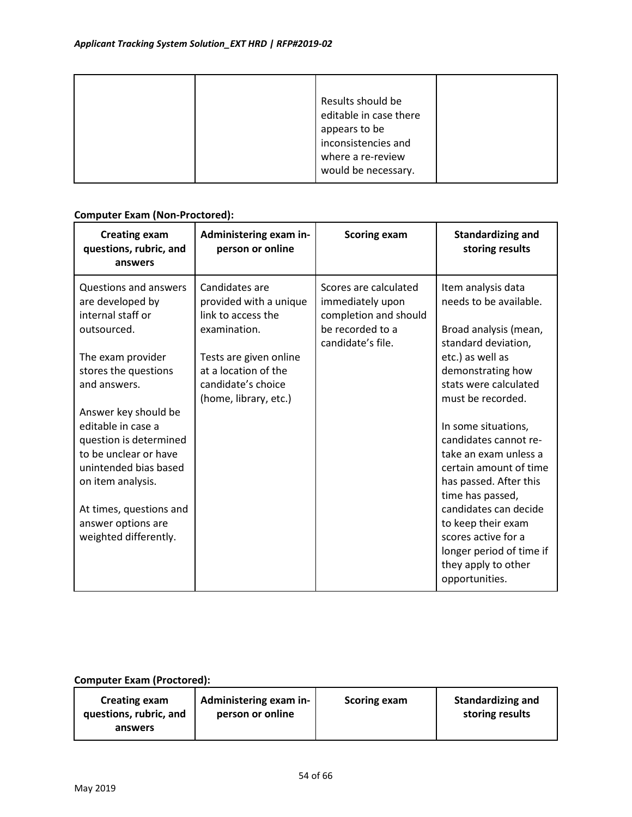|  | Results should be      |  |
|--|------------------------|--|
|  | editable in case there |  |
|  | appears to be          |  |
|  | inconsistencies and    |  |
|  | where a re-review      |  |
|  | would be necessary.    |  |

### **Computer Exam (Non-Proctored):**

| <b>Creating exam</b><br>questions, rubric, and<br>answers                                                                                                                                                             | Administering exam in-<br>person or online                                                    | <b>Scoring exam</b>                                                                                         | <b>Standardizing and</b><br>storing results                                                                                                                                                                                                                                              |
|-----------------------------------------------------------------------------------------------------------------------------------------------------------------------------------------------------------------------|-----------------------------------------------------------------------------------------------|-------------------------------------------------------------------------------------------------------------|------------------------------------------------------------------------------------------------------------------------------------------------------------------------------------------------------------------------------------------------------------------------------------------|
| Questions and answers<br>are developed by<br>internal staff or<br>outsourced.                                                                                                                                         | Candidates are<br>provided with a unique<br>link to access the<br>examination.                | Scores are calculated<br>immediately upon<br>completion and should<br>be recorded to a<br>candidate's file. | Item analysis data<br>needs to be available.<br>Broad analysis (mean,<br>standard deviation,                                                                                                                                                                                             |
| The exam provider<br>stores the questions<br>and answers.                                                                                                                                                             | Tests are given online<br>at a location of the<br>candidate's choice<br>(home, library, etc.) |                                                                                                             | etc.) as well as<br>demonstrating how<br>stats were calculated<br>must be recorded.                                                                                                                                                                                                      |
| Answer key should be<br>editable in case a<br>question is determined<br>to be unclear or have<br>unintended bias based<br>on item analysis.<br>At times, questions and<br>answer options are<br>weighted differently. |                                                                                               |                                                                                                             | In some situations,<br>candidates cannot re-<br>take an exam unless a<br>certain amount of time<br>has passed. After this<br>time has passed,<br>candidates can decide<br>to keep their exam<br>scores active for a<br>longer period of time if<br>they apply to other<br>opportunities. |

### **Computer Exam (Proctored):**

| <b>Creating exam</b>   | Administering exam in- | <b>Scoring exam</b> | <b>Standardizing and</b> |
|------------------------|------------------------|---------------------|--------------------------|
| questions, rubric, and | person or online       |                     | storing results          |
| answers                |                        |                     |                          |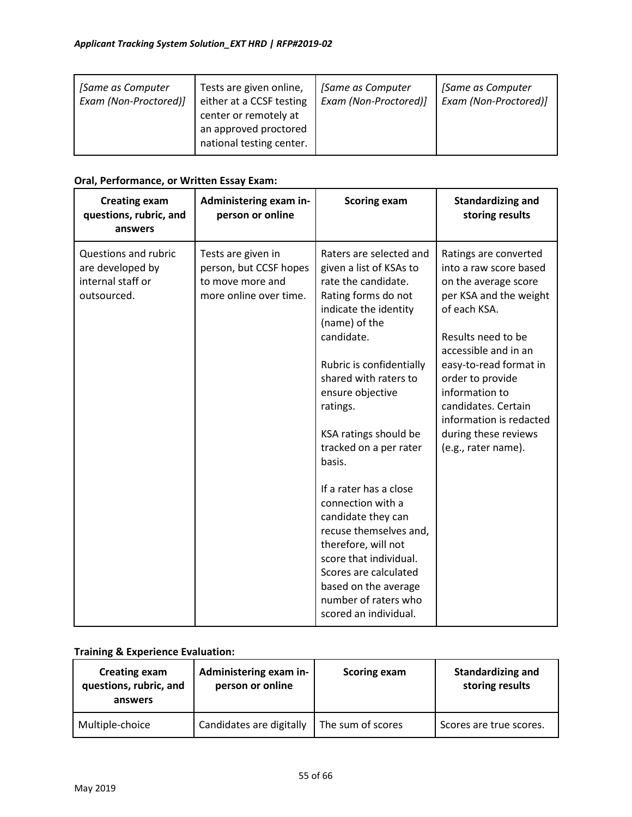| [Same as Computer<br>Exam (Non-Proctored)] | Tests are given online,<br>either at a CCSF testing<br>center or remotely at<br>an approved proctored<br>national testing center. | [Same as Computer<br>Exam (Non-Proctored)] | [Same as Computer<br>Exam (Non-Proctored)] |
|--------------------------------------------|-----------------------------------------------------------------------------------------------------------------------------------|--------------------------------------------|--------------------------------------------|
|--------------------------------------------|-----------------------------------------------------------------------------------------------------------------------------------|--------------------------------------------|--------------------------------------------|

### **Oral, Performance, or Written Essay Exam:**

| <b>Creating exam</b><br>questions, rubric, and<br>answers                    | Administering exam in-<br>person or online                                                 | <b>Scoring exam</b>                                                                                                                                                                                                                                                                                                                                                                                                                                                                                         | <b>Standardizing and</b><br>storing results                                                                                                                                                                                                                                                                                      |
|------------------------------------------------------------------------------|--------------------------------------------------------------------------------------------|-------------------------------------------------------------------------------------------------------------------------------------------------------------------------------------------------------------------------------------------------------------------------------------------------------------------------------------------------------------------------------------------------------------------------------------------------------------------------------------------------------------|----------------------------------------------------------------------------------------------------------------------------------------------------------------------------------------------------------------------------------------------------------------------------------------------------------------------------------|
| Questions and rubric<br>are developed by<br>internal staff or<br>outsourced. | Tests are given in<br>person, but CCSF hopes<br>to move more and<br>more online over time. | Raters are selected and<br>given a list of KSAs to<br>rate the candidate.<br>Rating forms do not<br>indicate the identity<br>(name) of the<br>candidate.<br>Rubric is confidentially<br>shared with raters to<br>ensure objective<br>ratings.<br>KSA ratings should be<br>tracked on a per rater<br>basis.<br>If a rater has a close<br>connection with a<br>candidate they can<br>recuse themselves and,<br>therefore, will not<br>score that individual.<br>Scores are calculated<br>based on the average | Ratings are converted<br>into a raw score based<br>on the average score<br>per KSA and the weight<br>of each KSA.<br>Results need to be<br>accessible and in an<br>easy-to-read format in<br>order to provide<br>information to<br>candidates. Certain<br>information is redacted<br>during these reviews<br>(e.g., rater name). |
|                                                                              |                                                                                            | number of raters who<br>scored an individual.                                                                                                                                                                                                                                                                                                                                                                                                                                                               |                                                                                                                                                                                                                                                                                                                                  |

### **Training & Experience Evaluation:**

| <b>Creating exam</b><br>questions, rubric, and<br>answers | Administering exam in-<br>person or online | <b>Scoring exam</b> | <b>Standardizing and</b><br>storing results |
|-----------------------------------------------------------|--------------------------------------------|---------------------|---------------------------------------------|
| Multiple-choice                                           | Candidates are digitally                   | The sum of scores   | Scores are true scores.                     |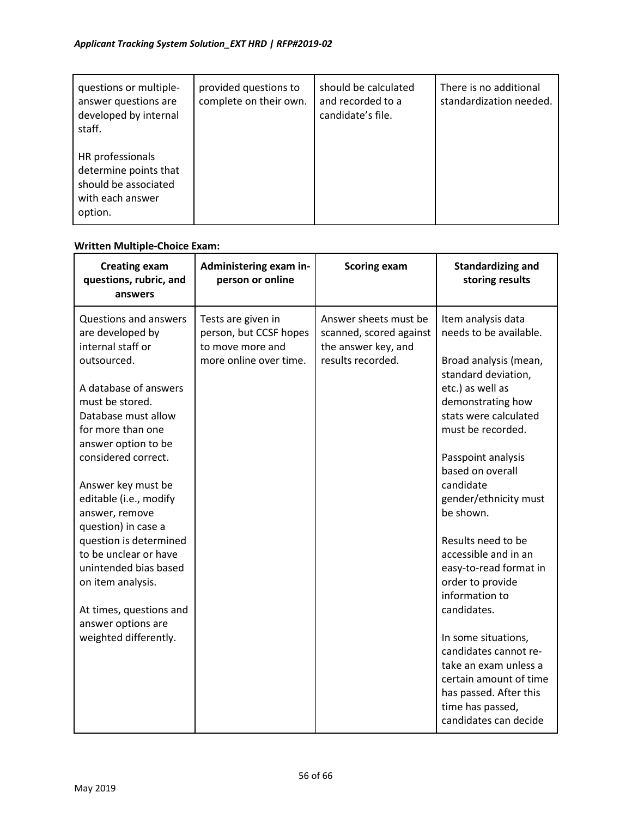| questions or multiple-<br>answer questions are<br>developed by internal<br>staff.                | provided questions to<br>complete on their own. | should be calculated<br>and recorded to a<br>candidate's file. | There is no additional<br>standardization needed. |
|--------------------------------------------------------------------------------------------------|-------------------------------------------------|----------------------------------------------------------------|---------------------------------------------------|
| HR professionals<br>determine points that<br>should be associated<br>with each answer<br>option. |                                                 |                                                                |                                                   |

## **Written Multiple-Choice Exam:**

| <b>Creating exam</b><br>questions, rubric, and<br>answers                                                                                                                                                                                                                                                                                                                                                                                                                                      | Administering exam in-<br>person or online                                                 | <b>Scoring exam</b>                                                                          | <b>Standardizing and</b><br>storing results                                                                                                                                                                                                                                                                                                                                                                                                                                                                                                                                             |
|------------------------------------------------------------------------------------------------------------------------------------------------------------------------------------------------------------------------------------------------------------------------------------------------------------------------------------------------------------------------------------------------------------------------------------------------------------------------------------------------|--------------------------------------------------------------------------------------------|----------------------------------------------------------------------------------------------|-----------------------------------------------------------------------------------------------------------------------------------------------------------------------------------------------------------------------------------------------------------------------------------------------------------------------------------------------------------------------------------------------------------------------------------------------------------------------------------------------------------------------------------------------------------------------------------------|
| <b>Questions and answers</b><br>are developed by<br>internal staff or<br>outsourced.<br>A database of answers<br>must be stored.<br>Database must allow<br>for more than one<br>answer option to be<br>considered correct.<br>Answer key must be<br>editable (i.e., modify<br>answer, remove<br>question) in case a<br>question is determined<br>to be unclear or have<br>unintended bias based<br>on item analysis.<br>At times, questions and<br>answer options are<br>weighted differently. | Tests are given in<br>person, but CCSF hopes<br>to move more and<br>more online over time. | Answer sheets must be<br>scanned, scored against<br>the answer key, and<br>results recorded. | Item analysis data<br>needs to be available.<br>Broad analysis (mean,<br>standard deviation,<br>etc.) as well as<br>demonstrating how<br>stats were calculated<br>must be recorded.<br>Passpoint analysis<br>based on overall<br>candidate<br>gender/ethnicity must<br>be shown.<br>Results need to be<br>accessible and in an<br>easy-to-read format in<br>order to provide<br>information to<br>candidates.<br>In some situations,<br>candidates cannot re-<br>take an exam unless a<br>certain amount of time<br>has passed. After this<br>time has passed,<br>candidates can decide |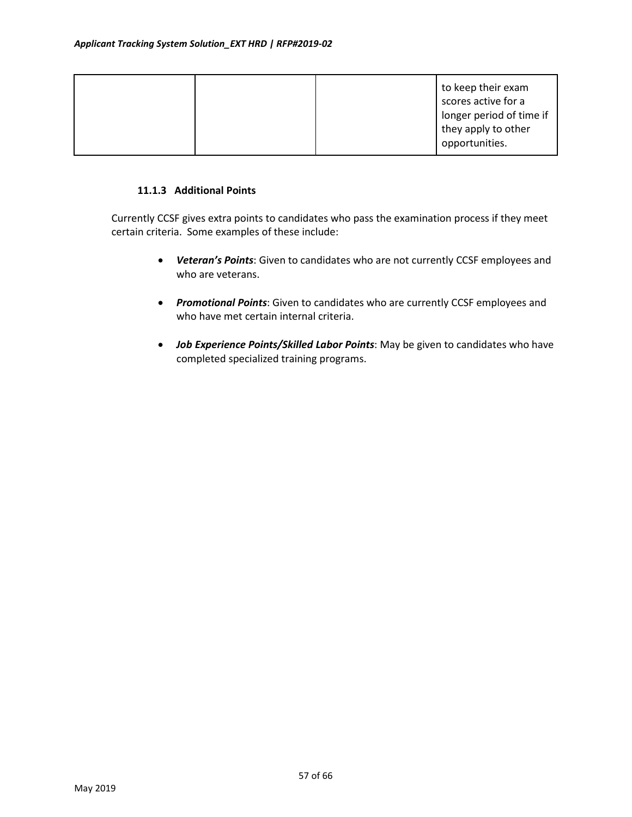|  | to keep their exam<br>scores active for a<br>longer period of time if<br>they apply to other<br>opportunities. |
|--|----------------------------------------------------------------------------------------------------------------|
|--|----------------------------------------------------------------------------------------------------------------|

#### **11.1.3 Additional Points**

Currently CCSF gives extra points to candidates who pass the examination process if they meet certain criteria. Some examples of these include:

- *Veteran's Points*: Given to candidates who are not currently CCSF employees and who are veterans.
- *Promotional Points*: Given to candidates who are currently CCSF employees and who have met certain internal criteria.
- *Job Experience Points/Skilled Labor Points*: May be given to candidates who have completed specialized training programs.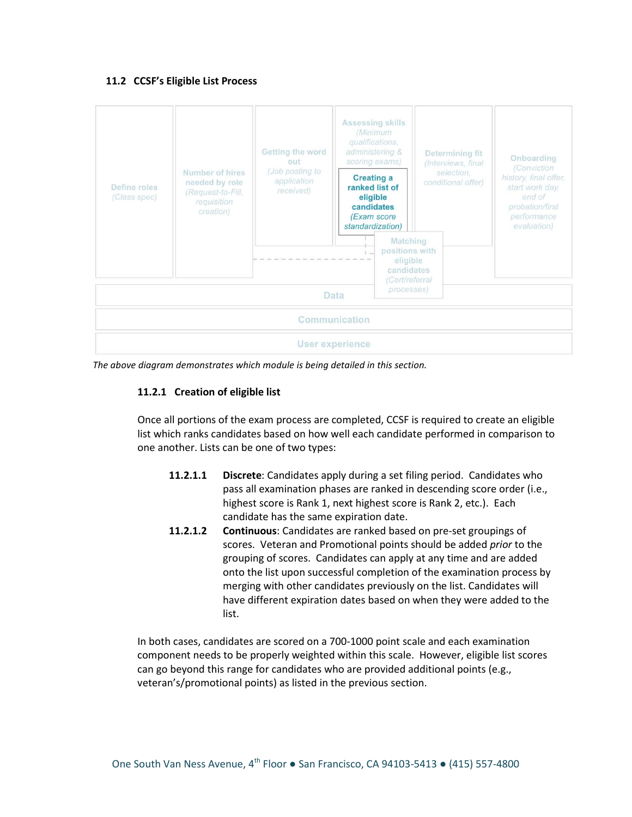#### **11.2 CCSF's Eligible List Process**



*The above diagram demonstrates which module is being detailed in this section.*

### **11.2.1 Creation of eligible list**

Once all portions of the exam process are completed, CCSF is required to create an eligible list which ranks candidates based on how well each candidate performed in comparison to one another. Lists can be one of two types:

- **11.2.1.1 Discrete**: Candidates apply during a set filing period. Candidates who pass all examination phases are ranked in descending score order (i.e., highest score is Rank 1, next highest score is Rank 2, etc.). Each candidate has the same expiration date.
- **11.2.1.2 Continuous**: Candidates are ranked based on pre-set groupings of scores. Veteran and Promotional points should be added *prior* to the grouping of scores. Candidates can apply at any time and are added onto the list upon successful completion of the examination process by merging with other candidates previously on the list. Candidates will have different expiration dates based on when they were added to the list.

In both cases, candidates are scored on a 700-1000 point scale and each examination component needs to be properly weighted within this scale. However, eligible list scores can go beyond this range for candidates who are provided additional points (e.g., veteran's/promotional points) as listed in the previous section.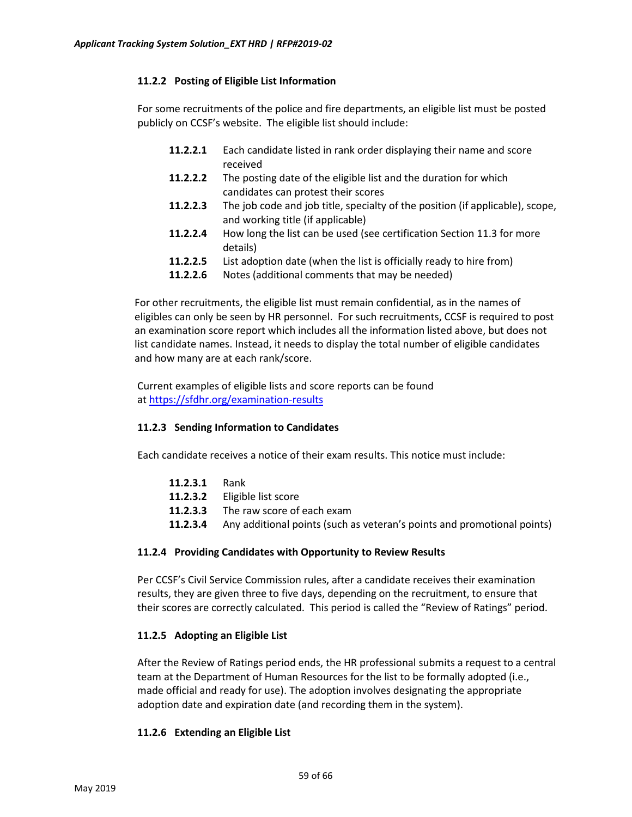### **11.2.2 Posting of Eligible List Information**

For some recruitments of the police and fire departments, an eligible list must be posted publicly on CCSF's website. The eligible list should include:

- **11.2.2.1** Each candidate listed in rank order displaying their name and score received
- **11.2.2.2** The posting date of the eligible list and the duration for which candidates can protest their scores
- **11.2.2.3** The job code and job title, specialty of the position (if applicable), scope, and working title (if applicable)
- **11.2.2.4** How long the list can be used (see certification Section 11.3 for more details)
- **11.2.2.5** List adoption date (when the list is officially ready to hire from)
- **11.2.2.6** Notes (additional comments that may be needed)

For other recruitments, the eligible list must remain confidential, as in the names of eligibles can only be seen by HR personnel. For such recruitments, CCSF is required to post an examination score report which includes all the information listed above, but does not list candidate names. Instead, it needs to display the total number of eligible candidates and how many are at each rank/score.

Current examples of eligible lists and score reports can be found at [https://sfdhr.org/examination](https://sfdhr.org/examination-results)-results

### **11.2.3 Sending Information to Candidates**

Each candidate receives a notice of their exam results. This notice must include:

| <b>11.2.3.1</b> Rank |                                                                                         |
|----------------------|-----------------------------------------------------------------------------------------|
|                      | <b>11.2.3.2</b> Eligible list score                                                     |
|                      | <b>11.2.3.3</b> The raw score of each exam                                              |
|                      | <b>11.2.3.4</b> Any additional points (such as veteran's points and promotional points) |
|                      |                                                                                         |

### **11.2.4 Providing Candidates with Opportunity to Review Results**

Per CCSF's Civil Service Commission rules, after a candidate receives their examination results, they are given three to five days, depending on the recruitment, to ensure that their scores are correctly calculated. This period is called the "Review of Ratings" period.

### **11.2.5 Adopting an Eligible List**

After the Review of Ratings period ends, the HR professional submits a request to a central team at the Department of Human Resources for the list to be formally adopted (i.e., made official and ready for use). The adoption involves designating the appropriate adoption date and expiration date (and recording them in the system).

### **11.2.6 Extending an Eligible List**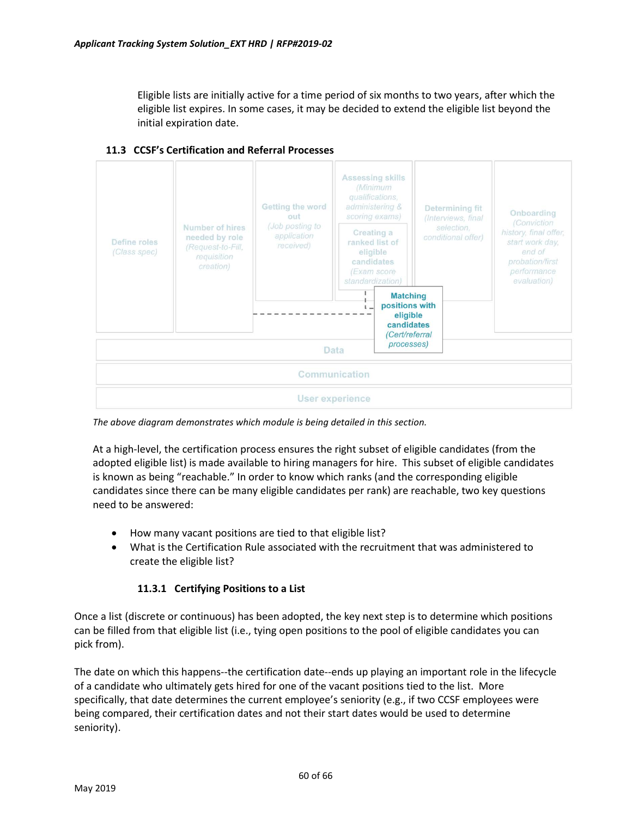Eligible lists are initially active for a time period of six months to two years, after which the eligible list expires. In some cases, it may be decided to extend the eligible list beyond the initial expiration date.



### **11.3 CCSF's Certification and Referral Processes**

*The above diagram demonstrates which module is being detailed in this section.*

At a high-level, the certification process ensures the right subset of eligible candidates (from the adopted eligible list) is made available to hiring managers for hire. This subset of eligible candidates is known as being "reachable." In order to know which ranks (and the corresponding eligible candidates since there can be many eligible candidates per rank) are reachable, two key questions need to be answered:

- How many vacant positions are tied to that eligible list?
- What is the Certification Rule associated with the recruitment that was administered to create the eligible list?

### **11.3.1 Certifying Positions to a List**

Once a list (discrete or continuous) has been adopted, the key next step is to determine which positions can be filled from that eligible list (i.e., tying open positions to the pool of eligible candidates you can pick from).

The date on which this happens--the certification date--ends up playing an important role in the lifecycle of a candidate who ultimately gets hired for one of the vacant positions tied to the list. More specifically, that date determines the current employee's seniority (e.g., if two CCSF employees were being compared, their certification dates and not their start dates would be used to determine seniority).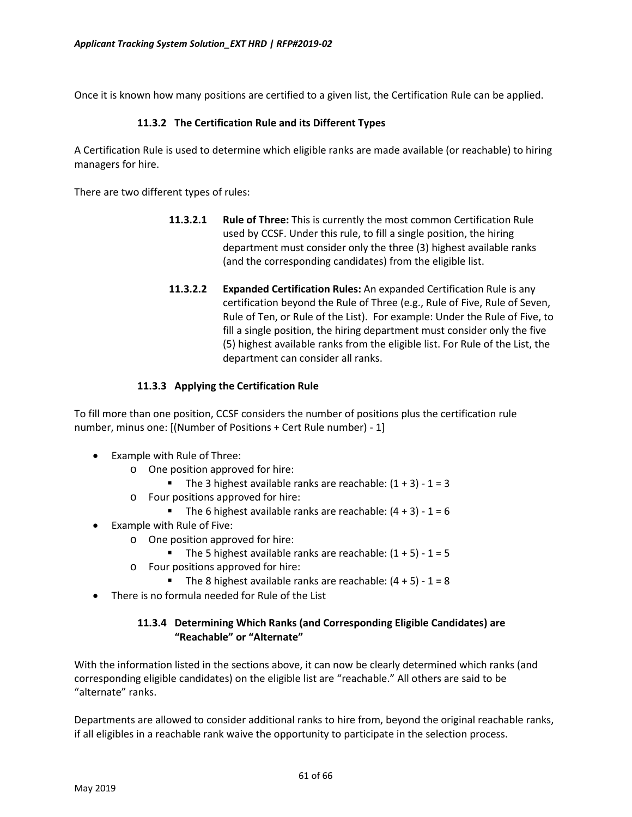Once it is known how many positions are certified to a given list, the Certification Rule can be applied.

#### **11.3.2 The Certification Rule and its Different Types**

A Certification Rule is used to determine which eligible ranks are made available (or reachable) to hiring managers for hire.

There are two different types of rules:

- **11.3.2.1 Rule of Three:** This is currently the most common Certification Rule used by CCSF. Under this rule, to fill a single position, the hiring department must consider only the three (3) highest available ranks (and the corresponding candidates) from the eligible list.
- **11.3.2.2 Expanded Certification Rules:** An expanded Certification Rule is any certification beyond the Rule of Three (e.g., Rule of Five, Rule of Seven, Rule of Ten, or Rule of the List). For example: Under the Rule of Five, to fill a single position, the hiring department must consider only the five (5) highest available ranks from the eligible list. For Rule of the List, the department can consider all ranks.

### **11.3.3 Applying the Certification Rule**

To fill more than one position, CCSF considers the number of positions plus the certification rule number, minus one: [(Number of Positions + Cert Rule number) - 1]

- Example with Rule of Three:
	- o One position approved for hire:
		- The 3 highest available ranks are reachable:  $(1 + 3) 1 = 3$
	- o Four positions approved for hire:
		- The 6 highest available ranks are reachable:  $(4 + 3) 1 = 6$
- Example with Rule of Five:
	- o One position approved for hire:
		- The 5 highest available ranks are reachable:  $(1 + 5) 1 = 5$
	- o Four positions approved for hire:
		- The 8 highest available ranks are reachable:  $(4 + 5) 1 = 8$
- There is no formula needed for Rule of the List

### **11.3.4 Determining Which Ranks (and Corresponding Eligible Candidates) are "Reachable" or "Alternate"**

With the information listed in the sections above, it can now be clearly determined which ranks (and corresponding eligible candidates) on the eligible list are "reachable." All others are said to be "alternate" ranks.

Departments are allowed to consider additional ranks to hire from, beyond the original reachable ranks, if all eligibles in a reachable rank waive the opportunity to participate in the selection process.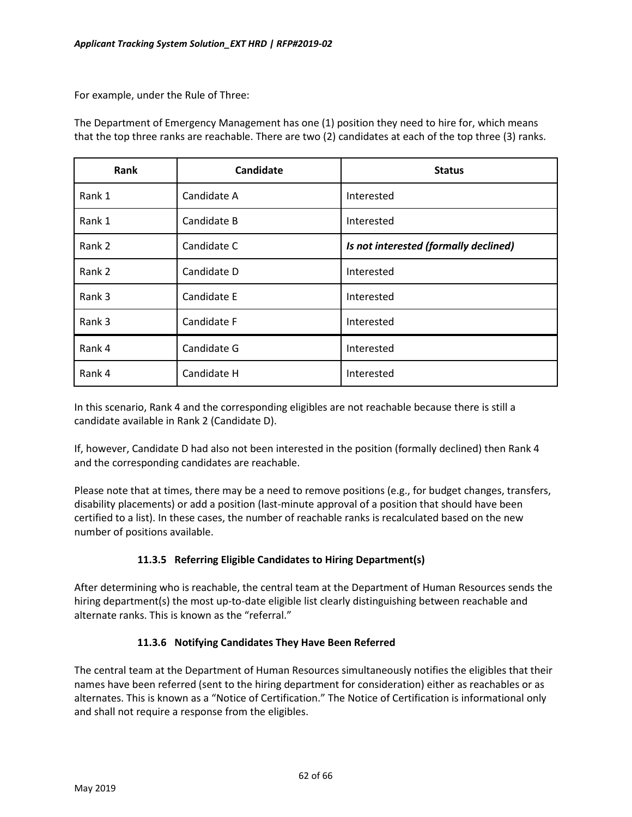For example, under the Rule of Three:

The Department of Emergency Management has one (1) position they need to hire for, which means that the top three ranks are reachable. There are two (2) candidates at each of the top three (3) ranks.

| Rank   | Candidate   | <b>Status</b>                         |
|--------|-------------|---------------------------------------|
| Rank 1 | Candidate A | Interested                            |
| Rank 1 | Candidate B | Interested                            |
| Rank 2 | Candidate C | Is not interested (formally declined) |
| Rank 2 | Candidate D | Interested                            |
| Rank 3 | Candidate E | Interested                            |
| Rank 3 | Candidate F | Interested                            |
| Rank 4 | Candidate G | Interested                            |
| Rank 4 | Candidate H | Interested                            |

In this scenario, Rank 4 and the corresponding eligibles are not reachable because there is still a candidate available in Rank 2 (Candidate D).

If, however, Candidate D had also not been interested in the position (formally declined) then Rank 4 and the corresponding candidates are reachable.

Please note that at times, there may be a need to remove positions (e.g., for budget changes, transfers, disability placements) or add a position (last-minute approval of a position that should have been certified to a list). In these cases, the number of reachable ranks is recalculated based on the new number of positions available.

### **11.3.5 Referring Eligible Candidates to Hiring Department(s)**

After determining who is reachable, the central team at the Department of Human Resources sends the hiring department(s) the most up-to-date eligible list clearly distinguishing between reachable and alternate ranks. This is known as the "referral."

### **11.3.6 Notifying Candidates They Have Been Referred**

The central team at the Department of Human Resources simultaneously notifies the eligibles that their names have been referred (sent to the hiring department for consideration) either as reachables or as alternates. This is known as a "Notice of Certification." The Notice of Certification is informational only and shall not require a response from the eligibles.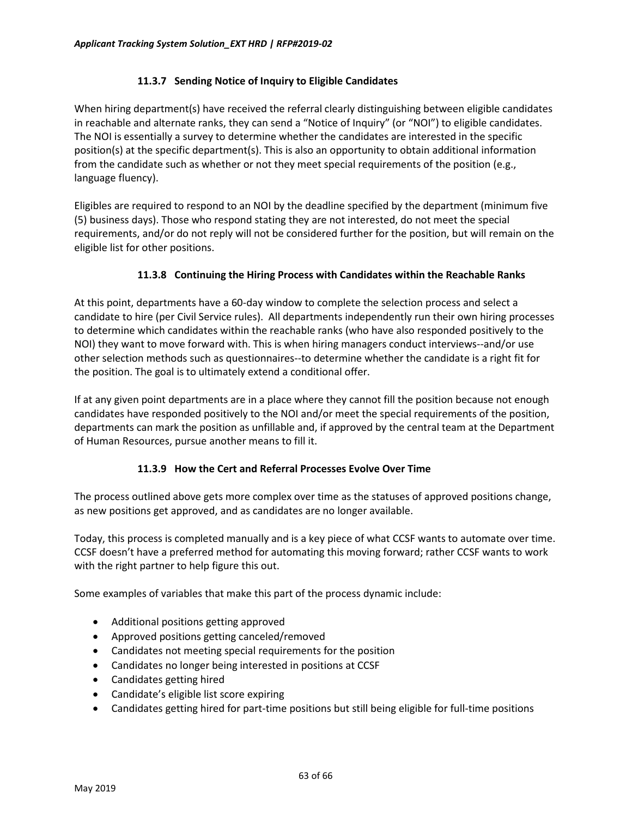### **11.3.7 Sending Notice of Inquiry to Eligible Candidates**

When hiring department(s) have received the referral clearly distinguishing between eligible candidates in reachable and alternate ranks, they can send a "Notice of Inquiry" (or "NOI") to eligible candidates. The NOI is essentially a survey to determine whether the candidates are interested in the specific position(s) at the specific department(s). This is also an opportunity to obtain additional information from the candidate such as whether or not they meet special requirements of the position (e.g., language fluency).

Eligibles are required to respond to an NOI by the deadline specified by the department (minimum five (5) business days). Those who respond stating they are not interested, do not meet the special requirements, and/or do not reply will not be considered further for the position, but will remain on the eligible list for other positions.

### **11.3.8 Continuing the Hiring Process with Candidates within the Reachable Ranks**

At this point, departments have a 60-day window to complete the selection process and select a candidate to hire (per Civil Service rules). All departments independently run their own hiring processes to determine which candidates within the reachable ranks (who have also responded positively to the NOI) they want to move forward with. This is when hiring managers conduct interviews--and/or use other selection methods such as questionnaires--to determine whether the candidate is a right fit for the position. The goal is to ultimately extend a conditional offer.

If at any given point departments are in a place where they cannot fill the position because not enough candidates have responded positively to the NOI and/or meet the special requirements of the position, departments can mark the position as unfillable and, if approved by the central team at the Department of Human Resources, pursue another means to fill it.

### **11.3.9 How the Cert and Referral Processes Evolve Over Time**

The process outlined above gets more complex over time as the statuses of approved positions change, as new positions get approved, and as candidates are no longer available.

Today, this process is completed manually and is a key piece of what CCSF wants to automate over time. CCSF doesn't have a preferred method for automating this moving forward; rather CCSF wants to work with the right partner to help figure this out.

Some examples of variables that make this part of the process dynamic include:

- Additional positions getting approved
- Approved positions getting canceled/removed
- Candidates not meeting special requirements for the position
- Candidates no longer being interested in positions at CCSF
- Candidates getting hired
- Candidate's eligible list score expiring
- Candidates getting hired for part-time positions but still being eligible for full-time positions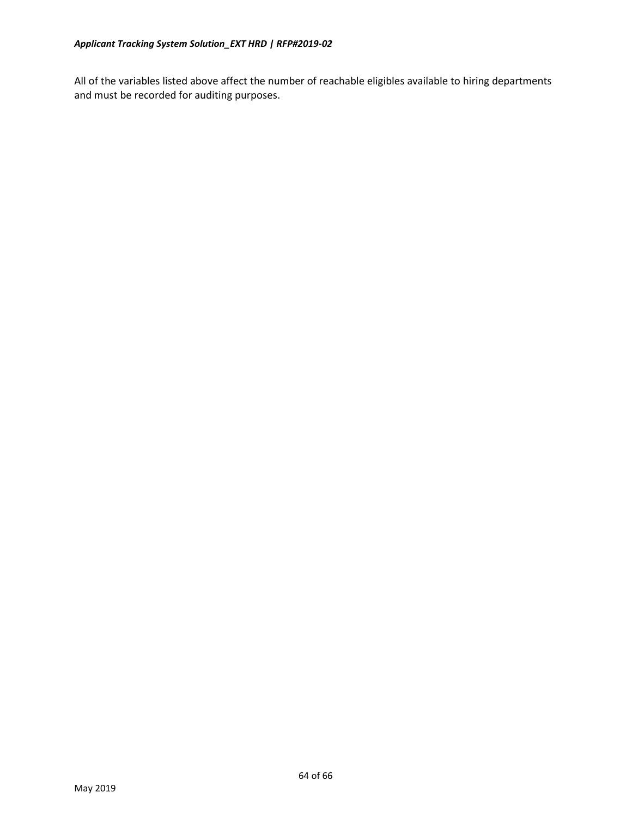All of the variables listed above affect the number of reachable eligibles available to hiring departments and must be recorded for auditing purposes.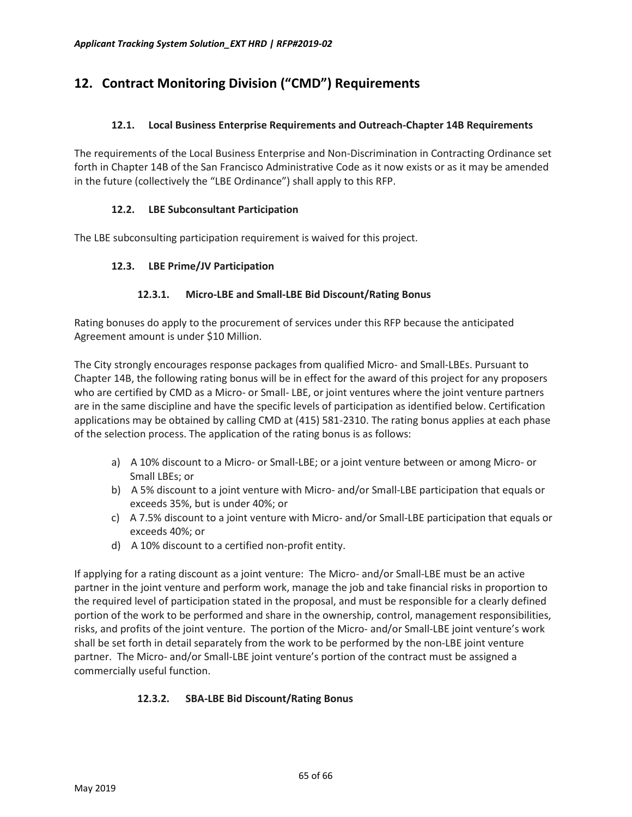# <span id="page-64-0"></span>**12. Contract Monitoring Division ("CMD") Requirements**

### **12.1. Local Business Enterprise Requirements and Outreach-Chapter 14B Requirements**

The requirements of the Local Business Enterprise and Non-Discrimination in Contracting Ordinance set forth in Chapter 14B of the San Francisco Administrative Code as it now exists or as it may be amended in the future (collectively the "LBE Ordinance") shall apply to this RFP.

### **12.2. LBE Subconsultant Participation**

The LBE subconsulting participation requirement is waived for this project.

### **12.3. LBE Prime/JV Participation**

### **12.3.1. Micro-LBE and Small-LBE Bid Discount/Rating Bonus**

Rating bonuses do apply to the procurement of services under this RFP because the anticipated Agreement amount is under \$10 Million.

The City strongly encourages response packages from qualified Micro- and Small-LBEs. Pursuant to Chapter 14B, the following rating bonus will be in effect for the award of this project for any proposers who are certified by CMD as a Micro- or Small- LBE, or joint ventures where the joint venture partners are in the same discipline and have the specific levels of participation as identified below. Certification applications may be obtained by calling CMD at (415) 581-2310. The rating bonus applies at each phase of the selection process. The application of the rating bonus is as follows:

- a) A 10% discount to a Micro- or Small-LBE; or a joint venture between or among Micro- or Small LBEs; or
- b) A 5% discount to a joint venture with Micro- and/or Small-LBE participation that equals or exceeds 35%, but is under 40%; or
- c) A 7.5% discount to a joint venture with Micro- and/or Small-LBE participation that equals or exceeds 40%; or
- d) A 10% discount to a certified non-profit entity.

If applying for a rating discount as a joint venture: The Micro- and/or Small-LBE must be an active partner in the joint venture and perform work, manage the job and take financial risks in proportion to the required level of participation stated in the proposal, and must be responsible for a clearly defined portion of the work to be performed and share in the ownership, control, management responsibilities, risks, and profits of the joint venture. The portion of the Micro- and/or Small-LBE joint venture's work shall be set forth in detail separately from the work to be performed by the non-LBE joint venture partner. The Micro- and/or Small-LBE joint venture's portion of the contract must be assigned a commercially useful function.

### **12.3.2. SBA-LBE Bid Discount/Rating Bonus**